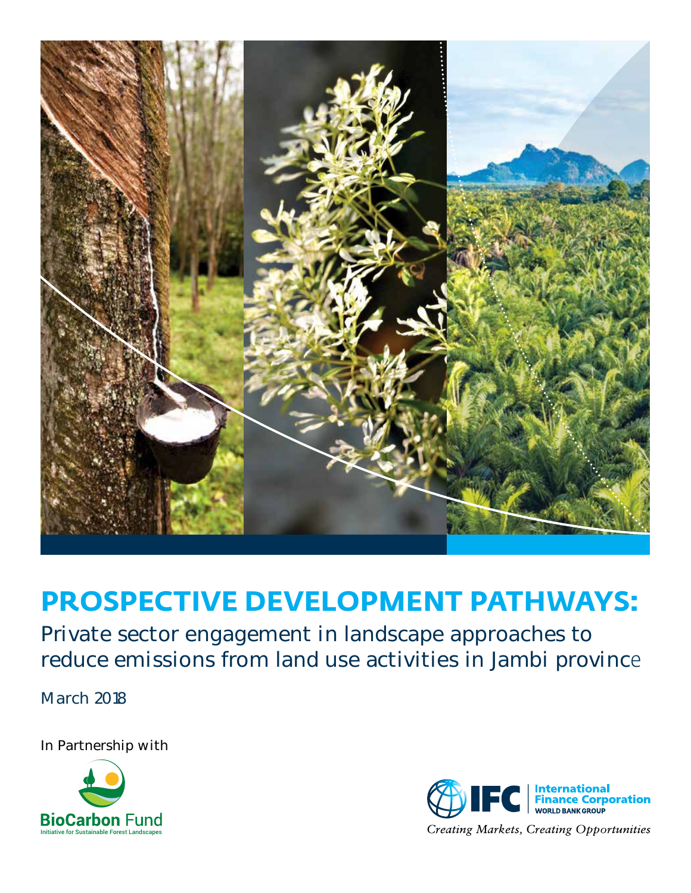

# **PROSPECTIVE DEVELOPMENT PATHWAYS:**

Private sector engagement in landscape approaches to reduce emissions from land use activities in Jambi province

March 2018

In Partnership with



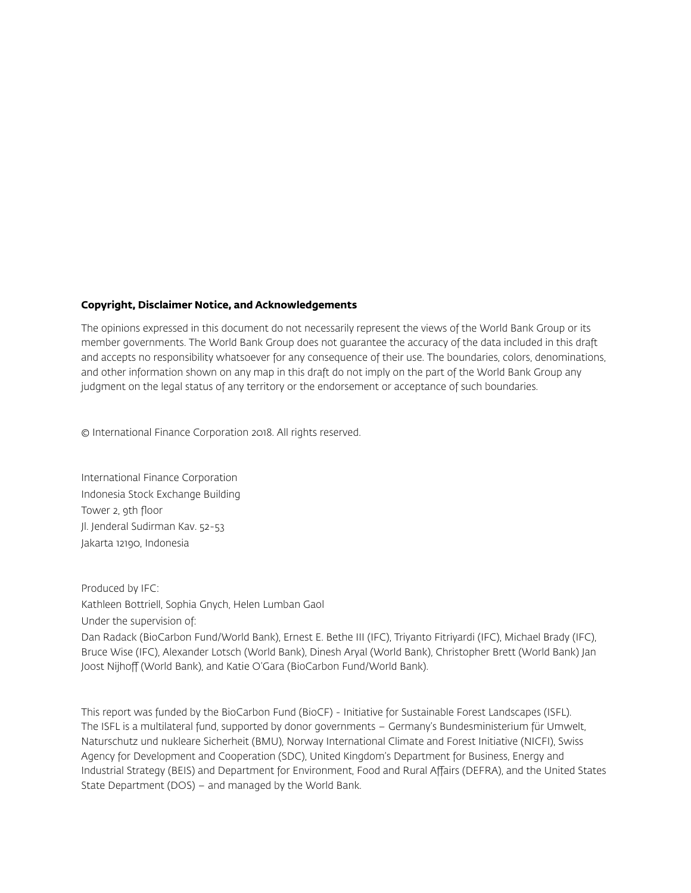#### **Copyright, Disclaimer Notice, and Acknowledgements**

The opinions expressed in this document do not necessarily represent the views of the World Bank Group or its member governments. The World Bank Group does not guarantee the accuracy of the data included in this draft and accepts no responsibility whatsoever for any consequence of their use. The boundaries, colors, denominations, and other information shown on any map in this draft do not imply on the part of the World Bank Group any judgment on the legal status of any territory or the endorsement or acceptance of such boundaries.

© International Finance Corporation 2018. All rights reserved.

International Finance Corporation Indonesia Stock Exchange Building Tower 2, 9th floor Jl. Jenderal Sudirman Kav. 52-53 Jakarta 12190, Indonesia

Produced by IFC: Kathleen Bottriell, Sophia Gnych, Helen Lumban Gaol Under the supervision of: Dan Radack (BioCarbon Fund/World Bank), Ernest E. Bethe III (IFC), Triyanto Fitriyardi (IFC), Michael Brady (IFC), Bruce Wise (IFC), Alexander Lotsch (World Bank), Dinesh Aryal (World Bank), Christopher Brett (World Bank) Jan Joost Nijhoff (World Bank), and Katie O'Gara (BioCarbon Fund/World Bank).

This report was funded by the BioCarbon Fund (BioCF) - Initiative for Sustainable Forest Landscapes (ISFL). The ISFL is a multilateral fund, supported by donor governments – Germany's Bundesministerium für Umwelt, Naturschutz und nukleare Sicherheit (BMU), Norway International Climate and Forest Initiative (NICFI), Swiss Agency for Development and Cooperation (SDC), United Kingdom's Department for Business, Energy and Industrial Strategy (BEIS) and Department for Environment, Food and Rural Affairs (DEFRA), and the United States State Department (DOS) – and managed by the World Bank.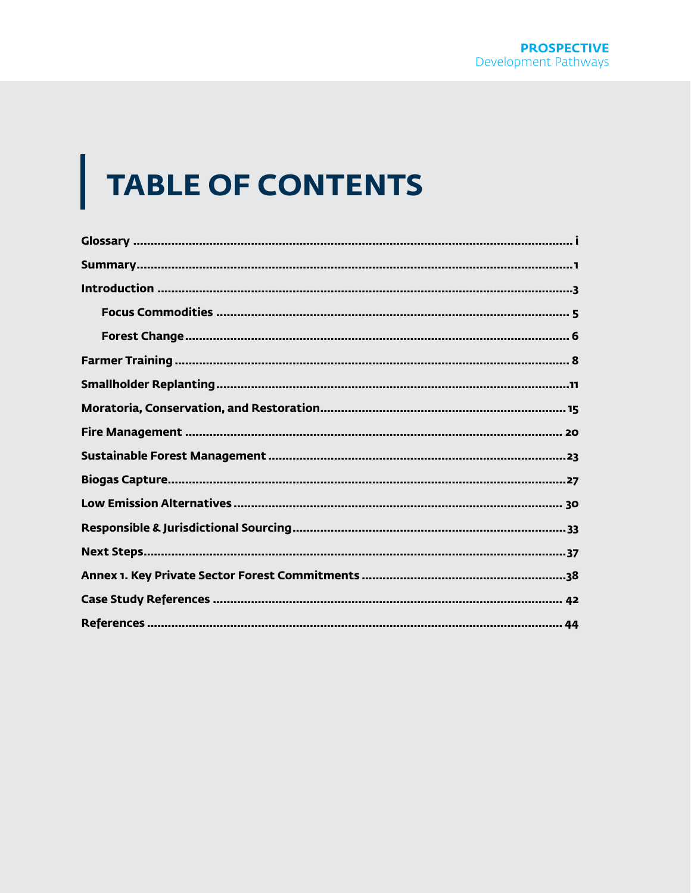# TABLE OF CONTENTS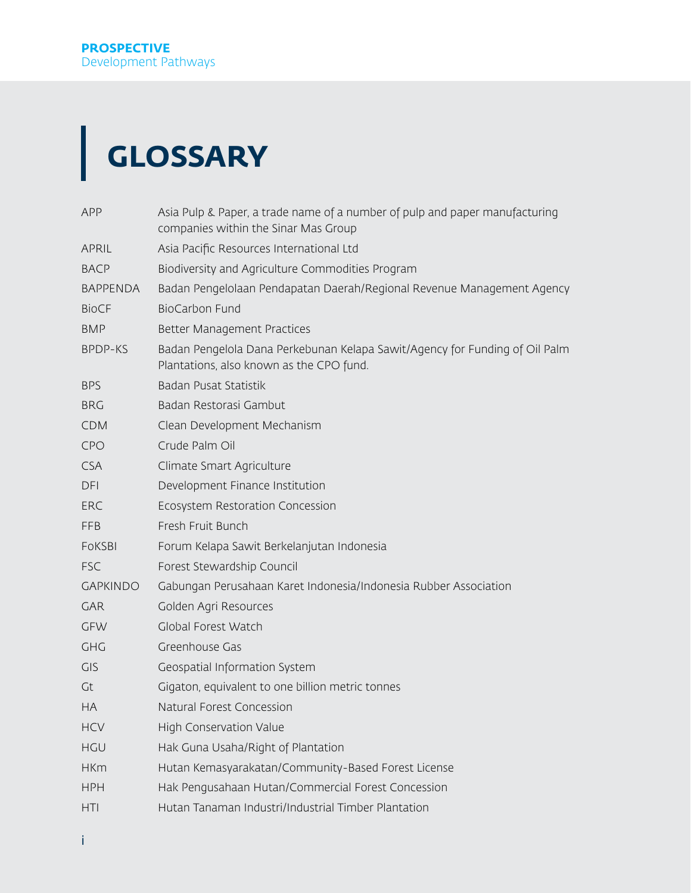# **GLOSSARY**

| <b>APP</b>      | Asia Pulp & Paper, a trade name of a number of pulp and paper manufacturing<br>companies within the Sinar Mas Group     |
|-----------------|-------------------------------------------------------------------------------------------------------------------------|
| <b>APRIL</b>    | Asia Pacific Resources International Ltd                                                                                |
| <b>BACP</b>     | Biodiversity and Agriculture Commodities Program                                                                        |
| <b>BAPPENDA</b> | Badan Pengelolaan Pendapatan Daerah/Regional Revenue Management Agency                                                  |
| <b>BioCF</b>    | <b>BioCarbon Fund</b>                                                                                                   |
| <b>BMP</b>      | Better Management Practices                                                                                             |
| <b>BPDP-KS</b>  | Badan Pengelola Dana Perkebunan Kelapa Sawit/Agency for Funding of Oil Palm<br>Plantations, also known as the CPO fund. |
| <b>BPS</b>      | Badan Pusat Statistik                                                                                                   |
| <b>BRG</b>      | Badan Restorasi Gambut                                                                                                  |
| <b>CDM</b>      | Clean Development Mechanism                                                                                             |
| <b>CPO</b>      | Crude Palm Oil                                                                                                          |
| <b>CSA</b>      | Climate Smart Agriculture                                                                                               |
| <b>DFI</b>      | Development Finance Institution                                                                                         |
| ERC             | Ecosystem Restoration Concession                                                                                        |
| <b>FFB</b>      | Fresh Fruit Bunch                                                                                                       |
| FoKSBI          | Forum Kelapa Sawit Berkelanjutan Indonesia                                                                              |
| <b>FSC</b>      | Forest Stewardship Council                                                                                              |
| <b>GAPKINDO</b> | Gabungan Perusahaan Karet Indonesia/Indonesia Rubber Association                                                        |
| <b>GAR</b>      | Golden Agri Resources                                                                                                   |
| <b>GFW</b>      | Global Forest Watch                                                                                                     |
| <b>GHG</b>      | Greenhouse Gas                                                                                                          |
| GIS             | Geospatial Information System                                                                                           |
| Gt              | Gigaton, equivalent to one billion metric tonnes                                                                        |
| <b>HA</b>       | Natural Forest Concession                                                                                               |
| <b>HCV</b>      | <b>High Conservation Value</b>                                                                                          |
| HGU             | Hak Guna Usaha/Right of Plantation                                                                                      |
| <b>HKm</b>      | Hutan Kemasyarakatan/Community-Based Forest License                                                                     |
| <b>HPH</b>      | Hak Pengusahaan Hutan/Commercial Forest Concession                                                                      |
| <b>HTI</b>      | Hutan Tanaman Industri/Industrial Timber Plantation                                                                     |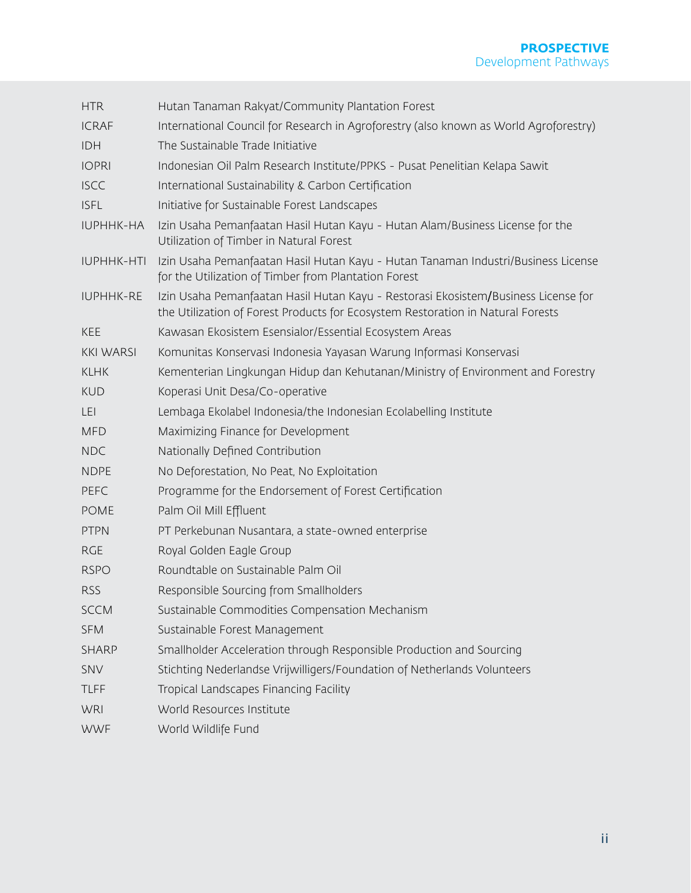| <b>HTR</b>        | Hutan Tanaman Rakyat/Community Plantation Forest                                                                                                                      |
|-------------------|-----------------------------------------------------------------------------------------------------------------------------------------------------------------------|
| <b>ICRAF</b>      | International Council for Research in Agroforestry (also known as World Agroforestry)                                                                                 |
| <b>IDH</b>        | The Sustainable Trade Initiative                                                                                                                                      |
| <b>IOPRI</b>      | Indonesian Oil Palm Research Institute/PPKS - Pusat Penelitian Kelapa Sawit                                                                                           |
| <b>ISCC</b>       | International Sustainability & Carbon Certification                                                                                                                   |
| <b>ISFL</b>       | Initiative for Sustainable Forest Landscapes                                                                                                                          |
| <b>IUPHHK-HA</b>  | Izin Usaha Pemanfaatan Hasil Hutan Kayu - Hutan Alam/Business License for the<br>Utilization of Timber in Natural Forest                                              |
| <b>IUPHHK-HTI</b> | Izin Usaha Pemanfaatan Hasil Hutan Kayu - Hutan Tanaman Industri/Business License<br>for the Utilization of Timber from Plantation Forest                             |
| <b>IUPHHK-RE</b>  | Izin Usaha Pemanfaatan Hasil Hutan Kayu - Restorasi Ekosistem/Business License for<br>the Utilization of Forest Products for Ecosystem Restoration in Natural Forests |
| KEE               | Kawasan Ekosistem Esensialor/Essential Ecosystem Areas                                                                                                                |
| <b>KKI WARSI</b>  | Komunitas Konservasi Indonesia Yayasan Warung Informasi Konservasi                                                                                                    |
| <b>KLHK</b>       | Kementerian Lingkungan Hidup dan Kehutanan/Ministry of Environment and Forestry                                                                                       |
| <b>KUD</b>        | Koperasi Unit Desa/Co-operative                                                                                                                                       |
| LEI               | Lembaga Ekolabel Indonesia/the Indonesian Ecolabelling Institute                                                                                                      |
| <b>MFD</b>        | Maximizing Finance for Development                                                                                                                                    |
| <b>NDC</b>        | Nationally Defined Contribution                                                                                                                                       |
| <b>NDPE</b>       | No Deforestation, No Peat, No Exploitation                                                                                                                            |
| <b>PEFC</b>       | Programme for the Endorsement of Forest Certification                                                                                                                 |
| <b>POME</b>       | Palm Oil Mill Effluent                                                                                                                                                |
| <b>PTPN</b>       | PT Perkebunan Nusantara, a state-owned enterprise                                                                                                                     |
| <b>RGE</b>        | Royal Golden Eagle Group                                                                                                                                              |
| <b>RSPO</b>       | Roundtable on Sustainable Palm Oil                                                                                                                                    |
| <b>RSS</b>        | Responsible Sourcing from Smallholders                                                                                                                                |
| <b>SCCM</b>       | Sustainable Commodities Compensation Mechanism                                                                                                                        |
| <b>SFM</b>        | Sustainable Forest Management                                                                                                                                         |
| <b>SHARP</b>      | Smallholder Acceleration through Responsible Production and Sourcing                                                                                                  |
| SNV               | Stichting Nederlandse Vrijwilligers/Foundation of Netherlands Volunteers                                                                                              |
| <b>TLFF</b>       | Tropical Landscapes Financing Facility                                                                                                                                |
| <b>WRI</b>        | World Resources Institute                                                                                                                                             |
| <b>WWF</b>        | World Wildlife Fund                                                                                                                                                   |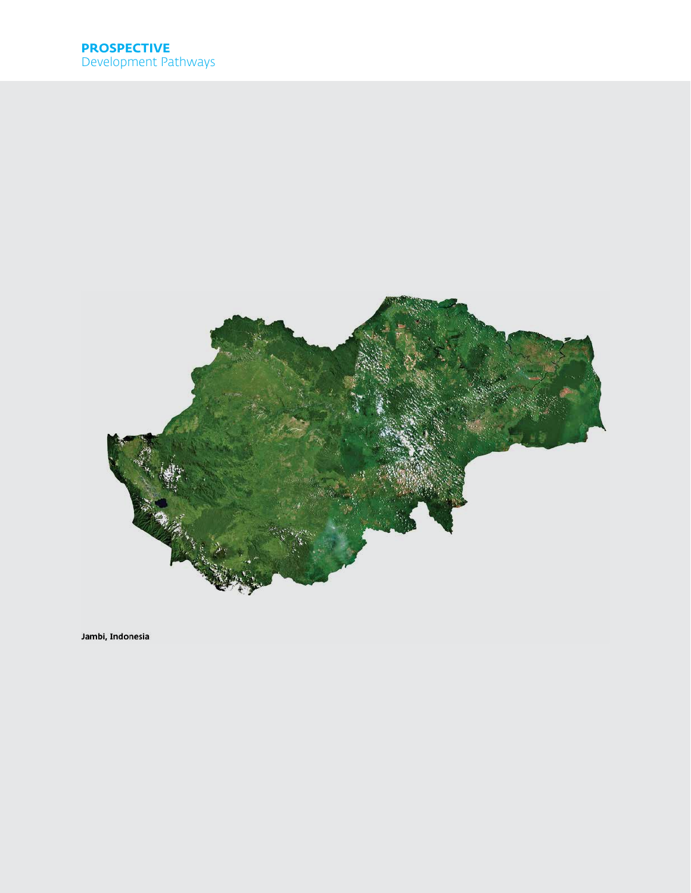

Jambi, Indonesia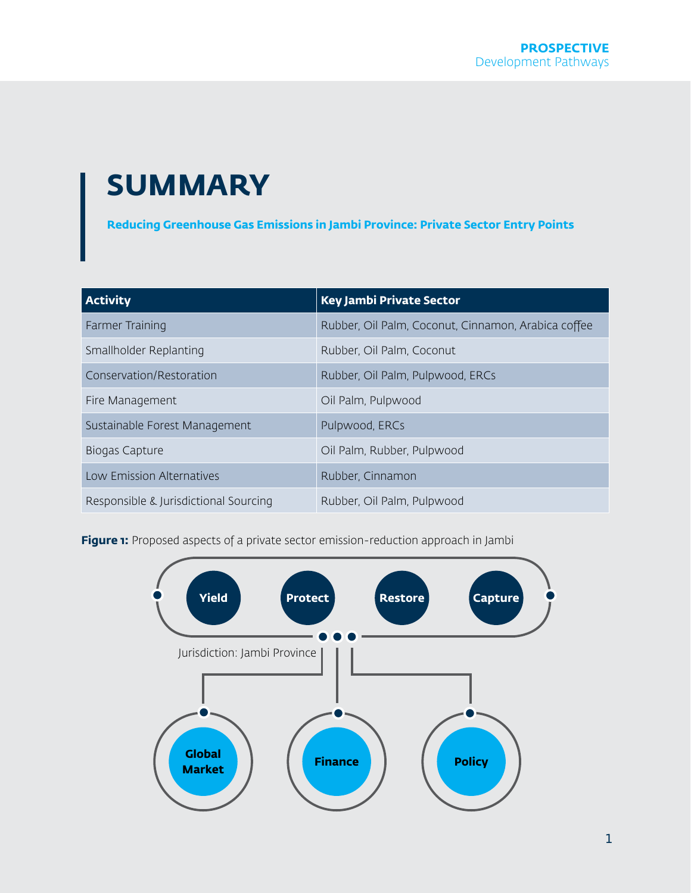# **SUMMARY**

**Reducing Greenhouse Gas Emissions in Jambi Province: Private Sector Entry Points**

| <b>Activity</b>                       | <b>Key Jambi Private Sector</b>                     |
|---------------------------------------|-----------------------------------------------------|
| Farmer Training                       | Rubber, Oil Palm, Coconut, Cinnamon, Arabica coffee |
| Smallholder Replanting                | Rubber, Oil Palm, Coconut                           |
| Conservation/Restoration              | Rubber, Oil Palm, Pulpwood, ERCs                    |
| Fire Management                       | Oil Palm, Pulpwood                                  |
| Sustainable Forest Management         | Pulpwood, ERCs                                      |
| <b>Biogas Capture</b>                 | Oil Palm, Rubber, Pulpwood                          |
| Low Emission Alternatives             | Rubber, Cinnamon                                    |
| Responsible & Jurisdictional Sourcing | Rubber, Oil Palm, Pulpwood                          |

**Figure 1:** Proposed aspects of a private sector emission-reduction approach in Jambi

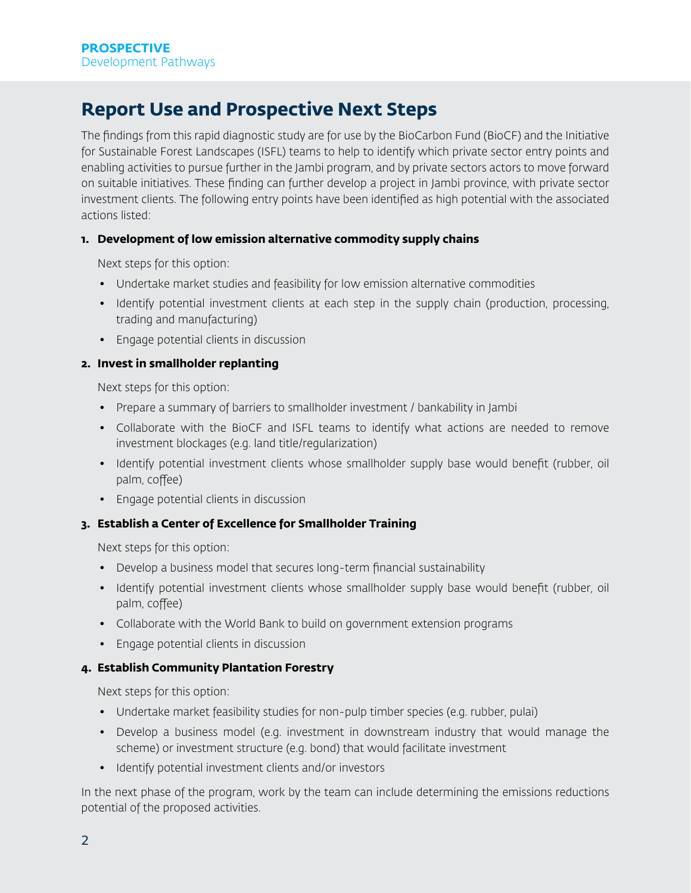### **Report Use and Prospective Next Steps**

The findings from this rapid diagnostic study are for use by the BioCarbon Fund (BioCF) and the Initiative for Sustainable Forest Landscapes (ISFL) teams to help to identify which private sector entry points and enabling activities to pursue further in the Jambi program, and by private sectors actors to move forward on suitable initiatives. These finding can further develop a project in Jambi province, with private sector investment clients. The following entry points have been identified as high potential with the associated actions listed:

#### **1. Development of low emission alternative commodity supply chains**

Next steps for this option:

- Undertake market studies and feasibility for low emission alternative commodities
- Identify potential investment clients at each step in the supply chain (production, processing, trading and manufacturing)
- Engage potential clients in discussion

#### **2. Invest in smallholder replanting**

Next steps for this option:

- Prepare a summary of barriers to smallholder investment / bankability in Jambi
- Collaborate with the BioCF and ISFL teams to identify what actions are needed to remove investment blockages (e.g. land title/regularization)
- Identify potential investment clients whose smallholder supply base would benefit (rubber, oil palm, coffee)
- Engage potential clients in discussion

#### **3. Establish a Center of Excellence for Smallholder Training**

Next steps for this option:

- Develop a business model that secures long-term financial sustainability
- Identify potential investment clients whose smallholder supply base would benefit (rubber, oil palm, coffee)
- Collaborate with the World Bank to build on government extension programs
- Engage potential clients in discussion

#### **4. Establish Community Plantation Forestry**

Next steps for this option:

- Undertake market feasibility studies for non-pulp timber species (e.g. rubber, pulai)
- Develop a business model (e.g. investment in downstream industry that would manage the scheme) or investment structure (e.g. bond) that would facilitate investment
- Identify potential investment clients and/or investors

In the next phase of the program, work by the team can include determining the emissions reductions potential of the proposed activities.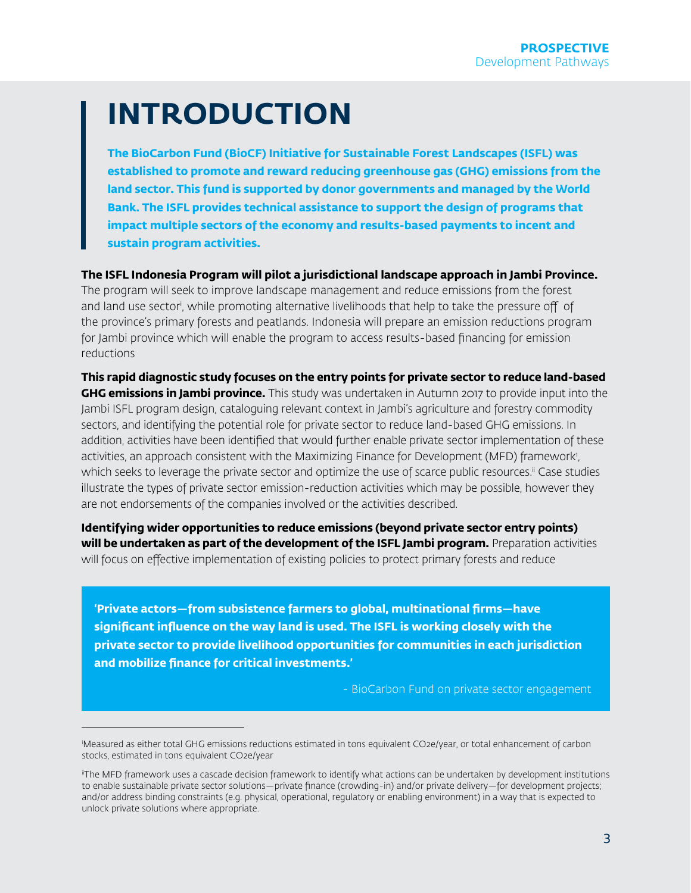# **INTRODUCTION**

**The BioCarbon Fund (BioCF) Initiative for Sustainable Forest Landscapes (ISFL) was established to promote and reward reducing greenhouse gas (GHG) emissions from the land sector. This fund is supported by donor governments and managed by the World Bank. The ISFL provides technical assistance to support the design of programs that impact multiple sectors of the economy and results-based payments to incent and sustain program activities.**

**The ISFL Indonesia Program will pilot a jurisdictional landscape approach in Jambi Province.** The program will seek to improve landscape management and reduce emissions from the forest and land use sectori , while promoting alternative livelihoods that help to take the pressure off of the province's primary forests and peatlands. Indonesia will prepare an emission reductions program

for Jambi province which will enable the program to access results-based financing for emission reductions

**This rapid diagnostic study focuses on the entry points for private sector to reduce land-based GHG emissions in Jambi province.** This study was undertaken in Autumn 2017 to provide input into the Jambi ISFL program design, cataloguing relevant context in Jambi's agriculture and forestry commodity sectors, and identifying the potential role for private sector to reduce land-based GHG emissions. In addition, activities have been identified that would further enable private sector implementation of these activities, an approach consistent with the Maximizing Finance for Development (MFD) framework', which seeks to leverage the private sector and optimize the use of scarce public resources.<sup>ii</sup> Case studies illustrate the types of private sector emission-reduction activities which may be possible, however they are not endorsements of the companies involved or the activities described.

**Identifying wider opportunities to reduce emissions (beyond private sector entry points) will be undertaken as part of the development of the ISFL Jambi program.** Preparation activities will focus on effective implementation of existing policies to protect primary forests and reduce

**'Private actors—from subsistence farmers to global, multinational firms—have significant influence on the way land is used. The ISFL is working closely with the private sector to provide livelihood opportunities for communities in each jurisdiction and mobilize finance for critical investments.'**

- BioCarbon Fund on private sector engagement

i Measured as either total GHG emissions reductions estimated in tons equivalent CO2e/year, or total enhancement of carbon stocks, estimated in tons equivalent CO2e/year

iThe MFD framework uses a cascade decision framework to identify what actions can be undertaken by development institutions to enable sustainable private sector solutions—private finance (crowding-in) and/or private delivery—for development projects; and/or address binding constraints (e.g. physical, operational, regulatory or enabling environment) in a way that is expected to unlock private solutions where appropriate.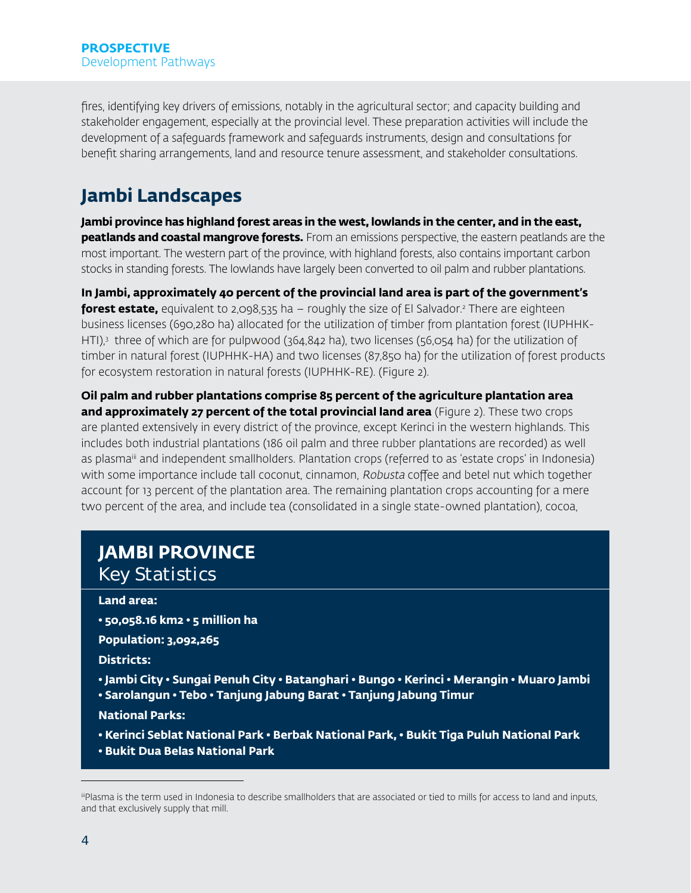fires, identifying key drivers of emissions, notably in the agricultural sector; and capacity building and stakeholder engagement, especially at the provincial level. These preparation activities will include the development of a safeguards framework and safeguards instruments, design and consultations for benefit sharing arrangements, land and resource tenure assessment, and stakeholder consultations.

### **Jambi Landscapes**

**Jambi province has highland forest areas in the west, lowlands in the center, and in the east, peatlands and coastal mangrove forests.** From an emissions perspective, the eastern peatlands are the most important. The western part of the province, with highland forests, also contains important carbon stocks in standing forests. The lowlands have largely been converted to oil palm and rubber plantations.

**In Jambi, approximately 40 percent of the provincial land area is part of the government's forest estate,** equivalent to 2,098,535 ha – roughly the size of El Salvador.<sup>2</sup> There are eighteen business licenses (690,280 ha) allocated for the utilization of timber from plantation forest (IUPHHK-HTI),3 three of which are for pulpwood (364,842 ha), two licenses (56,054 ha) for the utilization of timber in natural forest (IUPHHK-HA) and two licenses (87,850 ha) for the utilization of forest products for ecosystem restoration in natural forests (IUPHHK-RE). (Figure 2).

**Oil palm and rubber plantations comprise 85 percent of the agriculture plantation area and approximately 27 percent of the total provincial land area** (Figure 2). These two crops are planted extensively in every district of the province, except Kerinci in the western highlands. This includes both industrial plantations (186 oil palm and three rubber plantations are recorded) as well as plasma<sup>iii</sup> and independent smallholders. Plantation crops (referred to as 'estate crops' in Indonesia) with some importance include tall coconut, cinnamon, Robusta coffee and betel nut which together account for 13 percent of the plantation area. The remaining plantation crops accounting for a mere two percent of the area, and include tea (consolidated in a single state-owned plantation), cocoa,

### **JAMBI PROVINCE**

#### Key Statistics

#### **Land area:**

- **50,058.16 km2 5 million ha**
- **Population: 3,092,265**

**Districts:** 

**• Jambi City • Sungai Penuh City • Batanghari • Bungo • Kerinci • Merangin • Muaro Jambi • Sarolangun • Tebo • Tanjung Jabung Barat • Tanjung Jabung Timur**

#### **National Parks:**

- **Kerinci Seblat National Park Berbak National Park, Bukit Tiga Puluh National Park**
- **Bukit Dua Belas National Park**

iiiPlasma is the term used in Indonesia to describe smallholders that are associated or tied to mills for access to land and inputs, and that exclusively supply that mill.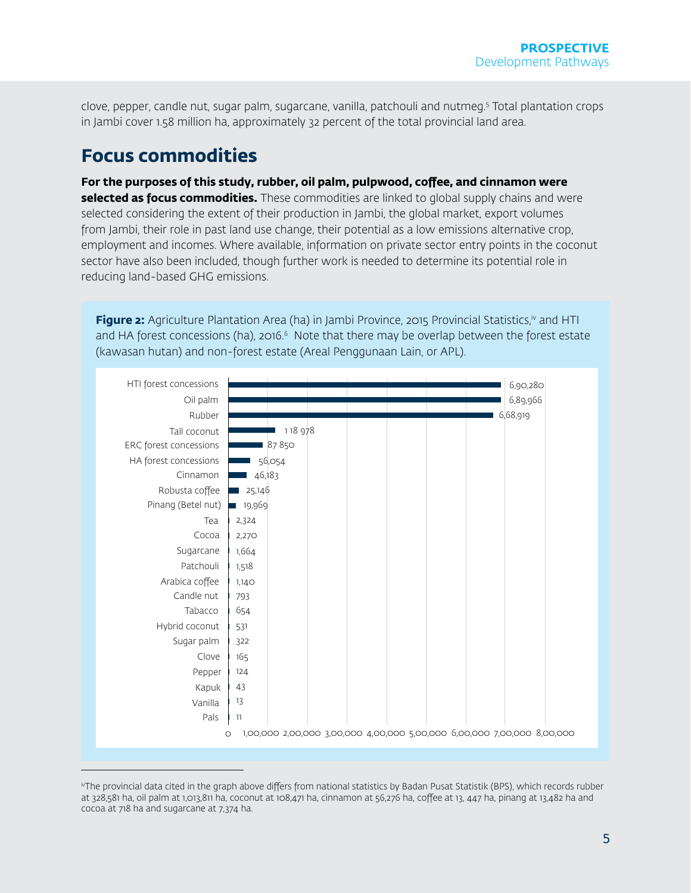clove, pepper, candle nut, sugar palm, sugarcane, vanilla, patchouli and nutmeg.5 Total plantation crops in Jambi cover 1.58 million ha, approximately 32 percent of the total provincial land area.

### **Focus commodities**

**For the purposes of this study, rubber, oil palm, pulpwood, coffee, and cinnamon were selected as focus commodities.** These commodities are linked to global supply chains and were selected considering the extent of their production in Jambi, the global market, export volumes from Jambi, their role in past land use change, their potential as a low emissions alternative crop, employment and incomes. Where available, information on private sector entry points in the coconut sector have also been included, though further work is needed to determine its potential role in reducing land-based GHG emissions.

**Figure 2:** Agriculture Plantation Area (ha) in Jambi Province, 2015 Provincial Statistics,<sup>iv</sup> and HTI and HA forest concessions (ha), 2016. $^{\circ}$  Note that there may be overlap between the forest estate (kawasan hutan) and non-forest estate (Areal Penggunaan Lain, or APL).



ivThe provincial data cited in the graph above differs from national statistics by Badan Pusat Statistik (BPS), which records rubber at 328,581 ha, oil palm at 1,013,811 ha, coconut at 108,471 ha, cinnamon at 56,276 ha, coffee at 13, 447 ha, pinang at 13,482 ha and cocoa at 718 ha and sugarcane at 7,374 ha.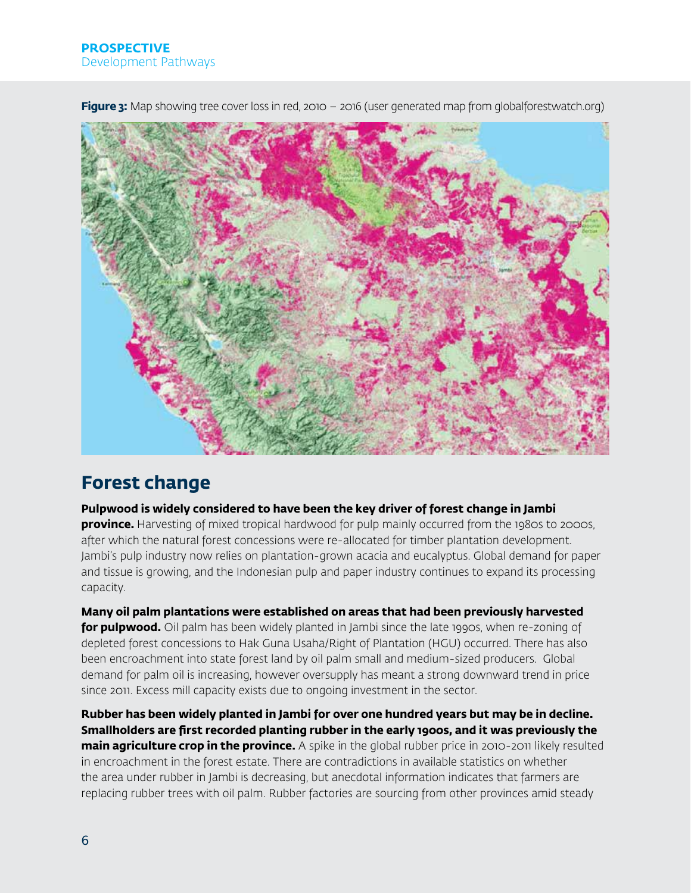

**Figure 3:** Map showing tree cover loss in red, 2010 – 2016 (user generated map from globalforestwatch.org)

### **Forest change**

#### **Pulpwood is widely considered to have been the key driver of forest change in Jambi**

**province.** Harvesting of mixed tropical hardwood for pulp mainly occurred from the 1980s to 2000s, after which the natural forest concessions were re-allocated for timber plantation development. Jambi's pulp industry now relies on plantation-grown acacia and eucalyptus. Global demand for paper and tissue is growing, and the Indonesian pulp and paper industry continues to expand its processing capacity.

**Many oil palm plantations were established on areas that had been previously harvested for pulpwood.** Oil palm has been widely planted in Jambi since the late 1990s, when re-zoning of depleted forest concessions to Hak Guna Usaha/Right of Plantation (HGU) occurred. There has also been encroachment into state forest land by oil palm small and medium-sized producers. Global demand for palm oil is increasing, however oversupply has meant a strong downward trend in price since 2011. Excess mill capacity exists due to ongoing investment in the sector.

**Rubber has been widely planted in Jambi for over one hundred years but may be in decline. Smallholders are first recorded planting rubber in the early 1900s, and it was previously the main agriculture crop in the province.** A spike in the global rubber price in 2010-2011 likely resulted in encroachment in the forest estate. There are contradictions in available statistics on whether the area under rubber in Jambi is decreasing, but anecdotal information indicates that farmers are replacing rubber trees with oil palm. Rubber factories are sourcing from other provinces amid steady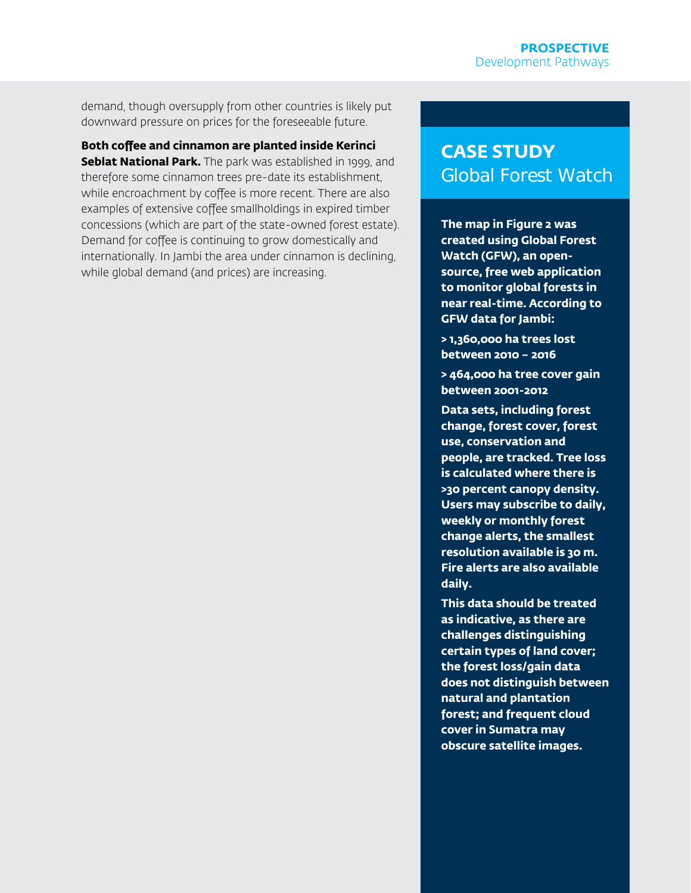demand, though oversupply from other countries is likely put downward pressure on prices for the foreseeable future.

**Both coffee and cinnamon are planted inside Kerinci Seblat National Park.** The park was established in 1999, and therefore some cinnamon trees pre-date its establishment, while encroachment by coffee is more recent. There are also examples of extensive coffee smallholdings in expired timber concessions (which are part of the state-owned forest estate). Demand for coffee is continuing to grow domestically and internationally. In Jambi the area under cinnamon is declining, while global demand (and prices) are increasing.

### **CASE STUDY** Global Forest Watch

**The map in Figure 2 was created using Global Forest Watch (GFW), an opensource, free web application to monitor global forests in near real-time. According to GFW data for Jambi:** 

**> 1,360,000 ha trees lost between 2010 – 2016**

**> 464,000 ha tree cover gain between 2001-2012** 

**Data sets, including forest change, forest cover, forest use, conservation and people, are tracked. Tree loss is calculated where there is >30 percent canopy density. Users may subscribe to daily, weekly or monthly forest change alerts, the smallest resolution available is 30 m. Fire alerts are also available daily.** 

**This data should be treated as indicative, as there are challenges distinguishing certain types of land cover; the forest loss/gain data does not distinguish between natural and plantation forest; and frequent cloud cover in Sumatra may obscure satellite images.**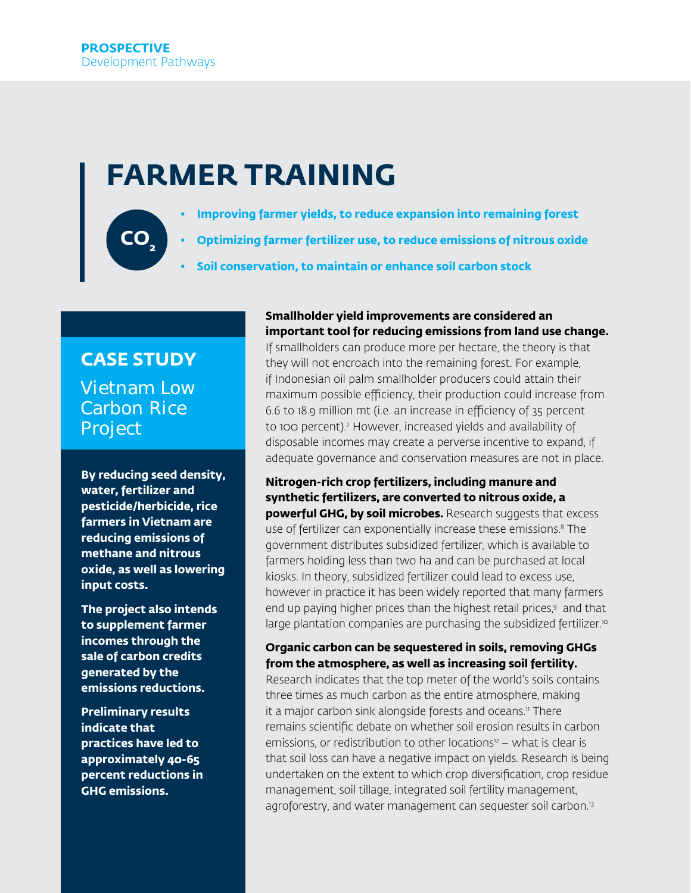# **FARMER TRAINING**

- **• Improving farmer yields, to reduce expansion into remaining forest** 
	- **• Optimizing farmer fertilizer use, to reduce emissions of nitrous oxide**
	- **• Soil conservation, to maintain or enhance soil carbon stock**

### **CASE STUDY** Vietnam Low Carbon Rice Project

**CO2**

**By reducing seed density, water, fertilizer and pesticide/herbicide, rice farmers in Vietnam are reducing emissions of methane and nitrous oxide, as well as lowering input costs.**

**The project also intends to supplement farmer incomes through the sale of carbon credits generated by the emissions reductions.** 

**Preliminary results indicate that practices have led to approximately 40-65 percent reductions in GHG emissions.** 

#### **Smallholder yield improvements are considered an important tool for reducing emissions from land use change.**

If smallholders can produce more per hectare, the theory is that they will not encroach into the remaining forest. For example, if Indonesian oil palm smallholder producers could attain their maximum possible efficiency, their production could increase from 6.6 to 18.9 million mt (i.e. an increase in efficiency of 35 percent to 100 percent).7 However, increased yields and availability of disposable incomes may create a perverse incentive to expand, if adequate governance and conservation measures are not in place.

#### **Nitrogen-rich crop fertilizers, including manure and synthetic fertilizers, are converted to nitrous oxide, a powerful GHG, by soil microbes.** Research suggests that excess use of fertilizer can exponentially increase these emissions.8 The government distributes subsidized fertilizer, which is available to farmers holding less than two ha and can be purchased at local kiosks. In theory, subsidized fertilizer could lead to excess use, however in practice it has been widely reported that many farmers end up paying higher prices than the highest retail prices,<sup>9</sup> and that large plantation companies are purchasing the subsidized fertilizer.<sup>10</sup>

#### **Organic carbon can be sequestered in soils, removing GHGs from the atmosphere, as well as increasing soil fertility.**

Research indicates that the top meter of the world's soils contains three times as much carbon as the entire atmosphere, making it a major carbon sink alongside forests and oceans.<sup>11</sup> There remains scientific debate on whether soil erosion results in carbon emissions, or redistribution to other locations<sup>12</sup> – what is clear is that soil loss can have a negative impact on yields. Research is being undertaken on the extent to which crop diversification, crop residue management, soil tillage, integrated soil fertility management, agroforestry, and water management can sequester soil carbon.<sup>13</sup>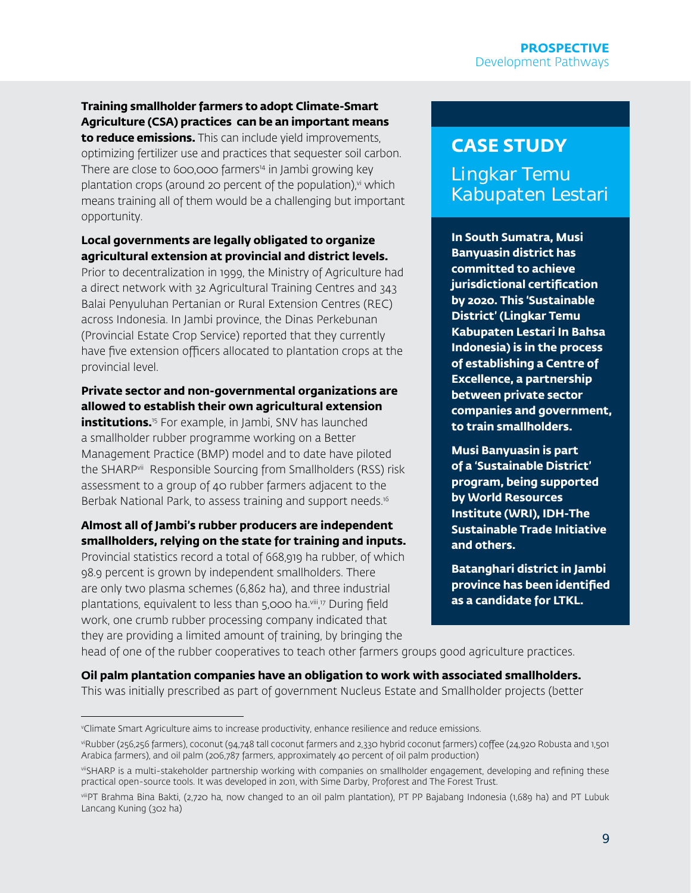#### **Training smallholder farmers to adopt Climate-Smart Agriculture (CSA) practices can be an important means**

**to reduce emissions.** This can include yield improvements, optimizing fertilizer use and practices that sequester soil carbon. There are close to 600,000 farmers<sup>14</sup> in Jambi growing key plantation crops (around 20 percent of the population),vi which means training all of them would be a challenging but important opportunity.

#### **Local governments are legally obligated to organize agricultural extension at provincial and district levels.**

Prior to decentralization in 1999, the Ministry of Agriculture had a direct network with 32 Agricultural Training Centres and 343 Balai Penyuluhan Pertanian or Rural Extension Centres (REC) across Indonesia. In Jambi province, the Dinas Perkebunan (Provincial Estate Crop Service) reported that they currently have five extension officers allocated to plantation crops at the provincial level.

#### **Private sector and non-governmental organizations are allowed to establish their own agricultural extension**

**institutions.**<sup>15</sup> For example, in Jambi, SNV has launched a smallholder rubber programme working on a Better Management Practice (BMP) model and to date have piloted the SHARPvii Responsible Sourcing from Smallholders (RSS) risk assessment to a group of 40 rubber farmers adjacent to the Berbak National Park, to assess training and support needs.<sup>16</sup>

#### **Almost all of Jambi's rubber producers are independent smallholders, relying on the state for training and inputs.**

Provincial statistics record a total of 668,919 ha rubber, of which 98.9 percent is grown by independent smallholders. There are only two plasma schemes (6,862 ha), and three industrial plantations, equivalent to less than 5,000 ha.viii, 17 During field work, one crumb rubber processing company indicated that they are providing a limited amount of training, by bringing the

### **CASE STUDY**

Lingkar Temu Kabupaten Lestari

**In South Sumatra, Musi Banyuasin district has committed to achieve jurisdictional certification by 2020. This 'Sustainable District' (Lingkar Temu Kabupaten Lestari In Bahsa Indonesia) is in the process of establishing a Centre of Excellence, a partnership between private sector companies and government, to train smallholders.** 

**Musi Banyuasin is part of a 'Sustainable District' program, being supported by World Resources Institute (WRI), IDH-The Sustainable Trade Initiative and others.** 

**Batanghari district in Jambi province has been identified as a candidate for LTKL.**

head of one of the rubber cooperatives to teach other farmers groups good agriculture practices.

### **Oil palm plantation companies have an obligation to work with associated smallholders.**

This was initially prescribed as part of government Nucleus Estate and Smallholder projects (better

v Climate Smart Agriculture aims to increase productivity, enhance resilience and reduce emissions.

viRubber (256,256 farmers), coconut (94,748 tall coconut farmers and 2,330 hybrid coconut farmers) coffee (24,920 Robusta and 1,501 Arabica farmers), and oil palm (206,787 farmers, approximately 40 percent of oil palm production)

viiSHARP is a multi-stakeholder partnership working with companies on smallholder engagement, developing and refining these practical open-source tools. It was developed in 2011, with Sime Darby, Proforest and The Forest Trust.

viiiPT Brahma Bina Bakti, (2,720 ha, now changed to an oil palm plantation), PT PP Bajabang Indonesia (1,689 ha) and PT Lubuk Lancang Kuning (302 ha)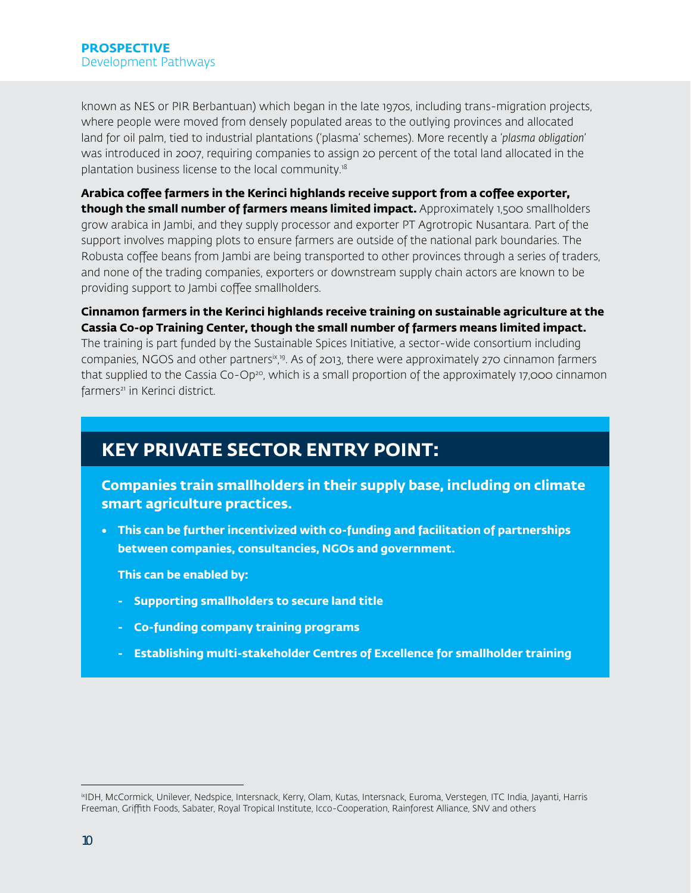known as NES or PIR Berbantuan) which began in the late 1970s, including trans-migration projects, where people were moved from densely populated areas to the outlying provinces and allocated land for oil palm, tied to industrial plantations ('plasma' schemes). More recently a '*plasma obligation*' was introduced in 2007, requiring companies to assign 20 percent of the total land allocated in the plantation business license to the local community.18

**Arabica coffee farmers in the Kerinci highlands receive support from a coffee exporter, though the small number of farmers means limited impact.** Approximately 1,500 smallholders grow arabica in Jambi, and they supply processor and exporter PT Agrotropic Nusantara. Part of the support involves mapping plots to ensure farmers are outside of the national park boundaries. The Robusta coffee beans from Jambi are being transported to other provinces through a series of traders, and none of the trading companies, exporters or downstream supply chain actors are known to be providing support to Jambi coffee smallholders.

#### **Cinnamon farmers in the Kerinci highlands receive training on sustainable agriculture at the Cassia Co-op Training Center, though the small number of farmers means limited impact.**

The training is part funded by the Sustainable Spices Initiative, a sector-wide consortium including companies, NGOS and other partnersix, 19. As of 2013, there were approximately 270 cinnamon farmers that supplied to the Cassia Co-Op<sup>20</sup>, which is a small proportion of the approximately 17,000 cinnamon farmers<sup>21</sup> in Kerinci district.

### **KEY PRIVATE SECTOR ENTRY POINT:**

**Companies train smallholders in their supply base, including on climate smart agriculture practices.** 

• **This can be further incentivized with co-funding and facilitation of partnerships between companies, consultancies, NGOs and government.** 

**This can be enabled by:**

- **- Supporting smallholders to secure land title**
- **- Co-funding company training programs**
- **- Establishing multi-stakeholder Centres of Excellence for smallholder training**

ixIDH, McCormick, Unilever, Nedspice, Intersnack, Kerry, Olam, Kutas, Intersnack, Euroma, Verstegen, ITC India, Jayanti, Harris Freeman, Griffith Foods, Sabater, Royal Tropical Institute, Icco-Cooperation, Rainforest Alliance, SNV and others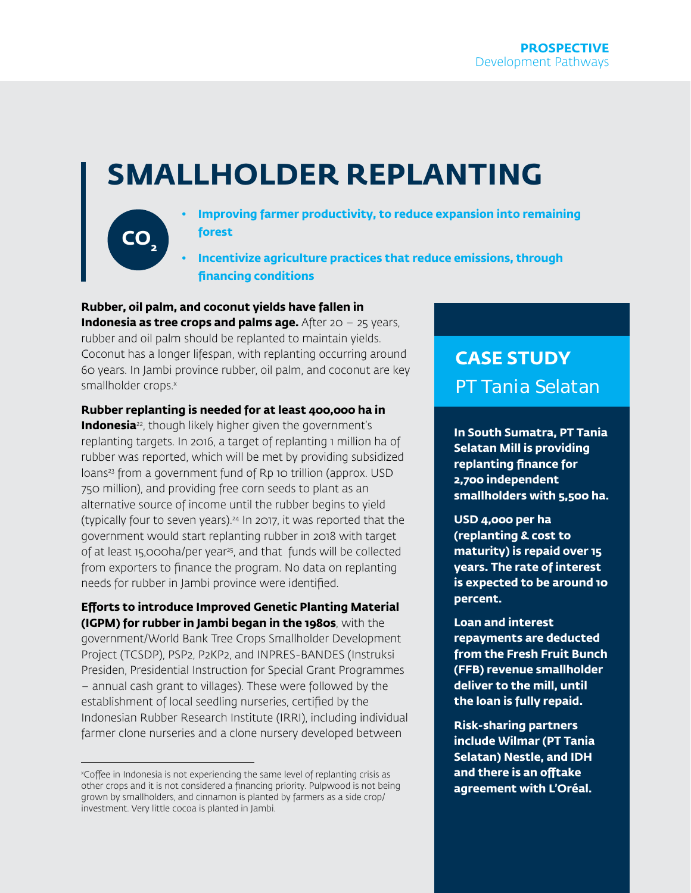# **SMALLHOLDER REPLANTING**



**• Improving farmer productivity, to reduce expansion into remaining forest** 

**• Incentivize agriculture practices that reduce emissions, through financing conditions**

**Rubber, oil palm, and coconut yields have fallen in Indonesia as tree crops and palms age.** After 20 - 25 years, rubber and oil palm should be replanted to maintain yields. Coconut has a longer lifespan, with replanting occurring around 60 years. In Jambi province rubber, oil palm, and coconut are key smallholder crops.x

**Rubber replanting is needed for at least 400,000 ha in Indonesia**<sup>22</sup>, though likely higher given the government's replanting targets. In 2016, a target of replanting 1 million ha of rubber was reported, which will be met by providing subsidized loans<sup>23</sup> from a government fund of Rp 10 trillion (approx. USD 750 million), and providing free corn seeds to plant as an alternative source of income until the rubber begins to yield (typically four to seven years).24 In 2017, it was reported that the government would start replanting rubber in 2018 with target of at least 15,000 ha/per year<sup>25</sup>, and that funds will be collected from exporters to finance the program. No data on replanting needs for rubber in Jambi province were identified.

**Efforts to introduce Improved Genetic Planting Material (IGPM) for rubber in Jambi began in the 1980s**, with the government/World Bank Tree Crops Smallholder Development Project (TCSDP), PSP2, P2KP2, and INPRES-BANDES (Instruksi Presiden, Presidential Instruction for Special Grant Programmes – annual cash grant to villages). These were followed by the establishment of local seedling nurseries, certified by the Indonesian Rubber Research Institute (IRRI), including individual farmer clone nurseries and a clone nursery developed between

### **CASE STUDY** PT Tania Selatan

**In South Sumatra, PT Tania Selatan Mill is providing replanting finance for 2,700 independent smallholders with 5,500 ha.** 

**USD 4,000 per ha (replanting & cost to maturity) is repaid over 15 years. The rate of interest is expected to be around 10 percent.**

**Loan and interest repayments are deducted from the Fresh Fruit Bunch (FFB) revenue smallholder deliver to the mill, until the loan is fully repaid.**

**Risk-sharing partners include Wilmar (PT Tania Selatan) Nestle, and IDH and there is an offtake agreement with L'Oréal.** 

x Coffee in Indonesia is not experiencing the same level of replanting crisis as other crops and it is not considered a financing priority. Pulpwood is not being grown by smallholders, and cinnamon is planted by farmers as a side crop/ investment. Very little cocoa is planted in Jambi.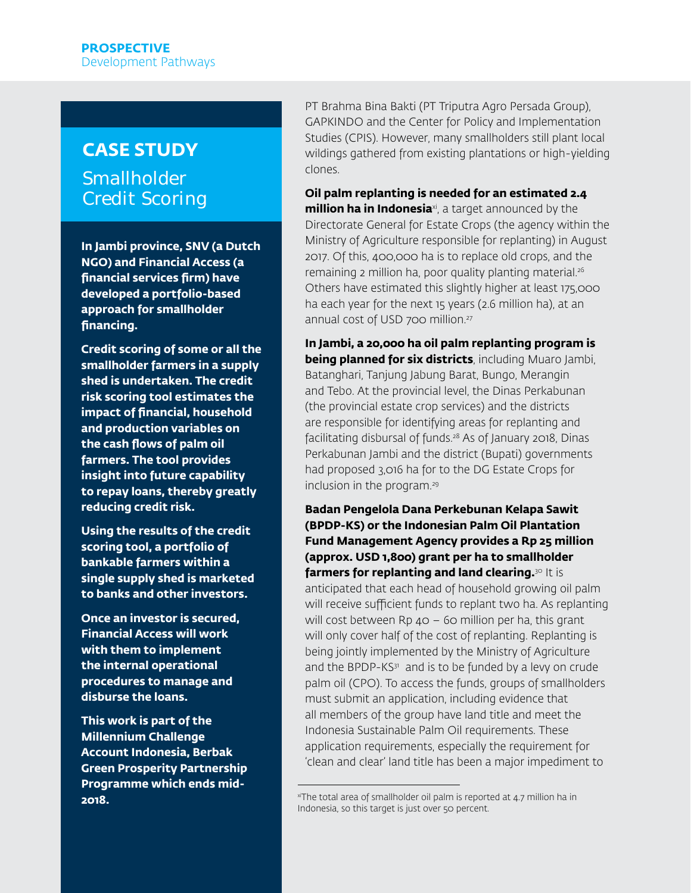### **CASE STUDY**

**Smallholder** Credit Scoring

**In Jambi province, SNV (a Dutch NGO) and Financial Access (a financial services firm) have developed a portfolio-based approach for smallholder financing.**

**Credit scoring of some or all the smallholder farmers in a supply shed is undertaken. The credit risk scoring tool estimates the impact of financial, household and production variables on the cash flows of palm oil farmers. The tool provides insight into future capability to repay loans, thereby greatly reducing credit risk.**

**Using the results of the credit scoring tool, a portfolio of bankable farmers within a single supply shed is marketed to banks and other investors.** 

**Once an investor is secured, Financial Access will work with them to implement the internal operational procedures to manage and disburse the loans.** 

**This work is part of the Millennium Challenge Account Indonesia, Berbak Green Prosperity Partnership Programme which ends mid-2018.**

PT Brahma Bina Bakti (PT Triputra Agro Persada Group), GAPKINDO and the Center for Policy and Implementation Studies (CPIS). However, many smallholders still plant local wildings gathered from existing plantations or high-yielding clones.

**Oil palm replanting is needed for an estimated 2.4 million ha in Indonesia**<sup>xi</sup>, a target announced by the Directorate General for Estate Crops (the agency within the Ministry of Agriculture responsible for replanting) in August 2017. Of this, 400,000 ha is to replace old crops, and the remaining 2 million ha, poor quality planting material.<sup>26</sup> Others have estimated this slightly higher at least 175,000 ha each year for the next 15 years (2.6 million ha), at an annual cost of USD 700 million.<sup>27</sup>

**In Jambi, a 20,000 ha oil palm replanting program is being planned for six districts**, including Muaro Jambi, Batanghari, Tanjung Jabung Barat, Bungo, Merangin and Tebo. At the provincial level, the Dinas Perkabunan (the provincial estate crop services) and the districts are responsible for identifying areas for replanting and facilitating disbursal of funds.28 As of January 2018, Dinas Perkabunan Jambi and the district (Bupati) governments had proposed 3,016 ha for to the DG Estate Crops for inclusion in the program.<sup>29</sup>

**Badan Pengelola Dana Perkebunan Kelapa Sawit (BPDP-KS) or the Indonesian Palm Oil Plantation Fund Management Agency provides a Rp 25 million (approx. USD 1,800) grant per ha to smallholder farmers for replanting and land clearing.**30 It is anticipated that each head of household growing oil palm will receive sufficient funds to replant two ha. As replanting will cost between Rp  $40 - 60$  million per ha, this grant will only cover half of the cost of replanting. Replanting is being jointly implemented by the Ministry of Agriculture and the BPDP-KS $31$  and is to be funded by a levy on crude palm oil (CPO). To access the funds, groups of smallholders must submit an application, including evidence that all members of the group have land title and meet the Indonesia Sustainable Palm Oil requirements. These application requirements, especially the requirement for 'clean and clear' land title has been a major impediment to

xiThe total area of smallholder oil palm is reported at 4.7 million ha in Indonesia, so this target is just over 50 percent.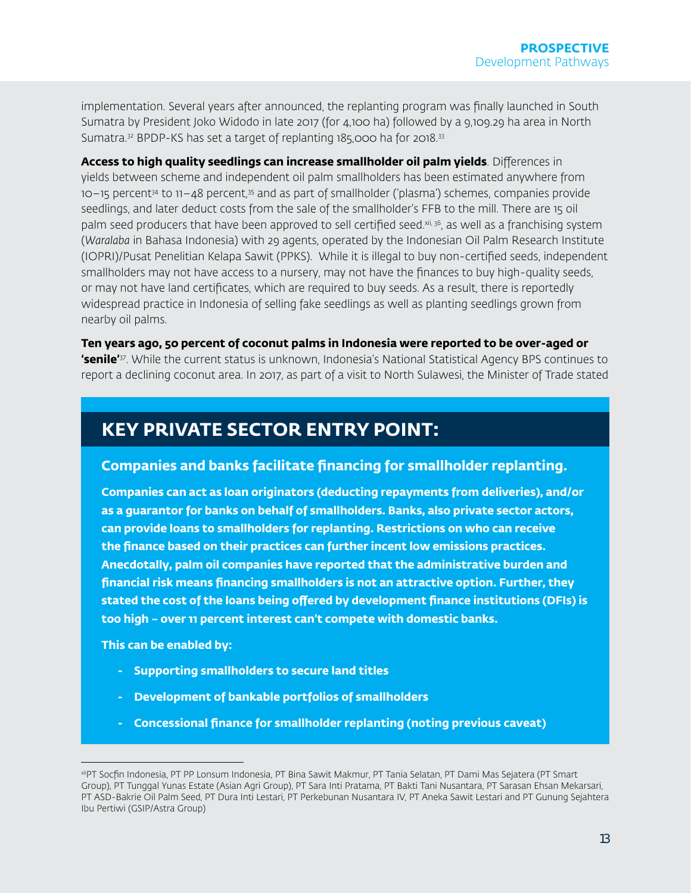implementation. Several years after announced, the replanting program was finally launched in South Sumatra by President Joko Widodo in late 2017 (for 4,100 ha) followed by a 9,109.29 ha area in North Sumatra.<sup>32</sup> BPDP-KS has set a target of replanting 185,000 ha for 2018.<sup>33</sup>

**Access to high quality seedlings can increase smallholder oil palm yields**. Differences in yields between scheme and independent oil palm smallholders has been estimated anywhere from 10–15 percent34 to 11–48 percent,35 and as part of smallholder ('plasma') schemes, companies provide seedlings, and later deduct costs from the sale of the smallholder's FFB to the mill. There are 15 oil palm seed producers that have been approved to sell certified seed.<sup>xii, 36</sup>, as well as a franchising system (*Waralaba* in Bahasa Indonesia) with 29 agents, operated by the Indonesian Oil Palm Research Institute (IOPRI)/Pusat Penelitian Kelapa Sawit (PPKS). While it is illegal to buy non-certified seeds, independent smallholders may not have access to a nursery, may not have the finances to buy high-quality seeds, or may not have land certificates, which are required to buy seeds. As a result, there is reportedly widespread practice in Indonesia of selling fake seedlings as well as planting seedlings grown from nearby oil palms.

#### **Ten years ago, 50 percent of coconut palms in Indonesia were reported to be over-aged or**

**'senile'**37. While the current status is unknown, Indonesia's National Statistical Agency BPS continues to report a declining coconut area. In 2017, as part of a visit to North Sulawesi, the Minister of Trade stated

### **KEY PRIVATE SECTOR ENTRY POINT:**

#### **Companies and banks facilitate financing for smallholder replanting.**

**Companies can act as loan originators (deducting repayments from deliveries), and/or as a guarantor for banks on behalf of smallholders. Banks, also private sector actors, can provide loans to smallholders for replanting. Restrictions on who can receive the finance based on their practices can further incent low emissions practices. Anecdotally, palm oil companies have reported that the administrative burden and financial risk means financing smallholders is not an attractive option. Further, they stated the cost of the loans being offered by development finance institutions (DFIs) is too high – over 11 percent interest can't compete with domestic banks.** 

**This can be enabled by:**

- **- Supporting smallholders to secure land titles**
- **- Development of bankable portfolios of smallholders**
- **- Concessional finance for smallholder replanting (noting previous caveat)**

xiiPT Socfin Indonesia, PT PP Lonsum Indonesia, PT Bina Sawit Makmur, PT Tania Selatan, PT Dami Mas Sejatera (PT Smart Group), PT Tunggal Yunas Estate (Asian Agri Group), PT Sara Inti Pratama, PT Bakti Tani Nusantara, PT Sarasan Ehsan Mekarsari, PT ASD-Bakrie Oil Palm Seed, PT Dura Inti Lestari, PT Perkebunan Nusantara IV, PT Aneka Sawit Lestari and PT Gunung Sejahtera Ibu Pertiwi (GSIP/Astra Group)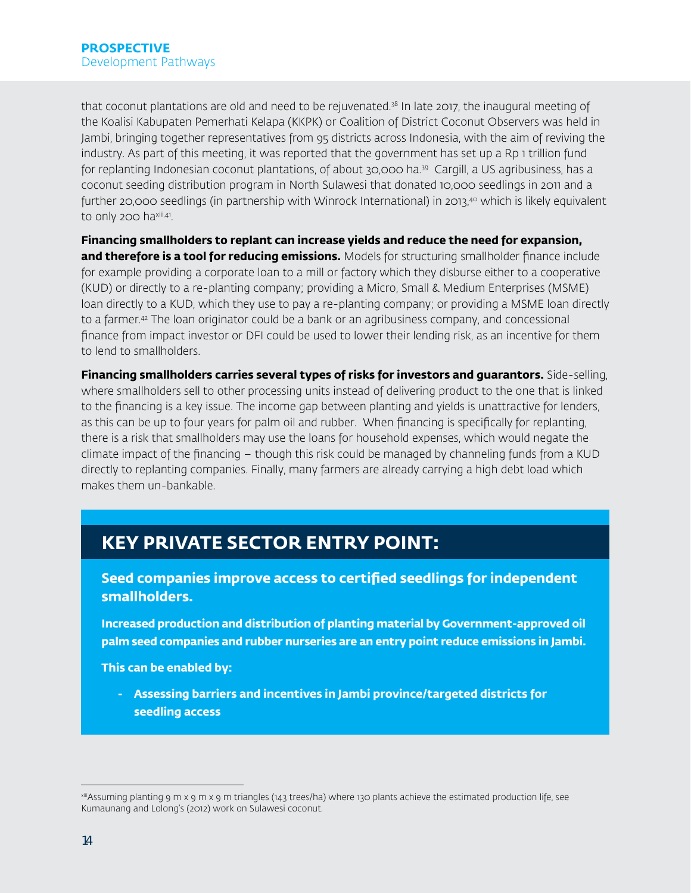that coconut plantations are old and need to be rejuvenated.<sup>38</sup> In late 2017, the inaugural meeting of the Koalisi Kabupaten Pemerhati Kelapa (KKPK) or Coalition of District Coconut Observers was held in Jambi, bringing together representatives from 95 districts across Indonesia, with the aim of reviving the industry. As part of this meeting, it was reported that the government has set up a Rp 1 trillion fund for replanting Indonesian coconut plantations, of about 30,000 ha.39 Cargill, a US agribusiness, has a coconut seeding distribution program in North Sulawesi that donated 10,000 seedlings in 2011 and a further 20,000 seedlings (in partnership with Winrock International) in 2013,<sup>40</sup> which is likely equivalent to only 200 haxiii,41.

**Financing smallholders to replant can increase yields and reduce the need for expansion, and therefore is a tool for reducing emissions.** Models for structuring smallholder finance include for example providing a corporate loan to a mill or factory which they disburse either to a cooperative (KUD) or directly to a re-planting company; providing a Micro, Small & Medium Enterprises (MSME) loan directly to a KUD, which they use to pay a re-planting company; or providing a MSME loan directly to a farmer.<sup>42</sup> The loan originator could be a bank or an agribusiness company, and concessional finance from impact investor or DFI could be used to lower their lending risk, as an incentive for them to lend to smallholders.

**Financing smallholders carries several types of risks for investors and guarantors.** Side-selling, where smallholders sell to other processing units instead of delivering product to the one that is linked to the financing is a key issue. The income gap between planting and yields is unattractive for lenders, as this can be up to four years for palm oil and rubber. When financing is specifically for replanting, there is a risk that smallholders may use the loans for household expenses, which would negate the climate impact of the financing – though this risk could be managed by channeling funds from a KUD directly to replanting companies. Finally, many farmers are already carrying a high debt load which makes them un-bankable.

### **KEY PRIVATE SECTOR ENTRY POINT:**

#### **Seed companies improve access to certified seedlings for independent smallholders.**

**Increased production and distribution of planting material by Government-approved oil palm seed companies and rubber nurseries are an entry point reduce emissions in Jambi.**

**This can be enabled by:**

**- Assessing barriers and incentives in Jambi province/targeted districts for seedling access**

xiiiAssuming planting 9 m x 9 m x 9 m triangles (143 trees/ha) where 130 plants achieve the estimated production life, see Kumaunang and Lolong's (2012) work on Sulawesi coconut.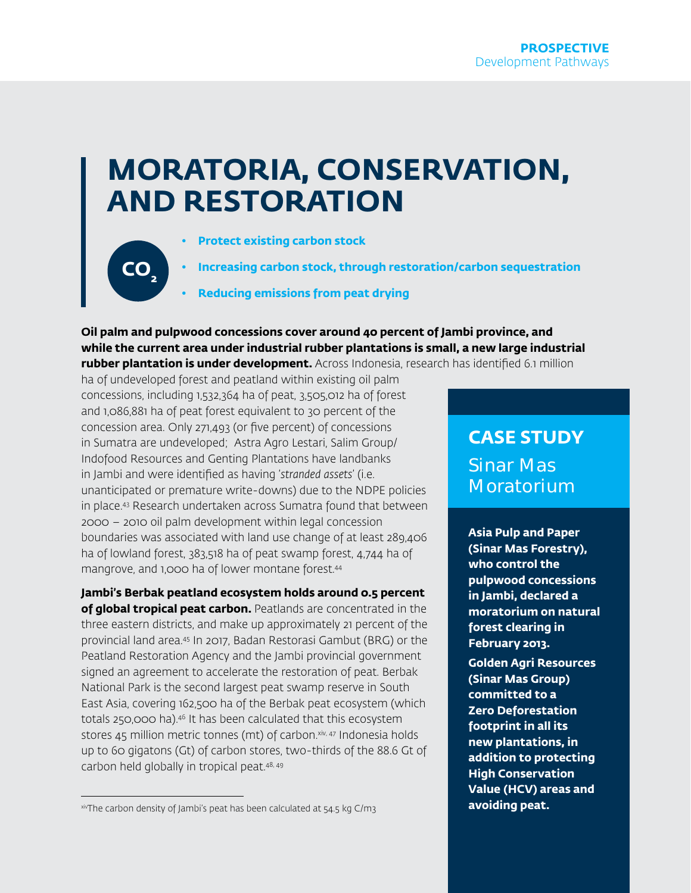# **MORATORIA, CONSERVATION, AND RESTORATION**



**CO2**

**• Increasing carbon stock, through restoration/carbon sequestration**

**• Reducing emissions from peat drying** 

**Oil palm and pulpwood concessions cover around 40 percent of Jambi province, and while the current area under industrial rubber plantations is small, a new large industrial rubber plantation is under development.** Across Indonesia, research has identified 6.1 million

ha of undeveloped forest and peatland within existing oil palm concessions, including 1,532,364 ha of peat, 3,505,012 ha of forest and 1,086,881 ha of peat forest equivalent to 30 percent of the concession area. Only 271,493 (or five percent) of concessions in Sumatra are undeveloped; Astra Agro Lestari, Salim Group/ Indofood Resources and Genting Plantations have landbanks in Jambi and were identified as having '*stranded assets*' (i.e. unanticipated or premature write-downs) due to the NDPE policies in place.43 Research undertaken across Sumatra found that between 2000 – 2010 oil palm development within legal concession boundaries was associated with land use change of at least 289,406 ha of lowland forest, 383,518 ha of peat swamp forest, 4,744 ha of mangrove, and 1,000 ha of lower montane forest.44

**Jambi's Berbak peatland ecosystem holds around 0.5 percent of global tropical peat carbon.** Peatlands are concentrated in the three eastern districts, and make up approximately 21 percent of the provincial land area.45 In 2017, Badan Restorasi Gambut (BRG) or the Peatland Restoration Agency and the Jambi provincial government signed an agreement to accelerate the restoration of peat. Berbak National Park is the second largest peat swamp reserve in South East Asia, covering 162,500 ha of the Berbak peat ecosystem (which totals 250,000 ha).46 It has been calculated that this ecosystem stores 45 million metric tonnes (mt) of carbon. Xiv, 47 Indonesia holds up to 60 gigatons (Gt) of carbon stores, two-thirds of the 88.6 Gt of carbon held globally in tropical peat.48, 49

### **CASE STUDY** Sinar Mas Moratorium

**Asia Pulp and Paper (Sinar Mas Forestry), who control the pulpwood concessions in Jambi, declared a moratorium on natural forest clearing in February 2013.** 

**Golden Agri Resources (Sinar Mas Group) committed to a Zero Deforestation footprint in all its new plantations, in addition to protecting High Conservation Value (HCV) areas and avoiding peat.**

xivThe carbon density of Jambi's peat has been calculated at 54.5 kg C/m3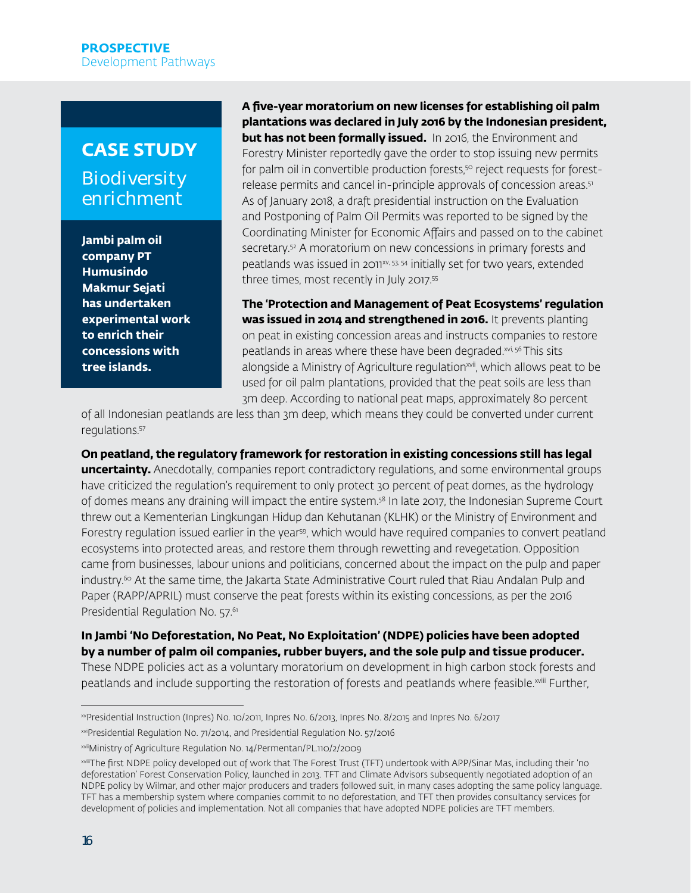# **CASE STUDY**

**Biodiversity** enrichment

**Jambi palm oil company PT Humusindo Makmur Sejati has undertaken experimental work to enrich their concessions with tree islands.** 

**A five-year moratorium on new licenses for establishing oil palm plantations was declared in July 2016 by the Indonesian president, but has not been formally issued.** In 2016, the Environment and Forestry Minister reportedly gave the order to stop issuing new permits for palm oil in convertible production forests.<sup>50</sup> reject requests for forestrelease permits and cancel in-principle approvals of concession areas.<sup>51</sup> As of January 2018, a draft presidential instruction on the Evaluation and Postponing of Palm Oil Permits was reported to be signed by the Coordinating Minister for Economic Affairs and passed on to the cabinet secretary.<sup>52</sup> A moratorium on new concessions in primary forests and peatlands was issued in 2011<sup>xv, 53, 54</sup> initially set for two years, extended three times, most recently in July 2017.55

**The 'Protection and Management of Peat Ecosystems' regulation was issued in 2014 and strengthened in 2016.** It prevents planting on peat in existing concession areas and instructs companies to restore peatlands in areas where these have been degraded.<sup>xvi, 56</sup> This sits alongside a Ministry of Agriculture regulation<sup>xvii</sup>, which allows peat to be used for oil palm plantations, provided that the peat soils are less than 3m deep. According to national peat maps, approximately 80 percent

of all Indonesian peatlands are less than 3m deep, which means they could be converted under current regulations.57

**On peatland, the regulatory framework for restoration in existing concessions still has legal uncertainty.** Anecdotally, companies report contradictory regulations, and some environmental groups have criticized the regulation's requirement to only protect 30 percent of peat domes, as the hydrology of domes means any draining will impact the entire system.58 In late 2017, the Indonesian Supreme Court threw out a Kementerian Lingkungan Hidup dan Kehutanan (KLHK) or the Ministry of Environment and Forestry regulation issued earlier in the year<sup>59</sup>, which would have required companies to convert peatland ecosystems into protected areas, and restore them through rewetting and revegetation. Opposition came from businesses, labour unions and politicians, concerned about the impact on the pulp and paper industry.60 At the same time, the Jakarta State Administrative Court ruled that Riau Andalan Pulp and Paper (RAPP/APRIL) must conserve the peat forests within its existing concessions, as per the 2016 Presidential Regulation No. 57.<sup>61</sup>

#### **In Jambi 'No Deforestation, No Peat, No Exploitation' (NDPE) policies have been adopted by a number of palm oil companies, rubber buyers, and the sole pulp and tissue producer.**

These NDPE policies act as a voluntary moratorium on development in high carbon stock forests and peatlands and include supporting the restoration of forests and peatlands where feasible.<sup>xviii</sup> Further,

xvPresidential Instruction (Inpres) No. 10/2011, Inpres No. 6/2013, Inpres No. 8/2015 and Inpres No. 6/2017

xviPresidential Regulation No. 71/2014, and Presidential Regulation No. 57/2016

xviiMinistry of Agriculture Regulation No. 14/Permentan/PL.110/2/2009

xviiiThe first NDPE policy developed out of work that The Forest Trust (TFT) undertook with APP/Sinar Mas, including their 'no deforestation' Forest Conservation Policy, launched in 2013. TFT and Climate Advisors subsequently negotiated adoption of an NDPE policy by Wilmar, and other major producers and traders followed suit, in many cases adopting the same policy language. TFT has a membership system where companies commit to no deforestation, and TFT then provides consultancy services for development of policies and implementation. Not all companies that have adopted NDPE policies are TFT members.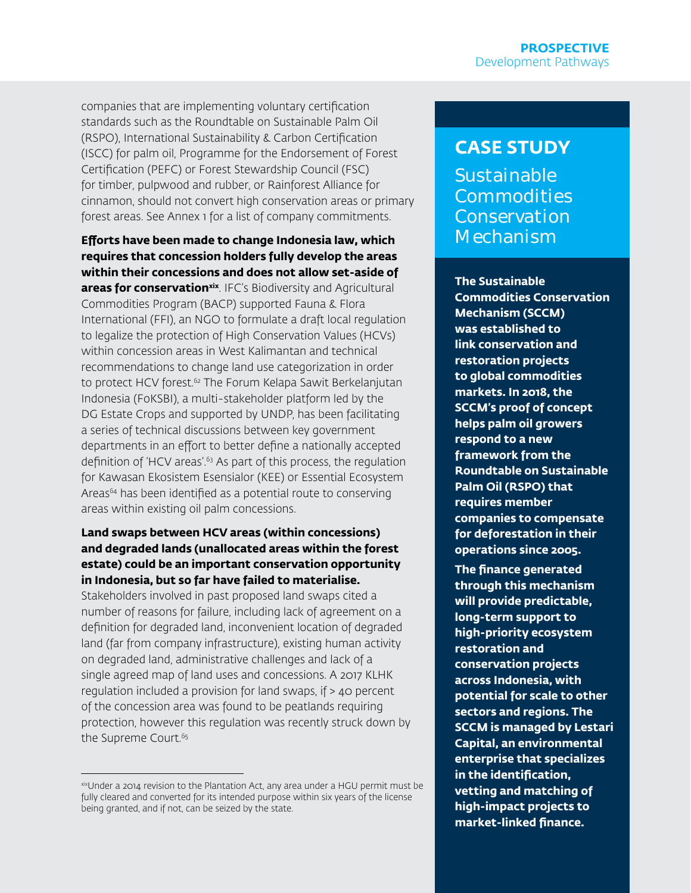companies that are implementing voluntary certification standards such as the Roundtable on Sustainable Palm Oil (RSPO), International Sustainability & Carbon Certification (ISCC) for palm oil, Programme for the Endorsement of Forest Certification (PEFC) or Forest Stewardship Council (FSC) for timber, pulpwood and rubber, or Rainforest Alliance for cinnamon, should not convert high conservation areas or primary forest areas. See Annex 1 for a list of company commitments.

**Efforts have been made to change Indonesia law, which requires that concession holders fully develop the areas within their concessions and does not allow set-aside of areas for conservationxix**. IFC's Biodiversity and Agricultural Commodities Program (BACP) supported Fauna & Flora International (FFI), an NGO to formulate a draft local regulation to legalize the protection of High Conservation Values (HCVs) within concession areas in West Kalimantan and technical recommendations to change land use categorization in order to protect HCV forest.<sup>62</sup> The Forum Kelapa Sawit Berkelanjutan Indonesia (FoKSBI), a multi-stakeholder platform led by the DG Estate Crops and supported by UNDP, has been facilitating a series of technical discussions between key government departments in an effort to better define a nationally accepted definition of 'HCV areas'.63 As part of this process, the regulation for Kawasan Ekosistem Esensialor (KEE) or Essential Ecosystem Areas<sup>64</sup> has been identified as a potential route to conserving areas within existing oil palm concessions.

#### **Land swaps between HCV areas (within concessions) and degraded lands (unallocated areas within the forest estate) could be an important conservation opportunity in Indonesia, but so far have failed to materialise.**

Stakeholders involved in past proposed land swaps cited a number of reasons for failure, including lack of agreement on a definition for degraded land, inconvenient location of degraded land (far from company infrastructure), existing human activity on degraded land, administrative challenges and lack of a single agreed map of land uses and concessions. A 2017 KLHK regulation included a provision for land swaps, if > 40 percent of the concession area was found to be peatlands requiring protection, however this regulation was recently struck down by the Supreme Court.<sup>65</sup>

#### **CASE STUDY**

Sustainable **Commodities** Conservation Mechanism

**The Sustainable Commodities Conservation Mechanism (SCCM) was established to link conservation and restoration projects to global commodities markets. In 2018, the SCCM's proof of concept helps palm oil growers respond to a new framework from the Roundtable on Sustainable Palm Oil (RSPO) that requires member companies to compensate for deforestation in their operations since 2005.**

**The finance generated through this mechanism will provide predictable, long-term support to high-priority ecosystem restoration and conservation projects across Indonesia, with potential for scale to other sectors and regions. The SCCM is managed by Lestari Capital, an environmental enterprise that specializes in the identification, vetting and matching of high-impact projects to market-linked finance.** 

xixUnder a 2014 revision to the Plantation Act, any area under a HGU permit must be fully cleared and converted for its intended purpose within six years of the license being granted, and if not, can be seized by the state.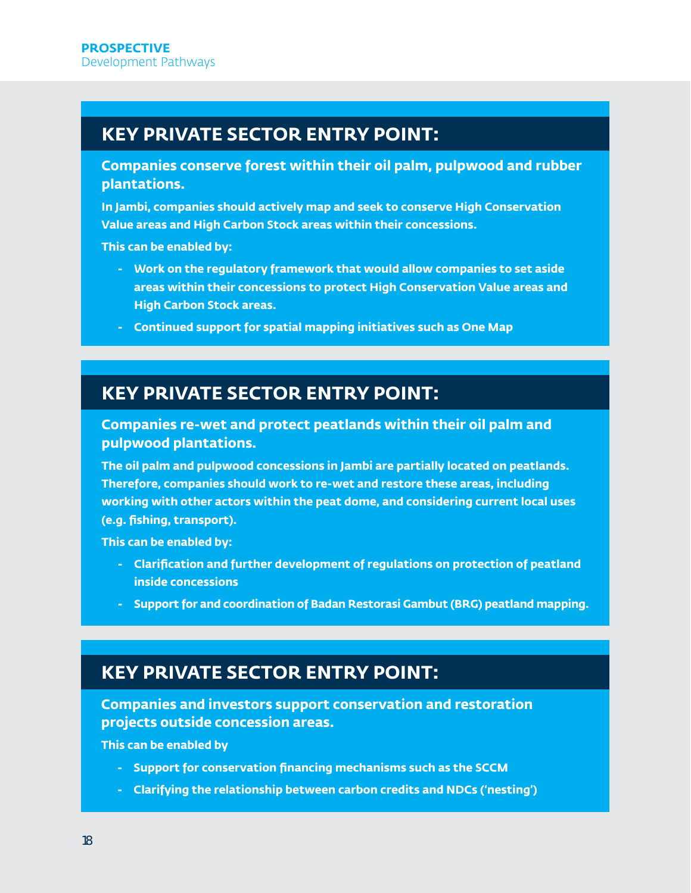### **KEY PRIVATE SECTOR ENTRY POINT:**

**Companies conserve forest within their oil palm, pulpwood and rubber plantations.** 

**In Jambi, companies should actively map and seek to conserve High Conservation Value areas and High Carbon Stock areas within their concessions.**

**This can be enabled by:**

- **- Work on the regulatory framework that would allow companies to set aside areas within their concessions to protect High Conservation Value areas and High Carbon Stock areas.**
- **- Continued support for spatial mapping initiatives such as One Map**

### **KEY PRIVATE SECTOR ENTRY POINT:**

#### **Companies re-wet and protect peatlands within their oil palm and pulpwood plantations.**

**The oil palm and pulpwood concessions in Jambi are partially located on peatlands. Therefore, companies should work to re-wet and restore these areas, including working with other actors within the peat dome, and considering current local uses (e.g. fishing, transport).** 

**This can be enabled by:**

- **- Clarification and further development of regulations on protection of peatland inside concessions**
- **- Support for and coordination of Badan Restorasi Gambut (BRG) peatland mapping.**

### **KEY PRIVATE SECTOR ENTRY POINT:**

**Companies and investors support conservation and restoration projects outside concession areas.** 

**This can be enabled by**

- **- Support for conservation financing mechanisms such as the SCCM**
- **- Clarifying the relationship between carbon credits and NDCs ('nesting')**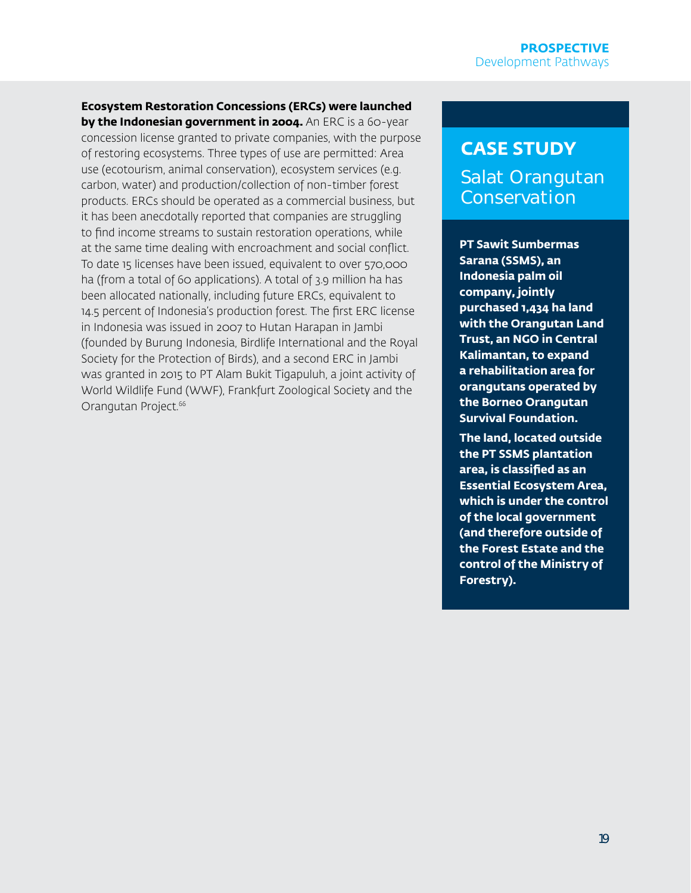**Ecosystem Restoration Concessions (ERCs) were launched by the Indonesian government in 2004.** An ERC is a 60-year concession license granted to private companies, with the purpose of restoring ecosystems. Three types of use are permitted: Area use (ecotourism, animal conservation), ecosystem services (e.g. carbon, water) and production/collection of non-timber forest products. ERCs should be operated as a commercial business, but it has been anecdotally reported that companies are struggling to find income streams to sustain restoration operations, while at the same time dealing with encroachment and social conflict. To date 15 licenses have been issued, equivalent to over 570,000 ha (from a total of 60 applications). A total of 3.9 million ha has been allocated nationally, including future ERCs, equivalent to 14.5 percent of Indonesia's production forest. The first ERC license in Indonesia was issued in 2007 to Hutan Harapan in Jambi (founded by Burung Indonesia, Birdlife International and the Royal Society for the Protection of Birds), and a second ERC in Jambi was granted in 2015 to PT Alam Bukit Tigapuluh, a joint activity of World Wildlife Fund (WWF), Frankfurt Zoological Society and the Orangutan Project.<sup>66</sup>

### **CASE STUDY** Salat Orangutan Conservation

**PT Sawit Sumbermas Sarana (SSMS), an Indonesia palm oil company, jointly purchased 1,434 ha land with the Orangutan Land Trust, an NGO in Central Kalimantan, to expand a rehabilitation area for orangutans operated by the Borneo Orangutan Survival Foundation.** 

**The land, located outside the PT SSMS plantation area, is classified as an Essential Ecosystem Area, which is under the control of the local government (and therefore outside of the Forest Estate and the control of the Ministry of Forestry).**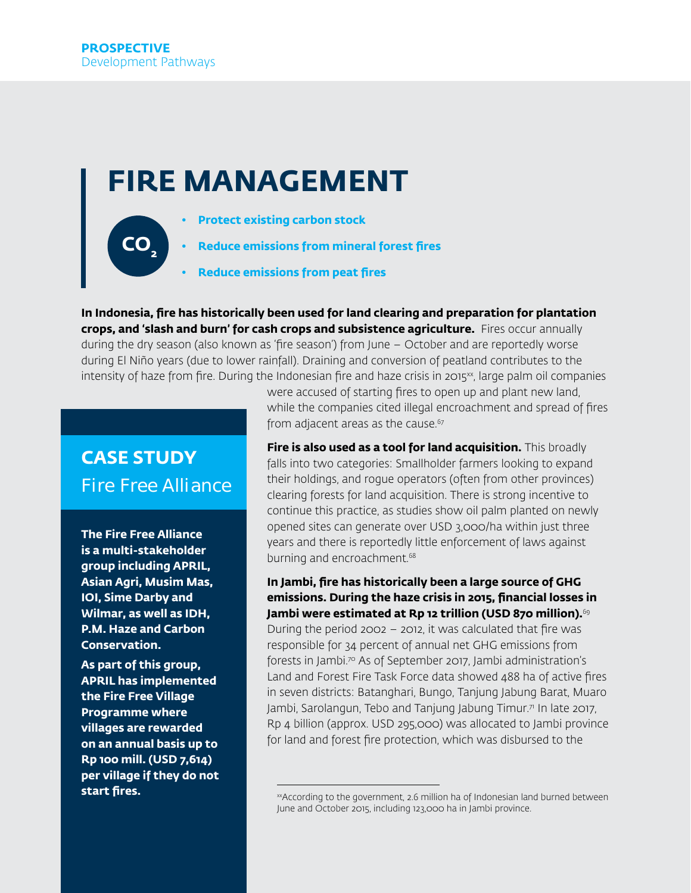**CO2**

## **FIRE MANAGEMENT**

**• Protect existing carbon stock**

**• Reduce emissions from mineral forest fires**

**• Reduce emissions from peat fires**

**In Indonesia, fire has historically been used for land clearing and preparation for plantation crops, and 'slash and burn' for cash crops and subsistence agriculture.** Fires occur annually during the dry season (also known as 'fire season') from June – October and are reportedly worse during El Niño years (due to lower rainfall). Draining and conversion of peatland contributes to the intensity of haze from fire. During the Indonesian fire and haze crisis in  $2015<sup>xx</sup>$ , large palm oil companies

### **CASE STUDY** Fire Free Alliance

**The Fire Free Alliance is a multi-stakeholder group including APRIL, Asian Agri, Musim Mas, IOI, Sime Darby and Wilmar, as well as IDH, P.M. Haze and Carbon Conservation.**

**As part of this group, APRIL has implemented the Fire Free Village Programme where villages are rewarded on an annual basis up to Rp 100 mill. (USD 7,614) per village if they do not start fires.**

were accused of starting fires to open up and plant new land, while the companies cited illegal encroachment and spread of fires from adjacent areas as the cause.<sup>67</sup>

**Fire is also used as a tool for land acquisition.** This broadly falls into two categories: Smallholder farmers looking to expand their holdings, and rogue operators (often from other provinces) clearing forests for land acquisition. There is strong incentive to continue this practice, as studies show oil palm planted on newly opened sites can generate over USD 3,000/ha within just three years and there is reportedly little enforcement of laws against burning and encroachment.<sup>68</sup>

**In Jambi, fire has historically been a large source of GHG emissions. During the haze crisis in 2015, financial losses in Jambi were estimated at Rp 12 trillion (USD 870 million).**<sup>69</sup> During the period 2002 – 2012, it was calculated that fire was responsible for 34 percent of annual net GHG emissions from forests in Jambi.70 As of September 2017, Jambi administration's Land and Forest Fire Task Force data showed 488 ha of active fires in seven districts: Batanghari, Bungo, Tanjung Jabung Barat, Muaro Jambi, Sarolangun, Tebo and Tanjung Jabung Timur.<sup>71</sup> In late 2017, Rp 4 billion (approx. USD 295,000) was allocated to Jambi province for land and forest fire protection, which was disbursed to the

xxAccording to the government, 2.6 million ha of Indonesian land burned between June and October 2015, including 123,000 ha in Jambi province.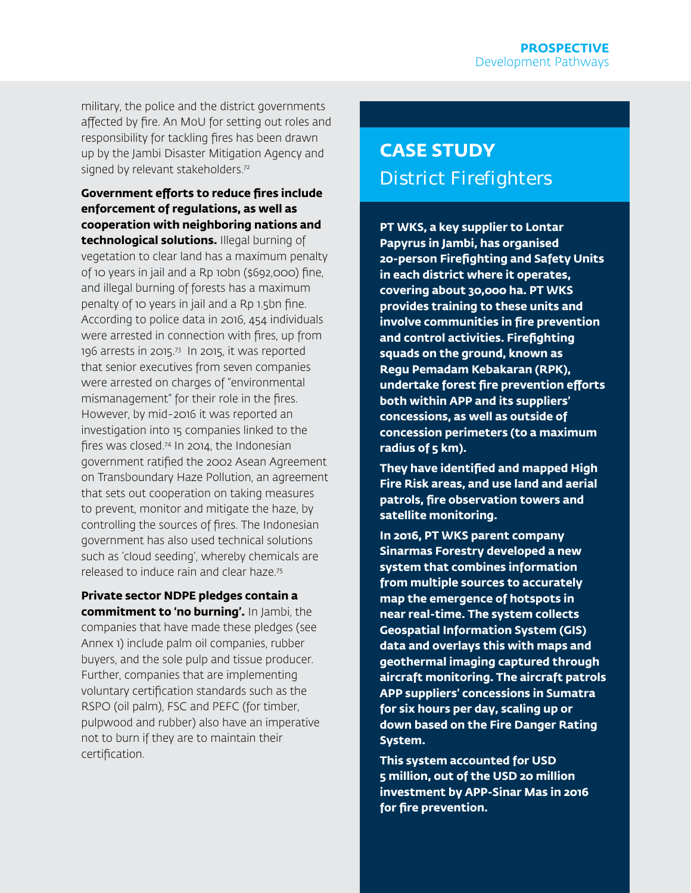military, the police and the district governments affected by fire. An MoU for setting out roles and responsibility for tackling fires has been drawn up by the Jambi Disaster Mitigation Agency and signed by relevant stakeholders.<sup>72</sup>

**Government efforts to reduce fires include enforcement of regulations, as well as cooperation with neighboring nations and technological solutions.** Illegal burning of vegetation to clear land has a maximum penalty of 10 years in jail and a Rp 10bn (\$692,000) fine, and illegal burning of forests has a maximum penalty of 10 years in jail and a Rp 1.5bn fine. According to police data in 2016, 454 individuals were arrested in connection with fires, up from 196 arrests in 2015.73 In 2015, it was reported that senior executives from seven companies were arrested on charges of "environmental mismanagement" for their role in the fires. However, by mid-2016 it was reported an investigation into 15 companies linked to the fires was closed.74 In 2014, the Indonesian government ratified the 2002 Asean Agreement on Transboundary Haze Pollution, an agreement that sets out cooperation on taking measures to prevent, monitor and mitigate the haze, by controlling the sources of fires. The Indonesian government has also used technical solutions such as 'cloud seeding', whereby chemicals are released to induce rain and clear haze.75

**Private sector NDPE pledges contain a commitment to 'no burning'.** In Jambi, the companies that have made these pledges (see Annex 1) include palm oil companies, rubber buyers, and the sole pulp and tissue producer. Further, companies that are implementing voluntary certification standards such as the RSPO (oil palm), FSC and PEFC (for timber, pulpwood and rubber) also have an imperative not to burn if they are to maintain their certification.

### **CASE STUDY** District Firefighters

**PT WKS, a key supplier to Lontar Papyrus in Jambi, has organised 20-person Firefighting and Safety Units in each district where it operates, covering about 30,000 ha. PT WKS provides training to these units and involve communities in fire prevention and control activities. Firefighting squads on the ground, known as Regu Pemadam Kebakaran (RPK), undertake forest fire prevention efforts both within APP and its suppliers' concessions, as well as outside of concession perimeters (to a maximum radius of 5 km).**

**They have identified and mapped High Fire Risk areas, and use land and aerial patrols, fire observation towers and satellite monitoring.** 

**In 2016, PT WKS parent company Sinarmas Forestry developed a new system that combines information from multiple sources to accurately map the emergence of hotspots in near real-time. The system collects Geospatial Information System (GIS) data and overlays this with maps and geothermal imaging captured through aircraft monitoring. The aircraft patrols APP suppliers' concessions in Sumatra for six hours per day, scaling up or down based on the Fire Danger Rating System.**

**This system accounted for USD 5 million, out of the USD 20 million investment by APP-Sinar Mas in 2016 for fire prevention.**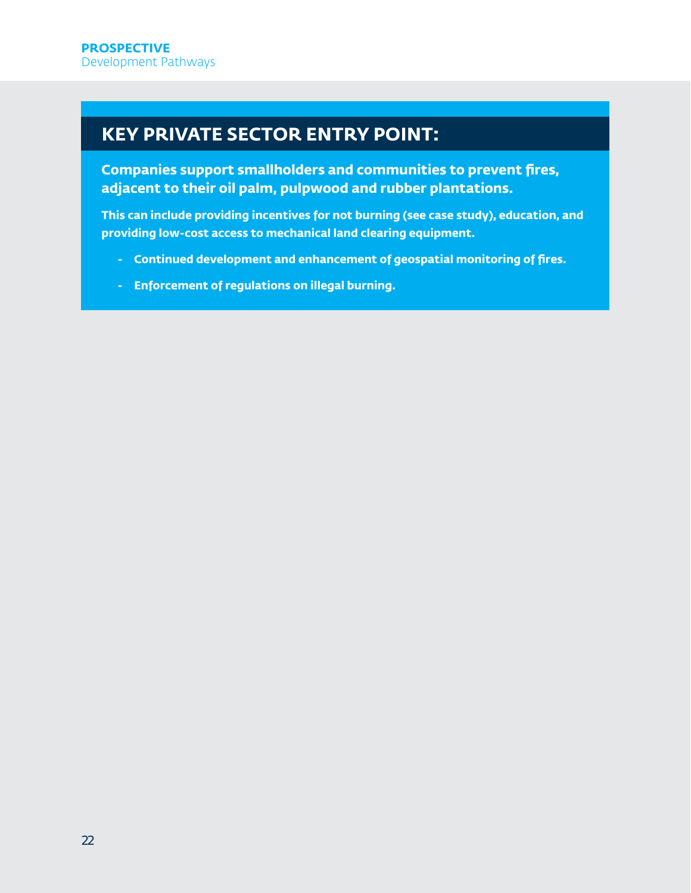### **KEY PRIVATE SECTOR ENTRY POINT:**

**Companies support smallholders and communities to prevent fires, adjacent to their oil palm, pulpwood and rubber plantations.** 

**This can include providing incentives for not burning (see case study), education, and providing low-cost access to mechanical land clearing equipment.** 

- **- Continued development and enhancement of geospatial monitoring of fires.**
- **- Enforcement of regulations on illegal burning.**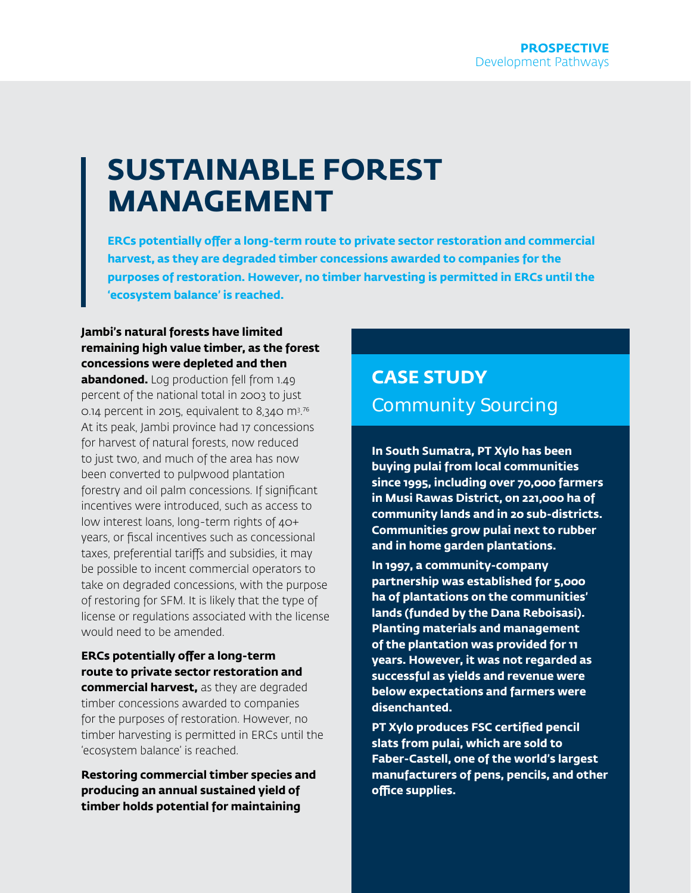# **SUSTAINABLE FOREST MANAGEMENT**

**ERCs potentially offer a long-term route to private sector restoration and commercial harvest, as they are degraded timber concessions awarded to companies for the purposes of restoration. However, no timber harvesting is permitted in ERCs until the 'ecosystem balance' is reached.** 

#### **Jambi's natural forests have limited remaining high value timber, as the forest concessions were depleted and then**

**abandoned.** Log production fell from 1.49 percent of the national total in 2003 to just 0.14 percent in 2015, equivalent to 8,340 m $^{3.76}$ At its peak, Jambi province had 17 concessions for harvest of natural forests, now reduced to just two, and much of the area has now been converted to pulpwood plantation forestry and oil palm concessions. If significant incentives were introduced, such as access to low interest loans, long-term rights of 40+ years, or fiscal incentives such as concessional taxes, preferential tariffs and subsidies, it may be possible to incent commercial operators to take on degraded concessions, with the purpose of restoring for SFM. It is likely that the type of license or regulations associated with the license would need to be amended.

#### **ERCs potentially offer a long-term route to private sector restoration and commercial harvest,** as they are degraded timber concessions awarded to companies for the purposes of restoration. However, no timber harvesting is permitted in ERCs until the 'ecosystem balance' is reached.

**Restoring commercial timber species and producing an annual sustained yield of timber holds potential for maintaining** 

### **CASE STUDY** Community Sourcing

**In South Sumatra, PT Xylo has been buying pulai from local communities since 1995, including over 70,000 farmers in Musi Rawas District, on 221,000 ha of community lands and in 20 sub-districts. Communities grow pulai next to rubber and in home garden plantations.** 

**In 1997, a community-company partnership was established for 5,000 ha of plantations on the communities' lands (funded by the Dana Reboisasi). Planting materials and management of the plantation was provided for 11 years. However, it was not regarded as successful as yields and revenue were below expectations and farmers were disenchanted.** 

**PT Xylo produces FSC certified pencil slats from pulai, which are sold to Faber-Castell, one of the world's largest manufacturers of pens, pencils, and other office supplies.**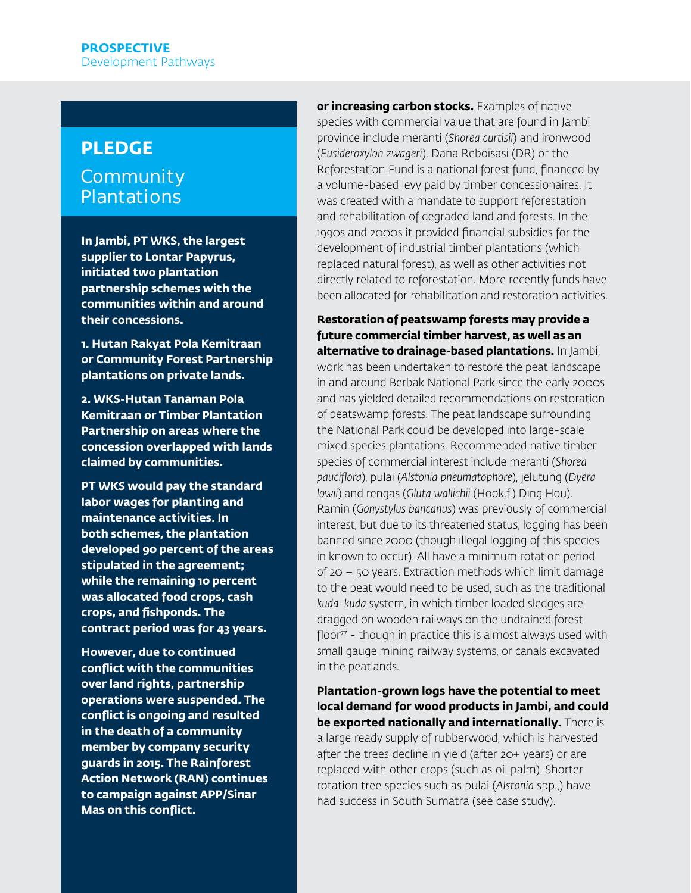### **PLEDGE**

### **Community Plantations**

**In Jambi, PT WKS, the largest supplier to Lontar Papyrus, initiated two plantation partnership schemes with the communities within and around their concessions.**

**1. Hutan Rakyat Pola Kemitraan or Community Forest Partnership plantations on private lands.** 

**2. WKS-Hutan Tanaman Pola Kemitraan or Timber Plantation Partnership on areas where the concession overlapped with lands claimed by communities.** 

**PT WKS would pay the standard labor wages for planting and maintenance activities. In both schemes, the plantation developed 90 percent of the areas stipulated in the agreement; while the remaining 10 percent was allocated food crops, cash crops, and fishponds. The contract period was for 43 years.** 

**However, due to continued conflict with the communities over land rights, partnership operations were suspended. The conflict is ongoing and resulted in the death of a community member by company security guards in 2015. The Rainforest Action Network (RAN) continues to campaign against APP/Sinar Mas on this conflict.**

**or increasing carbon stocks.** Examples of native species with commercial value that are found in Jambi province include meranti (*Shorea curtisii*) and ironwood (*Eusideroxylon zwageri*). Dana Reboisasi (DR) or the Reforestation Fund is a national forest fund, financed by a volume-based levy paid by timber concessionaires. It was created with a mandate to support reforestation and rehabilitation of degraded land and forests. In the 1990s and 2000s it provided financial subsidies for the development of industrial timber plantations (which replaced natural forest), as well as other activities not directly related to reforestation. More recently funds have been allocated for rehabilitation and restoration activities.

**Restoration of peatswamp forests may provide a future commercial timber harvest, as well as an alternative to drainage-based plantations.** In Jambi, work has been undertaken to restore the peat landscape in and around Berbak National Park since the early 2000s and has yielded detailed recommendations on restoration of peatswamp forests. The peat landscape surrounding the National Park could be developed into large-scale mixed species plantations. Recommended native timber species of commercial interest include meranti (*Shorea pauciflora*), pulai (*Alstonia pneumatophore*), jelutung (*Dyera lowii*) and rengas (*Gluta wallichii* (Hook.f.) Ding Hou). Ramin (*Gonystylus bancanus*) was previously of commercial interest, but due to its threatened status, logging has been banned since 2000 (though illegal logging of this species in known to occur). All have a minimum rotation period of 20 – 50 years. Extraction methods which limit damage to the peat would need to be used, such as the traditional *kuda-kuda* system, in which timber loaded sledges are dragged on wooden railways on the undrained forest floor<sup>77</sup> - though in practice this is almost always used with small gauge mining railway systems, or canals excavated in the peatlands.

**Plantation-grown logs have the potential to meet local demand for wood products in Jambi, and could be exported nationally and internationally.** There is a large ready supply of rubberwood, which is harvested after the trees decline in yield (after 20+ years) or are replaced with other crops (such as oil palm). Shorter rotation tree species such as pulai (*Alstonia* spp.,) have had success in South Sumatra (see case study).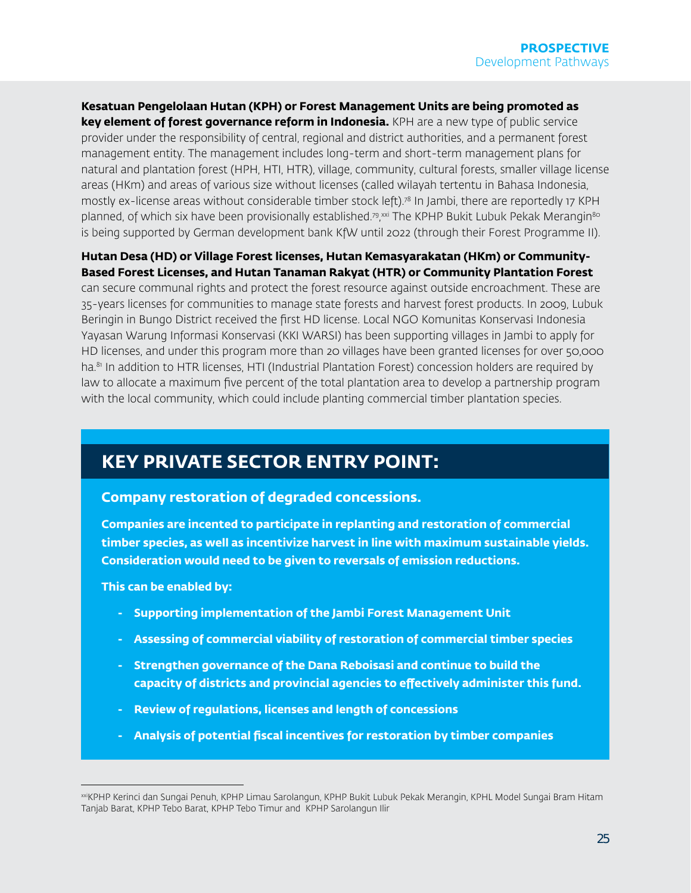**Kesatuan Pengelolaan Hutan (KPH) or Forest Management Units are being promoted as key element of forest governance reform in Indonesia.** KPH are a new type of public service provider under the responsibility of central, regional and district authorities, and a permanent forest management entity. The management includes long-term and short-term management plans for natural and plantation forest (HPH, HTI, HTR), village, community, cultural forests, smaller village license areas (HKm) and areas of various size without licenses (called wilayah tertentu in Bahasa Indonesia, mostly ex-license areas without considerable timber stock left).78 In Jambi, there are reportedly 17 KPH planned, of which six have been provisionally established.<sup>79</sup>,<sup>xxi</sup> The KPHP Bukit Lubuk Pekak Merangin<sup>80</sup> is being supported by German development bank KfW until 2022 (through their Forest Programme II).

#### **Hutan Desa (HD) or Village Forest licenses, Hutan Kemasyarakatan (HKm) or Community-Based Forest Licenses, and Hutan Tanaman Rakyat (HTR) or Community Plantation Forest**

can secure communal rights and protect the forest resource against outside encroachment. These are 35-years licenses for communities to manage state forests and harvest forest products. In 2009, Lubuk Beringin in Bungo District received the first HD license. Local NGO Komunitas Konservasi Indonesia Yayasan Warung Informasi Konservasi (KKI WARSI) has been supporting villages in Jambi to apply for HD licenses, and under this program more than 20 villages have been granted licenses for over 50,000 ha.<sup>81</sup> In addition to HTR licenses, HTI (Industrial Plantation Forest) concession holders are required by law to allocate a maximum five percent of the total plantation area to develop a partnership program with the local community, which could include planting commercial timber plantation species.

### **KEY PRIVATE SECTOR ENTRY POINT:**

#### **Company restoration of degraded concessions.**

**Companies are incented to participate in replanting and restoration of commercial timber species, as well as incentivize harvest in line with maximum sustainable yields. Consideration would need to be given to reversals of emission reductions.**

**This can be enabled by:**

- **- Supporting implementation of the Jambi Forest Management Unit**
- **- Assessing of commercial viability of restoration of commercial timber species**
- **- Strengthen governance of the Dana Reboisasi and continue to build the capacity of districts and provincial agencies to effectively administer this fund.**
- **- Review of regulations, licenses and length of concessions**
- **- Analysis of potential fiscal incentives for restoration by timber companies**

xxiKPHP Kerinci dan Sungai Penuh, KPHP Limau Sarolangun, KPHP Bukit Lubuk Pekak Merangin, KPHL Model Sungai Bram Hitam Tanjab Barat, KPHP Tebo Barat, KPHP Tebo Timur and KPHP Sarolangun Ilir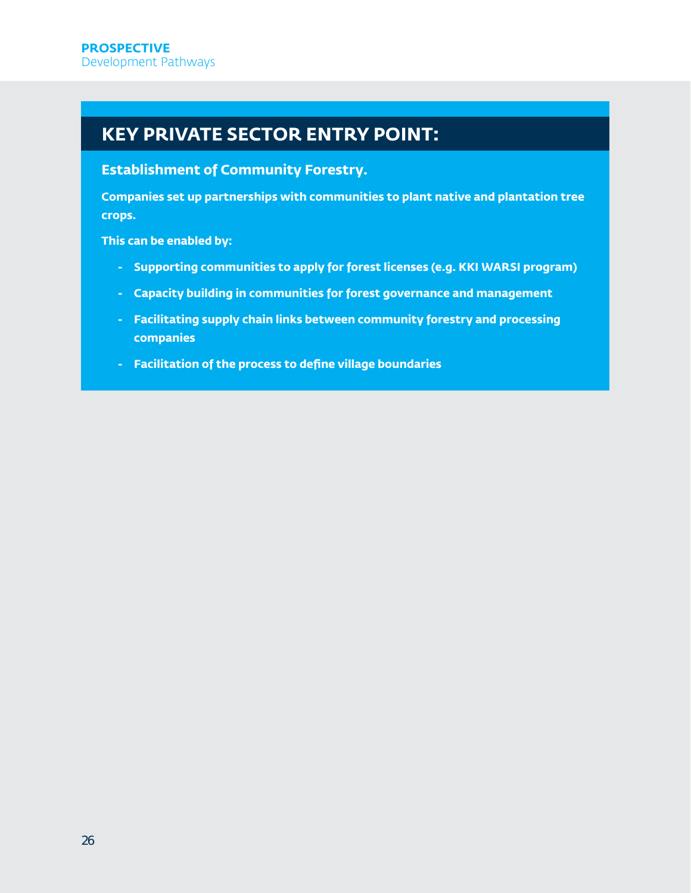### **KEY PRIVATE SECTOR ENTRY POINT:**

**Establishment of Community Forestry.**

**Companies set up partnerships with communities to plant native and plantation tree crops.** 

**This can be enabled by:**

- **- Supporting communities to apply for forest licenses (e.g. KKI WARSI program)**
- **- Capacity building in communities for forest governance and management**
- **- Facilitating supply chain links between community forestry and processing companies**
- **- Facilitation of the process to define village boundaries**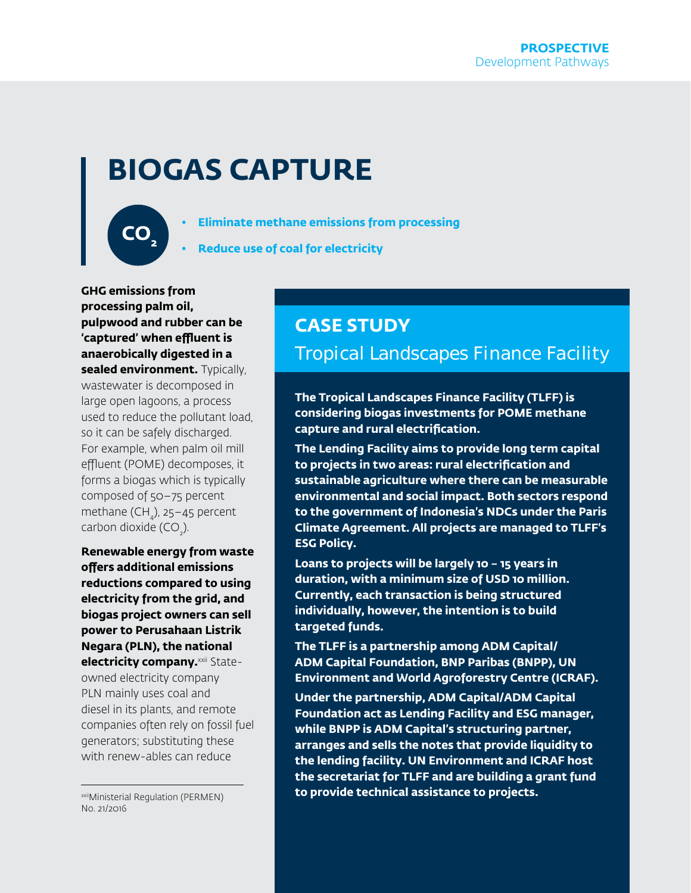# **BIOGAS CAPTURE**

**CO2**

**• Eliminate methane emissions from processing** 

**• Reduce use of coal for electricity** 

**GHG emissions from processing palm oil, pulpwood and rubber can be 'captured' when effluent is anaerobically digested in a sealed environment.** Typically, wastewater is decomposed in large open lagoons, a process used to reduce the pollutant load, so it can be safely discharged. For example, when palm oil mill effluent (POME) decomposes, it forms a biogas which is typically composed of 50–75 percent methane (CH $_{_4}$ ), 25–45 percent  $\mathsf{carbon}\ \mathsf{doxide}\ (\mathsf{CO}_2).$ 

**Renewable energy from waste offers additional emissions reductions compared to using electricity from the grid, and biogas project owners can sell power to Perusahaan Listrik Negara (PLN), the national electricity company.**xxii Stateowned electricity company PLN mainly uses coal and diesel in its plants, and remote companies often rely on fossil fuel generators; substituting these with renew-ables can reduce

xxiiMinisterial Regulation (PERMEN) No. 21/2016

### **CASE STUDY**

### Tropical Landscapes Finance Facility

**The Tropical Landscapes Finance Facility (TLFF) is considering biogas investments for POME methane capture and rural electrification.** 

**The Lending Facility aims to provide long term capital to projects in two areas: rural electrification and sustainable agriculture where there can be measurable environmental and social impact. Both sectors respond to the government of Indonesia's NDCs under the Paris Climate Agreement. All projects are managed to TLFF's ESG Policy.** 

**Loans to projects will be largely 10 – 15 years in duration, with a minimum size of USD 10 million. Currently, each transaction is being structured individually, however, the intention is to build targeted funds.**

**The TLFF is a partnership among ADM Capital/ ADM Capital Foundation, BNP Paribas (BNPP), UN Environment and World Agroforestry Centre (ICRAF).** 

**Under the partnership, ADM Capital/ADM Capital Foundation act as Lending Facility and ESG manager, while BNPP is ADM Capital's structuring partner, arranges and sells the notes that provide liquidity to the lending facility. UN Environment and ICRAF host the secretariat for TLFF and are building a grant fund to provide technical assistance to projects.**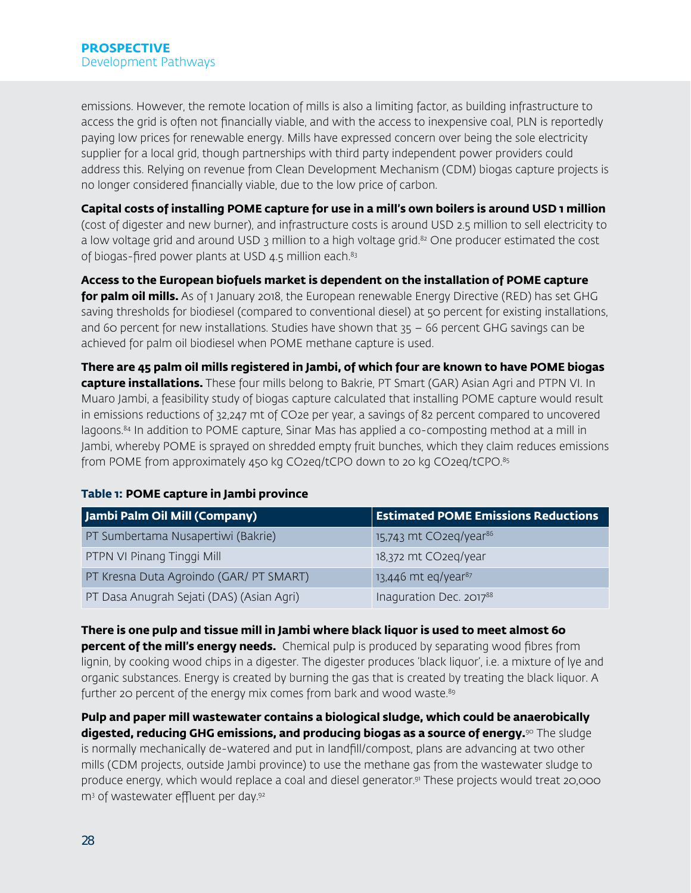emissions. However, the remote location of mills is also a limiting factor, as building infrastructure to access the grid is often not financially viable, and with the access to inexpensive coal, PLN is reportedly paying low prices for renewable energy. Mills have expressed concern over being the sole electricity supplier for a local grid, though partnerships with third party independent power providers could address this. Relying on revenue from Clean Development Mechanism (CDM) biogas capture projects is no longer considered financially viable, due to the low price of carbon.

**Capital costs of installing POME capture for use in a mill's own boilers is around USD 1 million** (cost of digester and new burner), and infrastructure costs is around USD 2.5 million to sell electricity to a low voltage grid and around USD 3 million to a high voltage grid.<sup>82</sup> One producer estimated the cost of biogas-fired power plants at USD 4.5 million each.<sup>83</sup>

**Access to the European biofuels market is dependent on the installation of POME capture for palm oil mills.** As of 1 January 2018, the European renewable Energy Directive (RED) has set GHG saving thresholds for biodiesel (compared to conventional diesel) at 50 percent for existing installations, and 60 percent for new installations. Studies have shown that 35 – 66 percent GHG savings can be achieved for palm oil biodiesel when POME methane capture is used.

**There are 45 palm oil mills registered in Jambi, of which four are known to have POME biogas capture installations.** These four mills belong to Bakrie, PT Smart (GAR) Asian Agri and PTPN VI. In Muaro Jambi, a feasibility study of biogas capture calculated that installing POME capture would result in emissions reductions of 32,247 mt of CO2e per year, a savings of 82 percent compared to uncovered lagoons.84 In addition to POME capture, Sinar Mas has applied a co-composting method at a mill in Jambi, whereby POME is sprayed on shredded empty fruit bunches, which they claim reduces emissions from POME from approximately 450 kg CO2eq/tCPO down to 20 kg CO2eq/tCPO.85

| Jambi Palm Oil Mill (Company)             | <b>Estimated POME Emissions Reductions</b> |
|-------------------------------------------|--------------------------------------------|
| PT Sumbertama Nusapertiwi (Bakrie)        | 15,743 mt CO2eq/year <sup>86</sup>         |
| PTPN VI Pinang Tinggi Mill                | 18,372 mt CO2eg/year                       |
| PT Kresna Duta Agroindo (GAR/ PT SMART)   | 13,446 mt eq/year <sup>87</sup>            |
| PT Dasa Anugrah Sejati (DAS) (Asian Agri) | Inaguration Dec. 201788                    |

#### **Table 1: POME capture in Jambi province**

**There is one pulp and tissue mill in Jambi where black liquor is used to meet almost 60** 

**percent of the mill's energy needs.** Chemical pulp is produced by separating wood fibres from lignin, by cooking wood chips in a digester. The digester produces 'black liquor', i.e. a mixture of lye and organic substances. Energy is created by burning the gas that is created by treating the black liquor. A further 20 percent of the energy mix comes from bark and wood waste.<sup>89</sup>

**Pulp and paper mill wastewater contains a biological sludge, which could be anaerobically digested, reducing GHG emissions, and producing biogas as a source of energy.**90 The sludge is normally mechanically de-watered and put in landfill/compost, plans are advancing at two other mills (CDM projects, outside Jambi province) to use the methane gas from the wastewater sludge to produce energy, which would replace a coal and diesel generator.<sup>91</sup> These projects would treat 20,000 m3 of wastewater effluent per day.92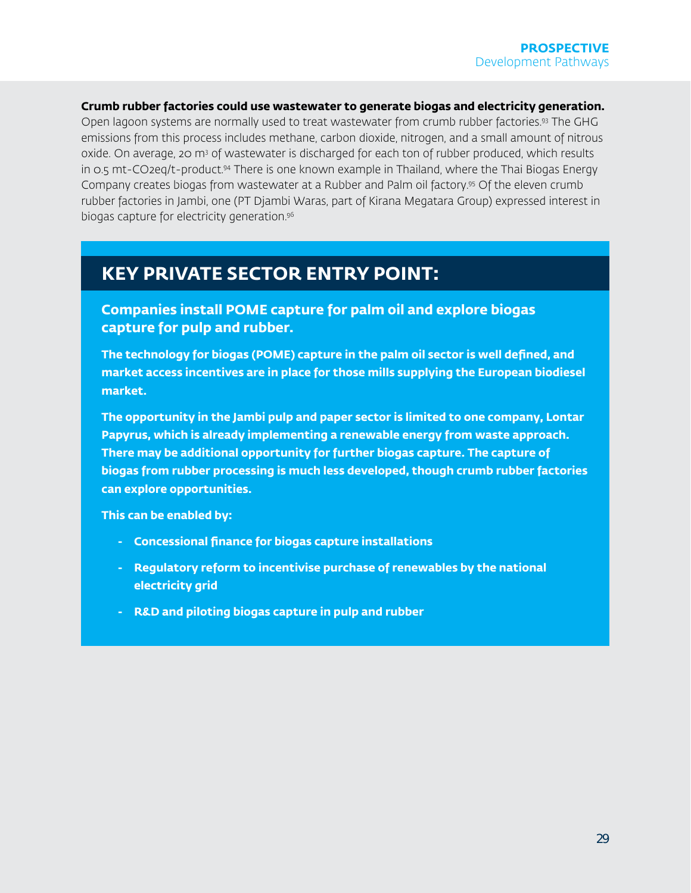#### **Crumb rubber factories could use wastewater to generate biogas and electricity generation.**

Open lagoon systems are normally used to treat wastewater from crumb rubber factories.93 The GHG emissions from this process includes methane, carbon dioxide, nitrogen, and a small amount of nitrous oxide. On average, 20 m<sup>3</sup> of wastewater is discharged for each ton of rubber produced, which results in 0.5 mt-CO2eq/t-product.94 There is one known example in Thailand, where the Thai Biogas Energy Company creates biogas from wastewater at a Rubber and Palm oil factory.95 Of the eleven crumb rubber factories in Jambi, one (PT Djambi Waras, part of Kirana Megatara Group) expressed interest in biogas capture for electricity generation.96

#### **KEY PRIVATE SECTOR ENTRY POINT:**

**Companies install POME capture for palm oil and explore biogas capture for pulp and rubber.**

**The technology for biogas (POME) capture in the palm oil sector is well defined, and market access incentives are in place for those mills supplying the European biodiesel market.**

**The opportunity in the Jambi pulp and paper sector is limited to one company, Lontar Papyrus, which is already implementing a renewable energy from waste approach. There may be additional opportunity for further biogas capture. The capture of biogas from rubber processing is much less developed, though crumb rubber factories can explore opportunities.** 

**This can be enabled by:**

- **- Concessional finance for biogas capture installations**
- **- Regulatory reform to incentivise purchase of renewables by the national electricity grid**
- **- R&D and piloting biogas capture in pulp and rubber**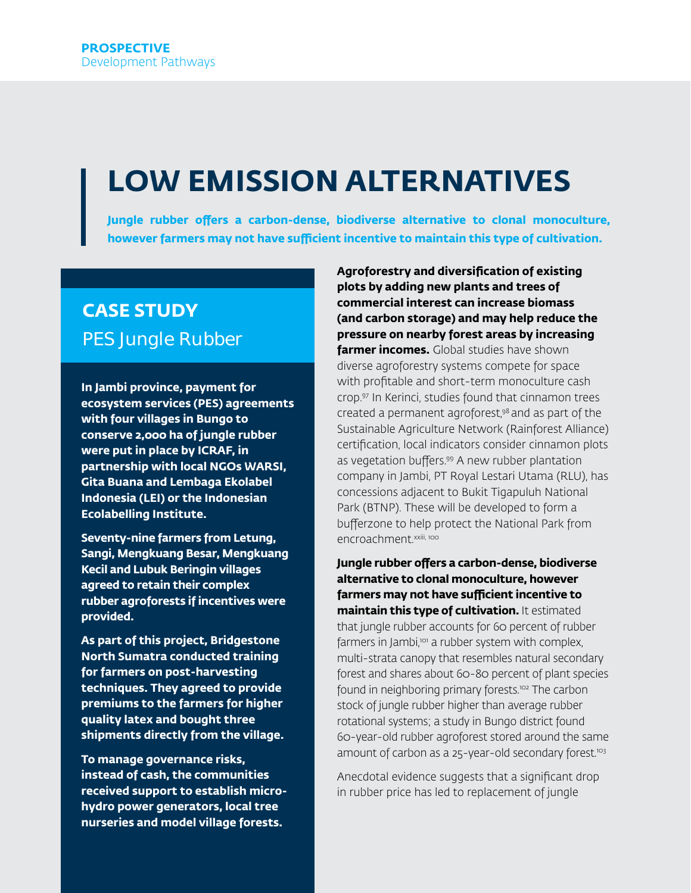# **LOW EMISSION ALTERNATIVES**

**Jungle rubber offers a carbon-dense, biodiverse alternative to clonal monoculture, however farmers may not have sufficient incentive to maintain this type of cultivation.**

### **CASE STUDY** PES Jungle Rubber

**In Jambi province, payment for ecosystem services (PES) agreements with four villages in Bungo to conserve 2,000 ha of jungle rubber were put in place by ICRAF, in partnership with local NGOs WARSI, Gita Buana and Lembaga Ekolabel Indonesia (LEI) or the Indonesian Ecolabelling Institute.** 

**Seventy-nine farmers from Letung, Sangi, Mengkuang Besar, Mengkuang Kecil and Lubuk Beringin villages agreed to retain their complex rubber agroforests if incentives were provided.**

**As part of this project, Bridgestone North Sumatra conducted training for farmers on post-harvesting techniques. They agreed to provide premiums to the farmers for higher quality latex and bought three shipments directly from the village.**

**To manage governance risks, instead of cash, the communities received support to establish microhydro power generators, local tree nurseries and model village forests.** 

**Agroforestry and diversification of existing plots by adding new plants and trees of commercial interest can increase biomass (and carbon storage) and may help reduce the pressure on nearby forest areas by increasing farmer incomes.** Global studies have shown diverse agroforestry systems compete for space with profitable and short-term monoculture cash crop.97 In Kerinci, studies found that cinnamon trees created a permanent agroforest,98 and as part of the Sustainable Agriculture Network (Rainforest Alliance) certification, local indicators consider cinnamon plots as vegetation buffers.<sup>99</sup> A new rubber plantation company in Jambi, PT Royal Lestari Utama (RLU), has concessions adjacent to Bukit Tigapuluh National Park (BTNP). These will be developed to form a bufferzone to help protect the National Park from encroachment.xxiii, 100

**Jungle rubber offers a carbon-dense, biodiverse alternative to clonal monoculture, however farmers may not have sufficient incentive to maintain this type of cultivation.** It estimated that jungle rubber accounts for 60 percent of rubber farmers in Jambi, $101$  a rubber system with complex, multi-strata canopy that resembles natural secondary forest and shares about 60-80 percent of plant species found in neighboring primary forests.102 The carbon stock of jungle rubber higher than average rubber rotational systems; a study in Bungo district found 60-year-old rubber agroforest stored around the same amount of carbon as a 25-year-old secondary forest.<sup>103</sup>

Anecdotal evidence suggests that a significant drop in rubber price has led to replacement of jungle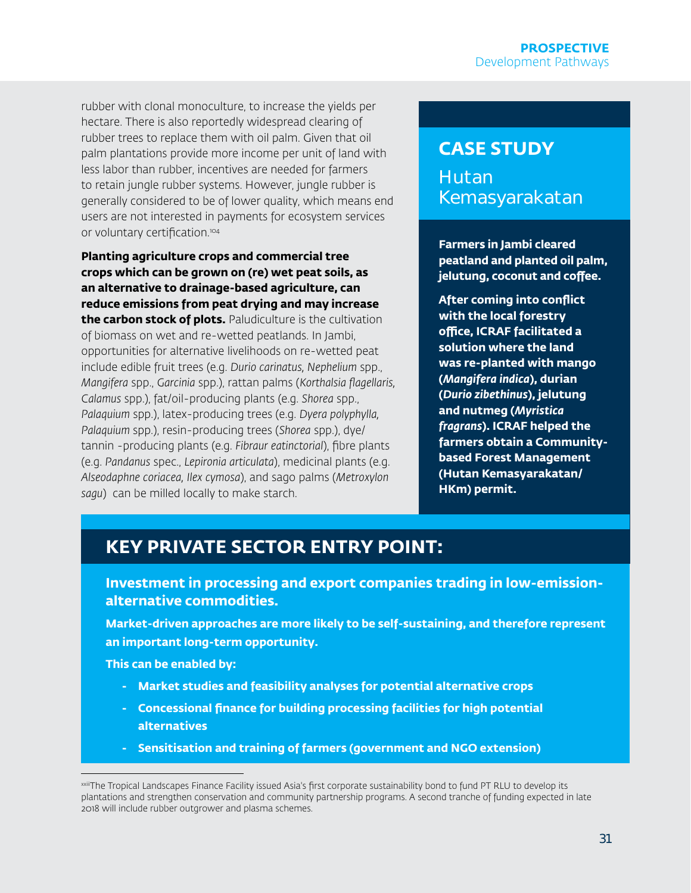rubber with clonal monoculture, to increase the yields per hectare. There is also reportedly widespread clearing of rubber trees to replace them with oil palm. Given that oil palm plantations provide more income per unit of land with less labor than rubber, incentives are needed for farmers to retain jungle rubber systems. However, jungle rubber is generally considered to be of lower quality, which means end users are not interested in payments for ecosystem services or voluntary certification.104

**Planting agriculture crops and commercial tree crops which can be grown on (re) wet peat soils, as an alternative to drainage-based agriculture, can reduce emissions from peat drying and may increase the carbon stock of plots.** Paludiculture is the cultivation of biomass on wet and re-wetted peatlands. In Jambi, opportunities for alternative livelihoods on re-wetted peat include edible fruit trees (e.g. *Durio carinatus, Nephelium* spp., *Mangifera* spp., *Garcinia* spp.), rattan palms (*Korthalsia flagellaris, Calamus* spp.), fat/oil-producing plants (e.g. *Shorea* spp., *Palaquium* spp.), latex-producing trees (e.g. *Dyera polyphylla, Palaquium* spp.), resin-producing trees (*Shorea* spp.), dye/ tannin -producing plants (e.g. *Fibraur eatinctorial*), fibre plants (e.g. *Pandanus* spec., *Lepironia articulata*), medicinal plants (e.g. *Alseodaphne coriacea, Ilex cymosa*), and sago palms (*Metroxylon sagu*) can be milled locally to make starch.

### **CASE STUDY Hutan** Kemasyarakatan

**Farmers in Jambi cleared peatland and planted oil palm, jelutung, coconut and coffee.** 

**After coming into conflict with the local forestry office, ICRAF facilitated a solution where the land was re-planted with mango (***Mangifera indica***), durian (***Durio zibethinus***), jelutung and nutmeg (***Myristica fragrans***). ICRAF helped the farmers obtain a Communitybased Forest Management (Hutan Kemasyarakatan/ HKm) permit.**

### **KEY PRIVATE SECTOR ENTRY POINT:**

**Investment in processing and export companies trading in low-emissionalternative commodities.** 

**Market-driven approaches are more likely to be self-sustaining, and therefore represent an important long-term opportunity.** 

**This can be enabled by:**

- **- Market studies and feasibility analyses for potential alternative crops**
- **- Concessional finance for building processing facilities for high potential alternatives**
- **- Sensitisation and training of farmers (government and NGO extension)**

xxiiiThe Tropical Landscapes Finance Facility issued Asia's first corporate sustainability bond to fund PT RLU to develop its plantations and strengthen conservation and community partnership programs. A second tranche of funding expected in late 2018 will include rubber outgrower and plasma schemes.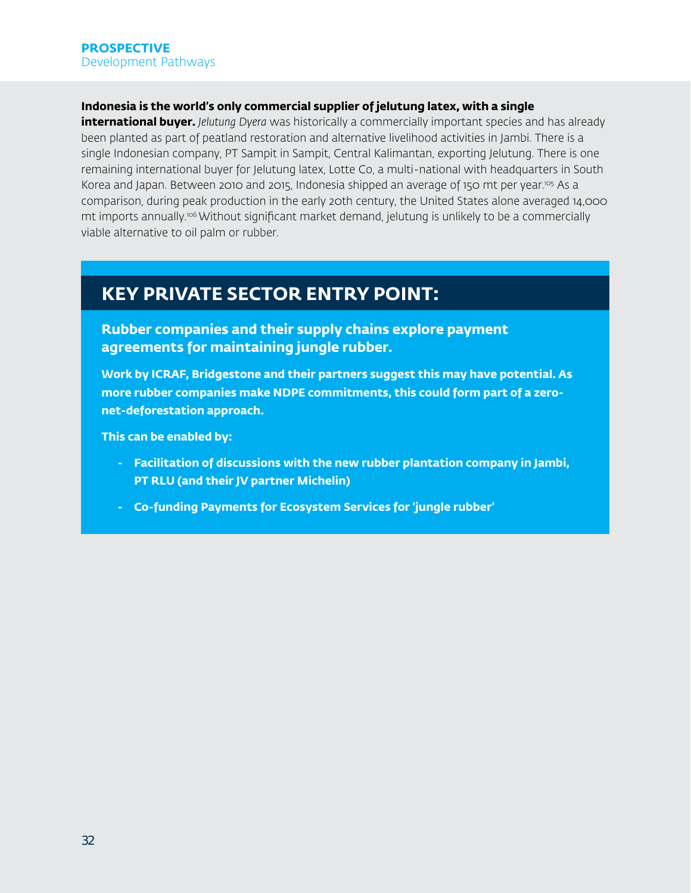#### **Indonesia is the world's only commercial supplier of jelutung latex, with a single**

**international buyer.** *Jelutung Dyera* was historically a commercially important species and has already been planted as part of peatland restoration and alternative livelihood activities in Jambi. There is a single Indonesian company, PT Sampit in Sampit, Central Kalimantan, exporting Jelutung. There is one remaining international buyer for Jelutung latex, Lotte Co, a multi-national with headquarters in South Korea and Japan. Between 2010 and 2015, Indonesia shipped an average of 150 mt per year.<sup>105</sup> As a comparison, during peak production in the early 20th century, the United States alone averaged 14,000 mt imports annually.106 Without significant market demand, jelutung is unlikely to be a commercially viable alternative to oil palm or rubber.

### **KEY PRIVATE SECTOR ENTRY POINT:**

**Rubber companies and their supply chains explore payment agreements for maintaining jungle rubber.**

**Work by ICRAF, Bridgestone and their partners suggest this may have potential. As more rubber companies make NDPE commitments, this could form part of a zeronet-deforestation approach.**

**This can be enabled by:**

- **- Facilitation of discussions with the new rubber plantation company in Jambi, PT RLU (and their JV partner Michelin)**
- **- Co-funding Payments for Ecosystem Services for 'jungle rubber'**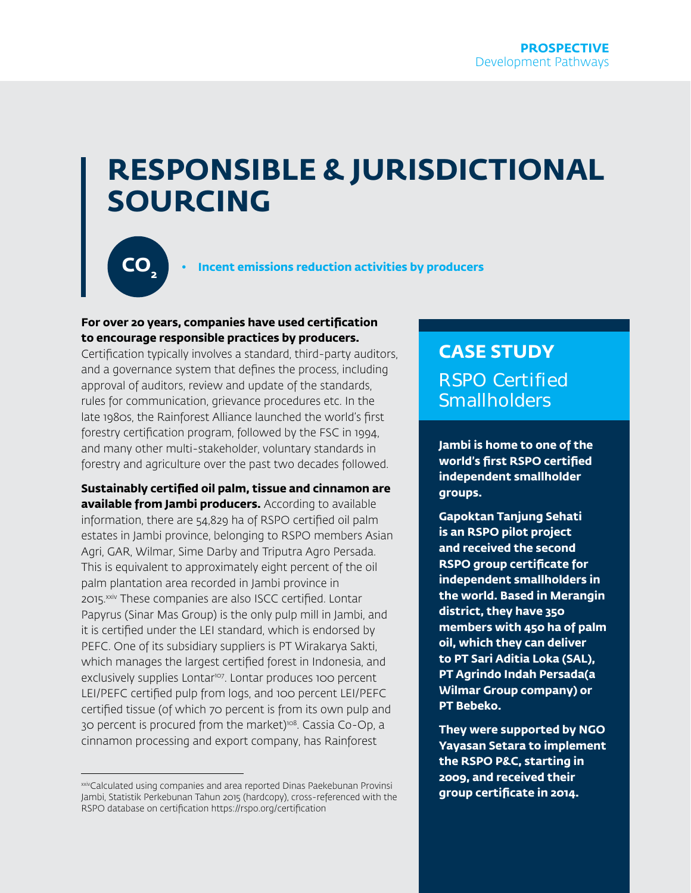# **RESPONSIBLE & JURISDICTIONAL SOURCING**



**CO • Incent emissions reduction activities by producers <sup>2</sup>**

#### **For over 20 years, companies have used certification to encourage responsible practices by producers.**

Certification typically involves a standard, third-party auditors, and a governance system that defines the process, including approval of auditors, review and update of the standards, rules for communication, grievance procedures etc. In the late 1980s, the Rainforest Alliance launched the world's first forestry certification program, followed by the FSC in 1994, and many other multi-stakeholder, voluntary standards in forestry and agriculture over the past two decades followed.

**Sustainably certified oil palm, tissue and cinnamon are available from Jambi producers.** According to available information, there are 54,829 ha of RSPO certified oil palm estates in Jambi province, belonging to RSPO members Asian Agri, GAR, Wilmar, Sime Darby and Triputra Agro Persada. This is equivalent to approximately eight percent of the oil palm plantation area recorded in Jambi province in 2015.xxiv These companies are also ISCC certified. Lontar Papyrus (Sinar Mas Group) is the only pulp mill in Jambi, and it is certified under the LEI standard, which is endorsed by PEFC. One of its subsidiary suppliers is PT Wirakarya Sakti, which manages the largest certified forest in Indonesia, and exclusively supplies Lontar<sup>107</sup>. Lontar produces 100 percent LEI/PEFC certified pulp from logs, and 100 percent LEI/PEFC certified tissue (of which 70 percent is from its own pulp and 30 percent is procured from the market)<sup>108</sup>. Cassia Co-Op, a cinnamon processing and export company, has Rainforest

### **CASE STUDY** RSPO Certified **Smallholders**

**Jambi is home to one of the world's first RSPO certified independent smallholder groups.** 

**Gapoktan Tanjung Sehati is an RSPO pilot project and received the second RSPO group certificate for independent smallholders in the world. Based in Merangin district, they have 350 members with 450 ha of palm oil, which they can deliver to PT Sari Aditia Loka (SAL), PT Agrindo Indah Persada(a Wilmar Group company) or PT Bebeko.** 

**They were supported by NGO Yayasan Setara to implement the RSPO P&C, starting in 2009, and received their group certificate in 2014.**

xxivCalculated using companies and area reported Dinas Paekebunan Provinsi Jambi, Statistik Perkebunan Tahun 2015 (hardcopy), cross-referenced with the RSPO database on certification https://rspo.org/certification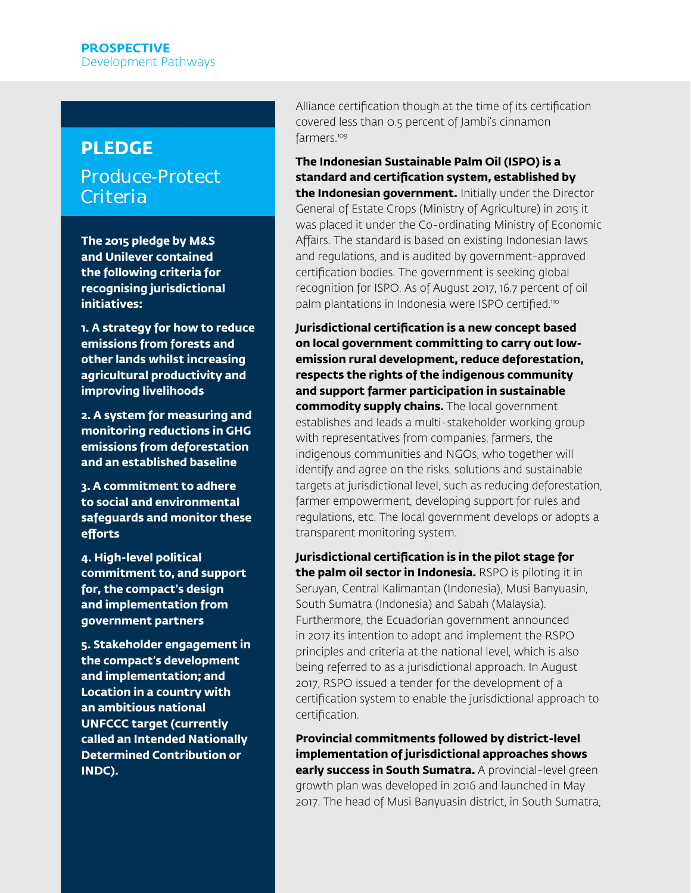### **PLEDGE**

Produce-Protect Criteria

**The 2015 pledge by M&S and Unilever contained the following criteria for recognising jurisdictional initiatives:**

**1. A strategy for how to reduce emissions from forests and other lands whilst increasing agricultural productivity and improving livelihoods**

**2. A system for measuring and monitoring reductions in GHG emissions from deforestation and an established baseline**

**3. A commitment to adhere to social and environmental safeguards and monitor these efforts**

**4. High-level political commitment to, and support for, the compact's design and implementation from government partners**

**5. Stakeholder engagement in the compact's development and implementation; and Location in a country with an ambitious national UNFCCC target (currently called an Intended Nationally Determined Contribution or INDC).**

Alliance certification though at the time of its certification covered less than 0.5 percent of Jambi's cinnamon farmers.109

**The Indonesian Sustainable Palm Oil (ISPO) is a standard and certification system, established by the Indonesian government.** Initially under the Director General of Estate Crops (Ministry of Agriculture) in 2015 it was placed it under the Co-ordinating Ministry of Economic Affairs. The standard is based on existing Indonesian laws and regulations, and is audited by government-approved certification bodies. The government is seeking global recognition for ISPO. As of August 2017, 16.7 percent of oil palm plantations in Indonesia were ISPO certified.<sup>110</sup>

**Jurisdictional certification is a new concept based on local government committing to carry out lowemission rural development, reduce deforestation, respects the rights of the indigenous community and support farmer participation in sustainable commodity supply chains.** The local government establishes and leads a multi-stakeholder working group with representatives from companies, farmers, the indigenous communities and NGOs, who together will identify and agree on the risks, solutions and sustainable targets at jurisdictional level, such as reducing deforestation, farmer empowerment, developing support for rules and regulations, etc. The local government develops or adopts a transparent monitoring system.

**Jurisdictional certification is in the pilot stage for the palm oil sector in Indonesia.** RSPO is piloting it in Seruyan, Central Kalimantan (Indonesia), Musi Banyuasin, South Sumatra (Indonesia) and Sabah (Malaysia). Furthermore, the Ecuadorian government announced in 2017 its intention to adopt and implement the RSPO principles and criteria at the national level, which is also being referred to as a jurisdictional approach. In August 2017, RSPO issued a tender for the development of a certification system to enable the jurisdictional approach to certification.

**Provincial commitments followed by district-level implementation of jurisdictional approaches shows early success in South Sumatra.** A provincial-level green growth plan was developed in 2016 and launched in May 2017. The head of Musi Banyuasin district, in South Sumatra,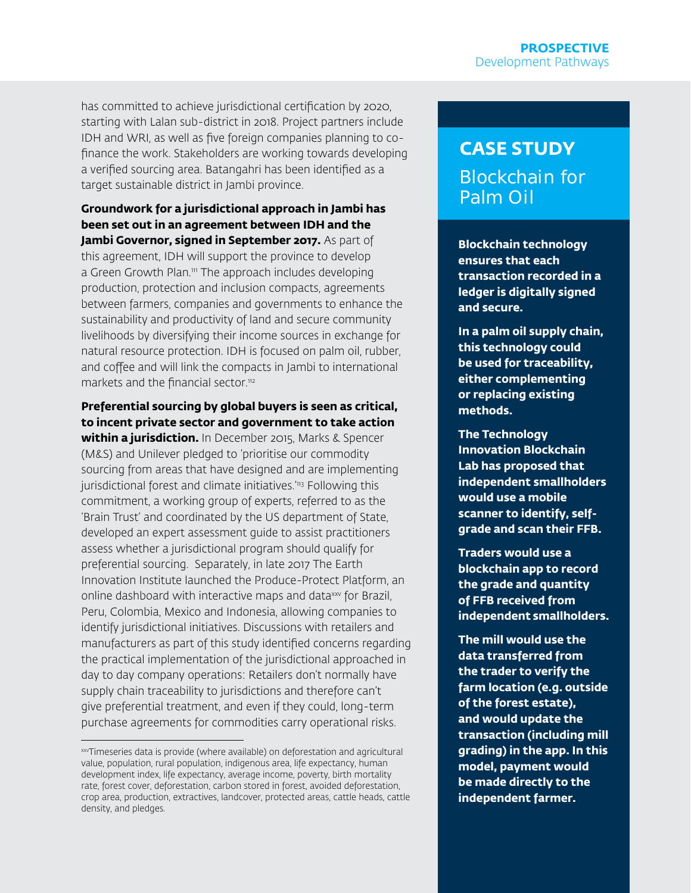has committed to achieve jurisdictional certification by 2020, starting with Lalan sub-district in 2018. Project partners include IDH and WRI, as well as five foreign companies planning to cofinance the work. Stakeholders are working towards developing a verified sourcing area. Batangahri has been identified as a target sustainable district in Jambi province.

#### **Groundwork for a jurisdictional approach in Jambi has been set out in an agreement between IDH and the**

**Jambi Governor, signed in September 2017.** As part of this agreement, IDH will support the province to develop a Green Growth Plan.<sup>111</sup> The approach includes developing production, protection and inclusion compacts, agreements between farmers, companies and governments to enhance the sustainability and productivity of land and secure community livelihoods by diversifying their income sources in exchange for natural resource protection. IDH is focused on palm oil, rubber, and coffee and will link the compacts in Jambi to international markets and the financial sector.<sup>112</sup>

#### **Preferential sourcing by global buyers is seen as critical, to incent private sector and government to take action**

**within a jurisdiction.** In December 2015, Marks & Spencer (M&S) and Unilever pledged to 'prioritise our commodity sourcing from areas that have designed and are implementing jurisdictional forest and climate initiatives.<sup>'113</sup> Following this commitment, a working group of experts, referred to as the 'Brain Trust' and coordinated by the US department of State, developed an expert assessment guide to assist practitioners assess whether a jurisdictional program should qualify for preferential sourcing. Separately, in late 2017 The Earth Innovation Institute launched the Produce-Protect Platform, an online dashboard with interactive maps and dataxxv for Brazil, Peru, Colombia, Mexico and Indonesia, allowing companies to identify jurisdictional initiatives. Discussions with retailers and manufacturers as part of this study identified concerns regarding the practical implementation of the jurisdictional approached in day to day company operations: Retailers don't normally have supply chain traceability to jurisdictions and therefore can't give preferential treatment, and even if they could, long-term purchase agreements for commodities carry operational risks.

### **CASE STUDY**

### Blockchain for Palm Oil

**Blockchain technology ensures that each transaction recorded in a ledger is digitally signed and secure.**

**In a palm oil supply chain, this technology could be used for traceability, either complementing or replacing existing methods.** 

**The Technology Innovation Blockchain Lab has proposed that independent smallholders would use a mobile scanner to identify, selfgrade and scan their FFB.**

**Traders would use a blockchain app to record the grade and quantity of FFB received from independent smallholders.**

**The mill would use the data transferred from the trader to verify the farm location (e.g. outside of the forest estate), and would update the transaction (including mill grading) in the app. In this model, payment would be made directly to the independent farmer.** 

xxvTimeseries data is provide (where available) on deforestation and agricultural value, population, rural population, indigenous area, life expectancy, human development index, life expectancy, average income, poverty, birth mortality rate, forest cover, deforestation, carbon stored in forest, avoided deforestation, crop area, production, extractives, landcover, protected areas, cattle heads, cattle density, and pledges.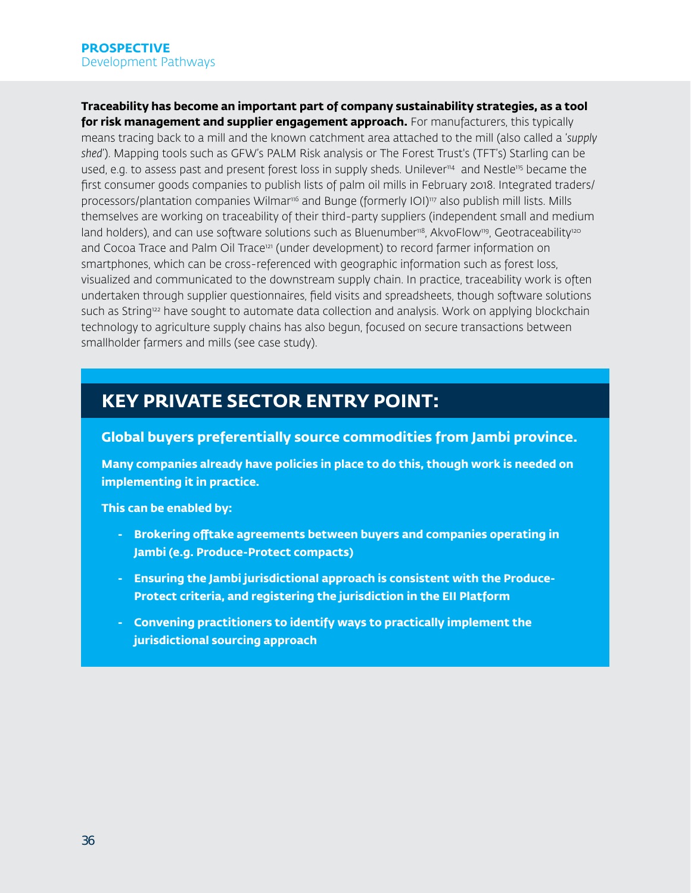**Traceability has become an important part of company sustainability strategies, as a tool for risk management and supplier engagement approach.** For manufacturers, this typically means tracing back to a mill and the known catchment area attached to the mill (also called a '*supply shed*'). Mapping tools such as GFW's PALM Risk analysis or The Forest Trust's (TFT's) Starling can be used, e.g. to assess past and present forest loss in supply sheds. Unilever<sup>114</sup> and Nestle<sup>115</sup> became the first consumer goods companies to publish lists of palm oil mills in February 2018. Integrated traders/ processors/plantation companies Wilmar<sup>116</sup> and Bunge (formerly IOI)<sup>117</sup> also publish mill lists. Mills themselves are working on traceability of their third-party suppliers (independent small and medium land holders), and can use software solutions such as Bluenumber<sup>118</sup>, AkvoFlow<sup>119</sup>, Geotraceability<sup>120</sup> and Cocoa Trace and Palm Oil Trace<sup>121</sup> (under development) to record farmer information on smartphones, which can be cross-referenced with geographic information such as forest loss, visualized and communicated to the downstream supply chain. In practice, traceability work is often undertaken through supplier questionnaires, field visits and spreadsheets, though software solutions such as String<sup>122</sup> have sought to automate data collection and analysis. Work on applying blockchain technology to agriculture supply chains has also begun, focused on secure transactions between smallholder farmers and mills (see case study).

### **KEY PRIVATE SECTOR ENTRY POINT:**

#### **Global buyers preferentially source commodities from Jambi province.**

**Many companies already have policies in place to do this, though work is needed on implementing it in practice.** 

**This can be enabled by:**

- **- Brokering offtake agreements between buyers and companies operating in Jambi (e.g. Produce-Protect compacts)**
- **- Ensuring the Jambi jurisdictional approach is consistent with the Produce-Protect criteria, and registering the jurisdiction in the EII Platform**
- **- Convening practitioners to identify ways to practically implement the jurisdictional sourcing approach**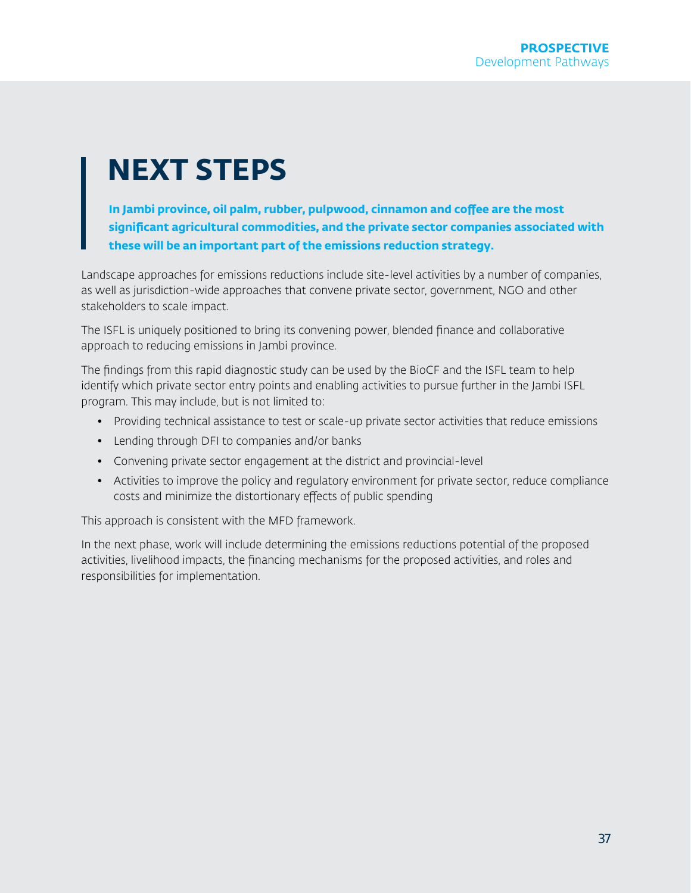# **NEXT STEPS**

**In Jambi province, oil palm, rubber, pulpwood, cinnamon and coffee are the most significant agricultural commodities, and the private sector companies associated with these will be an important part of the emissions reduction strategy.** 

Landscape approaches for emissions reductions include site-level activities by a number of companies, as well as jurisdiction-wide approaches that convene private sector, government, NGO and other stakeholders to scale impact.

The ISFL is uniquely positioned to bring its convening power, blended finance and collaborative approach to reducing emissions in Jambi province.

The findings from this rapid diagnostic study can be used by the BioCF and the ISFL team to help identify which private sector entry points and enabling activities to pursue further in the Jambi ISFL program. This may include, but is not limited to:

- Providing technical assistance to test or scale-up private sector activities that reduce emissions
- Lending through DFI to companies and/or banks
- Convening private sector engagement at the district and provincial-level
- Activities to improve the policy and regulatory environment for private sector, reduce compliance costs and minimize the distortionary effects of public spending

This approach is consistent with the MFD framework.

In the next phase, work will include determining the emissions reductions potential of the proposed activities, livelihood impacts, the financing mechanisms for the proposed activities, and roles and responsibilities for implementation.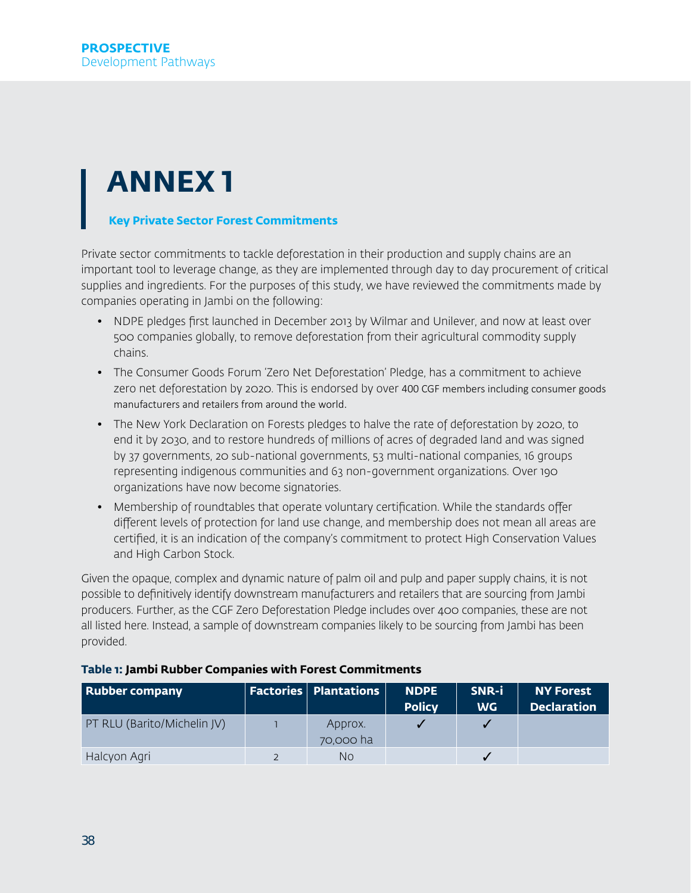# **ANNEX 1**

#### **Key Private Sector Forest Commitments**

Private sector commitments to tackle deforestation in their production and supply chains are an important tool to leverage change, as they are implemented through day to day procurement of critical supplies and ingredients. For the purposes of this study, we have reviewed the commitments made by companies operating in Jambi on the following:

- NDPE pledges first launched in December 2013 by Wilmar and Unilever, and now at least over 500 companies globally, to remove deforestation from their agricultural commodity supply chains.
- The Consumer Goods Forum 'Zero Net Deforestation' Pledge, has a commitment to achieve zero net deforestation by 2020. This is endorsed by over 400 CGF members including consumer goods manufacturers and retailers from around the world.
- The New York Declaration on Forests pledges to halve the rate of deforestation by 2020, to end it by 2030, and to restore hundreds of millions of acres of degraded land and was signed by 37 governments, 20 sub-national governments, 53 multi-national companies, 16 groups representing indigenous communities and 63 non-government organizations. Over 190 organizations have now become signatories.
- Membership of roundtables that operate voluntary certification. While the standards offer different levels of protection for land use change, and membership does not mean all areas are certified, it is an indication of the company's commitment to protect High Conservation Values and High Carbon Stock.

Given the opaque, complex and dynamic nature of palm oil and pulp and paper supply chains, it is not possible to definitively identify downstream manufacturers and retailers that are sourcing from Jambi producers. Further, as the CGF Zero Deforestation Pledge includes over 400 companies, these are not all listed here. Instead, a sample of downstream companies likely to be sourcing from Jambi has been provided.

| Rubber company              | $\mid$ Factories $\mid$ Plantations $\mid$ | <b>NDPE</b><br><b>Policy</b> | SNR-i<br><b>WG</b> | <b>NY Forest</b><br><b>Declaration</b> |
|-----------------------------|--------------------------------------------|------------------------------|--------------------|----------------------------------------|
| PT RLU (Barito/Michelin JV) | Approx.<br>70,000 ha                       |                              |                    |                                        |
| Halcyon Agri                | No                                         |                              |                    |                                        |

#### **Table 1: Jambi Rubber Companies with Forest Commitments**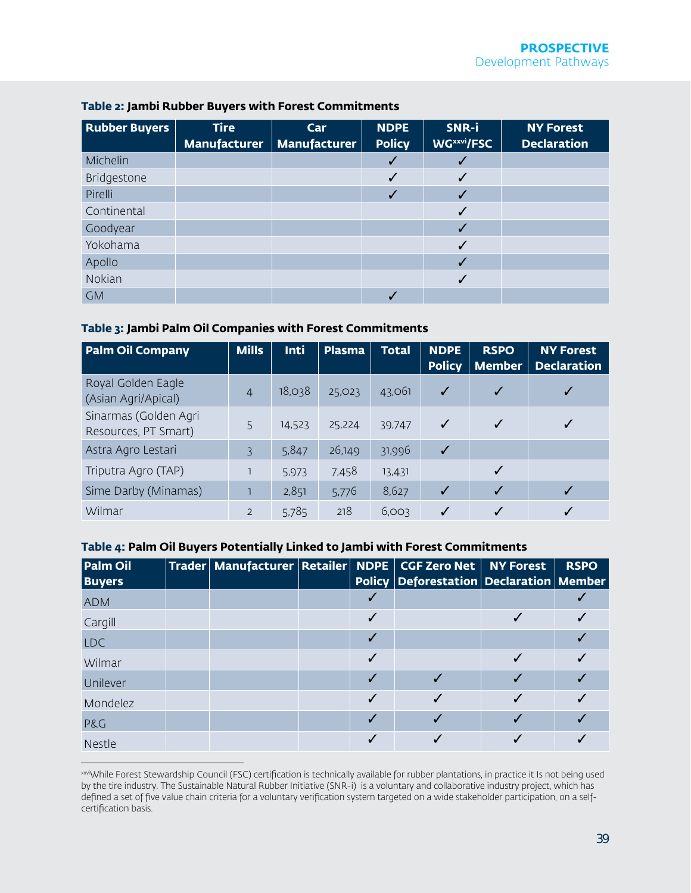| <b>Rubber Buyers</b> | <b>Tire</b><br><b>Manufacturer</b> | Car<br>Manufacturer | <b>NDPE</b><br><b>Policy</b> | SNR-i<br>WGxxvi/FSC | <b>NY Forest</b><br><b>Declaration</b> |
|----------------------|------------------------------------|---------------------|------------------------------|---------------------|----------------------------------------|
| Michelin             |                                    |                     |                              |                     |                                        |
| Bridgestone          |                                    |                     |                              |                     |                                        |
| Pirelli              |                                    |                     |                              |                     |                                        |
| Continental          |                                    |                     |                              |                     |                                        |
| Goodyear             |                                    |                     |                              |                     |                                        |
| Yokohama             |                                    |                     |                              |                     |                                        |
| Apollo               |                                    |                     |                              |                     |                                        |
| Nokian               |                                    |                     |                              |                     |                                        |
| <b>GM</b>            |                                    |                     |                              |                     |                                        |

#### **Table 2: Jambi Rubber Buyers with Forest Commitments**

#### **Table 3: Jambi Palm Oil Companies with Forest Commitments**

| <b>Palm Oil Company</b>                       | <b>Mills</b>   | Inti   | <b>Plasma</b> | <b>Total</b> | <b>NDPE</b><br><b>Policy</b> | <b>RSPO</b><br><b>Member</b> | <b>NY Forest</b><br><b>Declaration</b> |
|-----------------------------------------------|----------------|--------|---------------|--------------|------------------------------|------------------------------|----------------------------------------|
| Royal Golden Eagle<br>(Asian Agri/Apical)     | $\overline{4}$ | 18,038 | 25,023        | 43.061       | $\sqrt{}$                    | ✓                            |                                        |
| Sinarmas (Golden Agri<br>Resources, PT Smart) | 5              | 14,523 | 25,224        | 39,747       | $\checkmark$                 | $\checkmark$                 |                                        |
| Astra Agro Lestari                            | $\mathcal{E}$  | 5,847  | 26,149        | 31,996       | $\overline{\mathcal{L}}$     |                              |                                        |
| Triputra Agro (TAP)                           |                | 5,973  | 7,458         | 13,431       |                              |                              |                                        |
| Sime Darby (Minamas)                          |                | 2,851  | 5,776         | 8,627        | $\overline{\mathcal{L}}$     |                              |                                        |
| Wilmar                                        | 2              | 5,785  | 218           | 6,003        |                              |                              |                                        |

#### **Table 4: Palm Oil Buyers Potentially Linked to Jambi with Forest Commitments**

| <b>Palm Oil</b><br><b>Buyers</b> | Trader   Manufacturer   Retailer   NDPE   CGF Zero Net   NY Forest |  | Policy   Deforestation   Declaration   Member | <b>RSPO</b> |
|----------------------------------|--------------------------------------------------------------------|--|-----------------------------------------------|-------------|
| <b>ADM</b>                       |                                                                    |  |                                               |             |
| Cargill                          |                                                                    |  |                                               |             |
| <b>LDC</b>                       |                                                                    |  |                                               |             |
| Wilmar                           |                                                                    |  |                                               |             |
| Unilever                         |                                                                    |  |                                               |             |
| Mondelez                         |                                                                    |  |                                               |             |
| <b>P&amp;G</b>                   |                                                                    |  |                                               |             |
| Nestle                           |                                                                    |  |                                               |             |

xxviWhile Forest Stewardship Council (FSC) certification is technically available for rubber plantations, in practice it Is not being used by the tire industry. The Sustainable Natural Rubber Initiative (SNR-i) is a voluntary and collaborative industry project, which has defined a set of five value chain criteria for a voluntary verification system targeted on a wide stakeholder participation, on a selfcertification basis.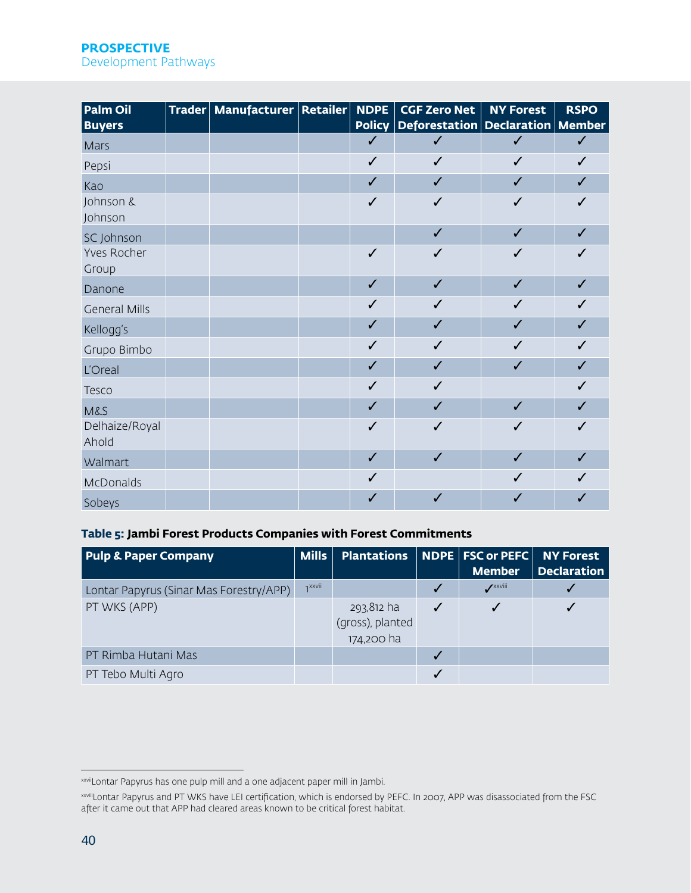#### **PROSPECTIVE**

Development Pathways

| Palm Oil                    | $\mathsf{Trader} \mathsf{Manufacturer} \mathsf{Retailer} $ | <b>NDPE</b>  | <b>CGF Zero Net</b>                  | <b>NY Forest</b> | <b>RSPO</b>  |
|-----------------------------|------------------------------------------------------------|--------------|--------------------------------------|------------------|--------------|
| <b>Buyers</b>               |                                                            | Policy $ $   | Deforestation   Declaration   Member |                  |              |
| Mars                        |                                                            | $\checkmark$ | $\checkmark$                         | $\checkmark$     | $\checkmark$ |
| Pepsi                       |                                                            | $\checkmark$ | ✓                                    | $\checkmark$     | $\checkmark$ |
| Kao                         |                                                            | $\checkmark$ | ✓                                    | ✓                | ✓            |
| Johnson &<br>Johnson        |                                                            | $\checkmark$ | $\checkmark$                         | $\checkmark$     | $\checkmark$ |
| SC Johnson                  |                                                            |              | ✓                                    | $\checkmark$     | $\checkmark$ |
| <b>Yves Rocher</b><br>Group |                                                            | $\checkmark$ | ✓                                    | $\checkmark$     | ✓            |
| Danone                      |                                                            | $\checkmark$ | $\checkmark$                         | $\checkmark$     | $\checkmark$ |
| <b>General Mills</b>        |                                                            | $\checkmark$ | ✓                                    | ✓                | ✓            |
| Kellogg's                   |                                                            | ✓            | ✓                                    | ✓                | ✓            |
| Grupo Bimbo                 |                                                            | $\checkmark$ | ✓                                    | $\checkmark$     | $\checkmark$ |
| L'Oreal                     |                                                            | ✓            | ✓                                    | $\checkmark$     | ✓            |
| Tesco                       |                                                            | $\checkmark$ | ✓                                    |                  | $\checkmark$ |
| <b>M&amp;S</b>              |                                                            | $\checkmark$ | $\checkmark$                         | $\checkmark$     | ✓            |
| Delhaize/Royal<br>Ahold     |                                                            | $\checkmark$ | ✓                                    | J                | ✓            |
| Walmart                     |                                                            | $\checkmark$ | $\checkmark$                         | ✓                | ✓            |
| McDonalds                   |                                                            | $\checkmark$ |                                      | ✓                | ✓            |
| Sobeys                      |                                                            | ✓            | ✓                                    | ✓                | ✓            |

#### **Table 5: Jambi Forest Products Companies with Forest Commitments**

| <b>Pulp &amp; Paper Company</b>         | Mills         | Plantations   NDPE   FSC or PEFC             |            | <b>Member</b>                    | <b>NY Forest</b><br><b>Declaration</b> |
|-----------------------------------------|---------------|----------------------------------------------|------------|----------------------------------|----------------------------------------|
| Lontar Papyrus (Sinar Mas Forestry/APP) | <b>TXXVII</b> |                                              |            | $\boldsymbol{J}^{\text{XXViii}}$ |                                        |
| PT WKS (APP)                            |               | 293,812 ha<br>(gross), planted<br>174,200 ha | $\sqrt{ }$ |                                  |                                        |
| PT Rimba Hutani Mas                     |               |                                              |            |                                  |                                        |
| PT Tebo Multi Agro                      |               |                                              |            |                                  |                                        |

xxviiLontar Papyrus has one pulp mill and a one adjacent paper mill in Jambi.

xxviiiLontar Papyrus and PT WKS have LEI certification, which is endorsed by PEFC. In 2007, APP was disassociated from the FSC after it came out that APP had cleared areas known to be critical forest habitat.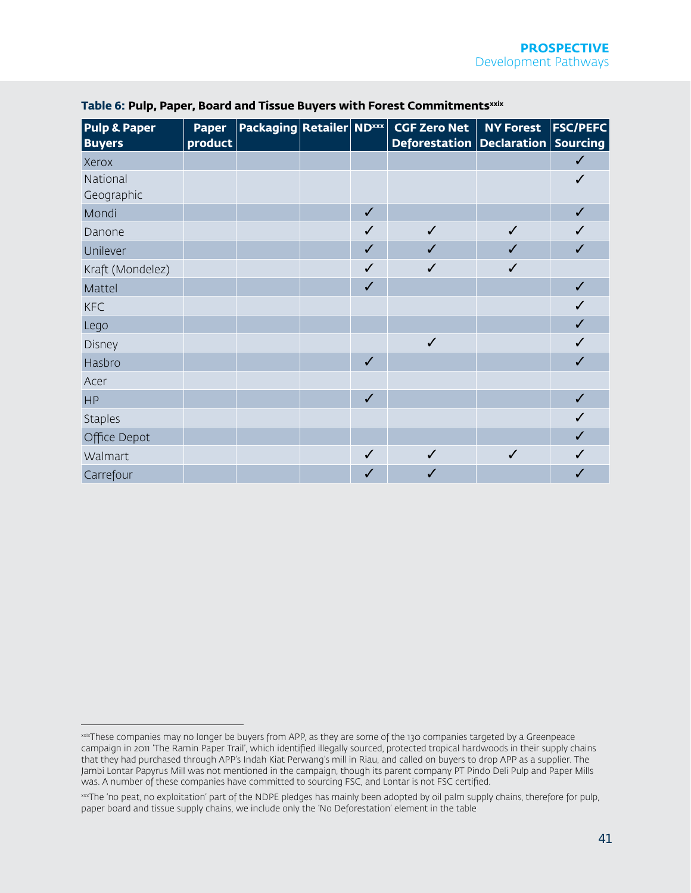| <b>Pulp &amp; Paper</b> | <b>Paper</b> | Packaging Retailer NDxxx |              | <b>CGF Zero Net</b>                    | <b>NY Forest</b> | <b>FSC/PEFC</b> |
|-------------------------|--------------|--------------------------|--------------|----------------------------------------|------------------|-----------------|
| <b>Buyers</b>           | product      |                          |              | Deforestation   Declaration   Sourcing |                  |                 |
| Xerox                   |              |                          |              |                                        |                  | $\checkmark$    |
| National                |              |                          |              |                                        |                  | $\checkmark$    |
| Geographic              |              |                          |              |                                        |                  |                 |
| Mondi                   |              |                          | $\checkmark$ |                                        |                  | $\checkmark$    |
| Danone                  |              |                          | $\checkmark$ | $\checkmark$                           | $\checkmark$     | ✓               |
| Unilever                |              |                          | $\checkmark$ | J                                      | J                | $\checkmark$    |
| Kraft (Mondelez)        |              |                          | $\checkmark$ | ✓                                      | ✓                |                 |
| Mattel                  |              |                          | $\checkmark$ |                                        |                  | $\checkmark$    |
| <b>KFC</b>              |              |                          |              |                                        |                  | ✓               |
| Lego                    |              |                          |              |                                        |                  | ✓               |
| Disney                  |              |                          |              | $\checkmark$                           |                  | ✓               |
| Hasbro                  |              |                          | $\checkmark$ |                                        |                  | $\checkmark$    |
| Acer                    |              |                          |              |                                        |                  |                 |
| HP                      |              |                          | $\checkmark$ |                                        |                  | $\checkmark$    |
| <b>Staples</b>          |              |                          |              |                                        |                  | ✓               |
| Office Depot            |              |                          |              |                                        |                  | ✓               |
| Walmart                 |              |                          | ✓            |                                        | ✓                | ✓               |
| Carrefour               |              |                          | ✓            |                                        |                  | ✓               |

#### **Table 6: Pulp, Paper, Board and Tissue Buyers with Forest Commitmentsxxix**

xxixThese companies may no longer be buyers from APP, as they are some of the 130 companies targeted by a Greenpeace campaign in 2011 'The Ramin Paper Trail', which identified illegally sourced, protected tropical hardwoods in their supply chains that they had purchased through APP's Indah Kiat Perwang's mill in Riau, and called on buyers to drop APP as a supplier. The Jambi Lontar Papyrus Mill was not mentioned in the campaign, though its parent company PT Pindo Deli Pulp and Paper Mills was. A number of these companies have committed to sourcing FSC, and Lontar is not FSC certified.

xxxThe 'no peat, no exploitation' part of the NDPE pledges has mainly been adopted by oil palm supply chains, therefore for pulp, paper board and tissue supply chains, we include only the 'No Deforestation' element in the table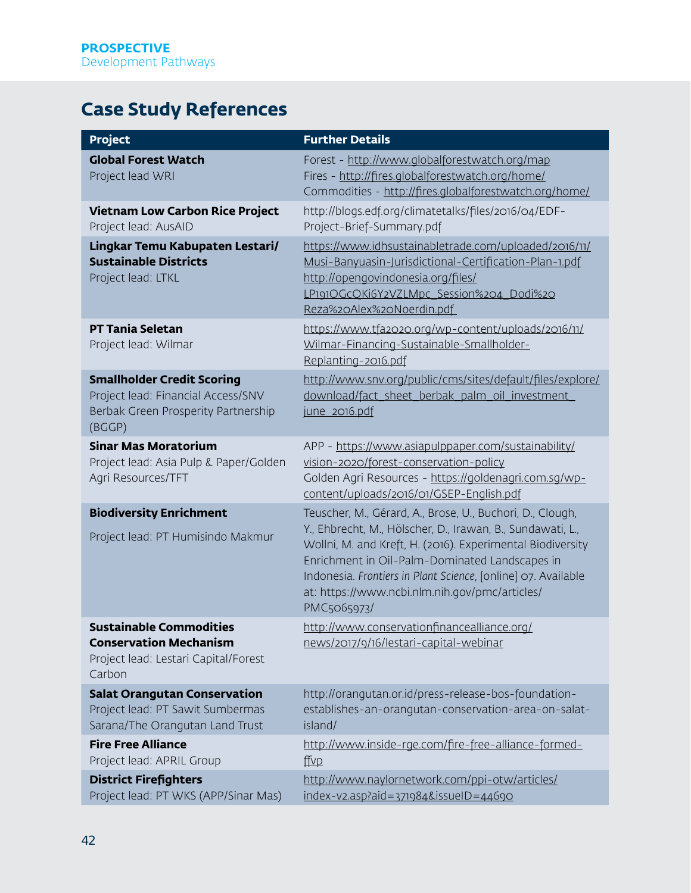### **Case Study References**

| <b>Project</b>                                                                                                           | <b>Further Details</b>                                                                                                                                                                                                                                                                                                                                                    |
|--------------------------------------------------------------------------------------------------------------------------|---------------------------------------------------------------------------------------------------------------------------------------------------------------------------------------------------------------------------------------------------------------------------------------------------------------------------------------------------------------------------|
| <b>Global Forest Watch</b><br>Project lead WRI                                                                           | Forest - http://www.globalforestwatch.org/map<br>Fires - http://fires.globalforestwatch.org/home/<br>Commodities - http://fires.globalforestwatch.org/home/                                                                                                                                                                                                               |
| <b>Vietnam Low Carbon Rice Project</b><br>Project lead: AusAID                                                           | http://blogs.edf.org/climatetalks/files/2016/04/EDF-<br>Project-Brief-Summary.pdf                                                                                                                                                                                                                                                                                         |
| Lingkar Temu Kabupaten Lestari/<br><b>Sustainable Districts</b><br>Project lead: LTKL                                    | https://www.idhsustainabletrade.com/uploaded/2016/11/<br>Musi-Banyuasin-Jurisdictional-Certification-Plan-1.pdf<br>http://opengovindonesia.org/files/<br>LP191OGcQKi6Y2VZLMpc Session%204 Dodi%20<br>Reza%20Alex%20Noerdin.pdf                                                                                                                                            |
| <b>PT Tania Seletan</b><br>Project lead: Wilmar                                                                          | https://www.tfa2020.org/wp-content/uploads/2016/11/<br>Wilmar-Financing-Sustainable-Smallholder-<br>Replanting-2016.pdf                                                                                                                                                                                                                                                   |
| <b>Smallholder Credit Scoring</b><br>Project lead: Financial Access/SNV<br>Berbak Green Prosperity Partnership<br>(BGGP) | http://www.snv.org/public/cms/sites/default/files/explore/<br>download/fact_sheet_berbak_palm_oil_investment_<br>june_2016.pdf                                                                                                                                                                                                                                            |
| <b>Sinar Mas Moratorium</b><br>Project lead: Asia Pulp & Paper/Golden<br>Agri Resources/TFT                              | APP - https://www.asiapulppaper.com/sustainability/<br>vision-2020/forest-conservation-policy<br>Golden Agri Resources - https://goldenagri.com.sg/wp-<br>content/uploads/2016/01/GSEP-English.pdf                                                                                                                                                                        |
| <b>Biodiversity Enrichment</b><br>Project lead: PT Humisindo Makmur                                                      | Teuscher, M., Gérard, A., Brose, U., Buchori, D., Clough,<br>Y., Ehbrecht, M., Hölscher, D., Irawan, B., Sundawati, L.,<br>Wollni, M. and Kreft, H. (2016). Experimental Biodiversity<br>Enrichment in Oil-Palm-Dominated Landscapes in<br>Indonesia. Frontiers in Plant Science, [online] 07. Available<br>at: https://www.ncbi.nlm.nih.gov/pmc/articles/<br>PMC5065973/ |
| <b>Sustainable Commodities</b><br><b>Conservation Mechanism</b><br>Project lead: Lestari Capital/Forest<br>Carbon        | http://www.conservationfinancealliance.org/<br>news/2017/9/16/lestari-capital-webinar                                                                                                                                                                                                                                                                                     |
| <b>Salat Orangutan Conservation</b><br>Project lead: PT Sawit Sumbermas<br>Sarana/The Orangutan Land Trust               | http://orangutan.or.id/press-release-bos-foundation-<br>establishes-an-orangutan-conservation-area-on-salat-<br>island/                                                                                                                                                                                                                                                   |
| <b>Fire Free Alliance</b><br>Project lead: APRIL Group                                                                   | http://www.inside-rge.com/fire-free-alliance-formed-<br>ffvp                                                                                                                                                                                                                                                                                                              |
| <b>District Firefighters</b><br>Project lead: PT WKS (APP/Sinar Mas)                                                     | http://www.naylornetwork.com/ppi-otw/articles/<br>index-v2.asp?aid=371984&issueID=44690                                                                                                                                                                                                                                                                                   |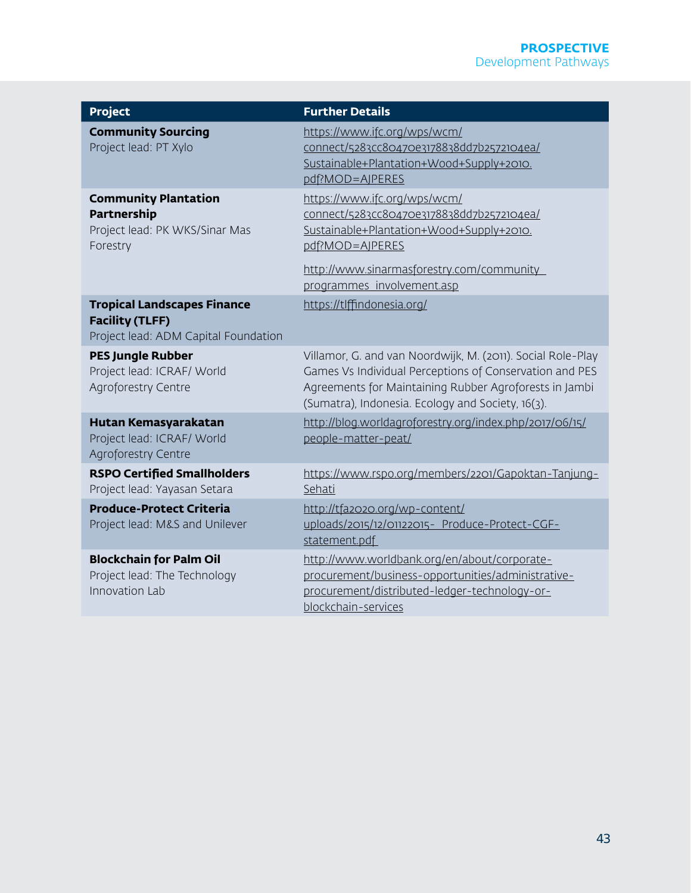| <b>Project</b>                                                                                       | <b>Further Details</b>                                                                                                                                                                                                                |
|------------------------------------------------------------------------------------------------------|---------------------------------------------------------------------------------------------------------------------------------------------------------------------------------------------------------------------------------------|
| <b>Community Sourcing</b><br>Project lead: PT Xylo                                                   | https://www.ifc.org/wps/wcm/<br>connect/5283cc80470e3178838dd7b2572104ea/<br>Sustainable+Plantation+Wood+Supply+2010.<br>pdf?MOD=AJPERES                                                                                              |
| <b>Community Plantation</b><br>Partnership<br>Project lead: PK WKS/Sinar Mas<br>Forestry             | https://www.ifc.org/wps/wcm/<br>connect/5283cc80470e3178838dd7b2572104ea/<br>Sustainable+Plantation+Wood+Supply+2010.<br>pdf?MOD=AJPERES                                                                                              |
|                                                                                                      | http://www.sinarmasforestry.com/community_<br>programmes involvement.asp                                                                                                                                                              |
| <b>Tropical Landscapes Finance</b><br><b>Facility (TLFF)</b><br>Project lead: ADM Capital Foundation | https://tlffindonesia.org/                                                                                                                                                                                                            |
| <b>PES Jungle Rubber</b><br>Project lead: ICRAF/ World<br>Agroforestry Centre                        | Villamor, G. and van Noordwijk, M. (2011). Social Role-Play<br>Games Vs Individual Perceptions of Conservation and PES<br>Agreements for Maintaining Rubber Agroforests in Jambi<br>(Sumatra), Indonesia. Ecology and Society, 16(3). |
| Hutan Kemasyarakatan<br>Project lead: ICRAF/ World<br>Agroforestry Centre                            | http://blog.worldagroforestry.org/index.php/2017/06/15/<br>people-matter-peat/                                                                                                                                                        |
| <b>RSPO Certified Smallholders</b><br>Project lead: Yayasan Setara                                   | https://www.rspo.org/members/2201/Gapoktan-Tanjung-<br>Sehati                                                                                                                                                                         |
| <b>Produce-Protect Criteria</b><br>Project lead: M&S and Unilever                                    | http://tfa2020.org/wp-content/<br>uploads/2015/12/01122015-_Produce-Protect-CGF-<br>statement.pdf                                                                                                                                     |
| <b>Blockchain for Palm Oil</b><br>Project lead: The Technology<br>Innovation Lab                     | http://www.worldbank.org/en/about/corporate-<br>procurement/business-opportunities/administrative-<br>procurement/distributed-ledger-technology-or-<br>blockchain-services                                                            |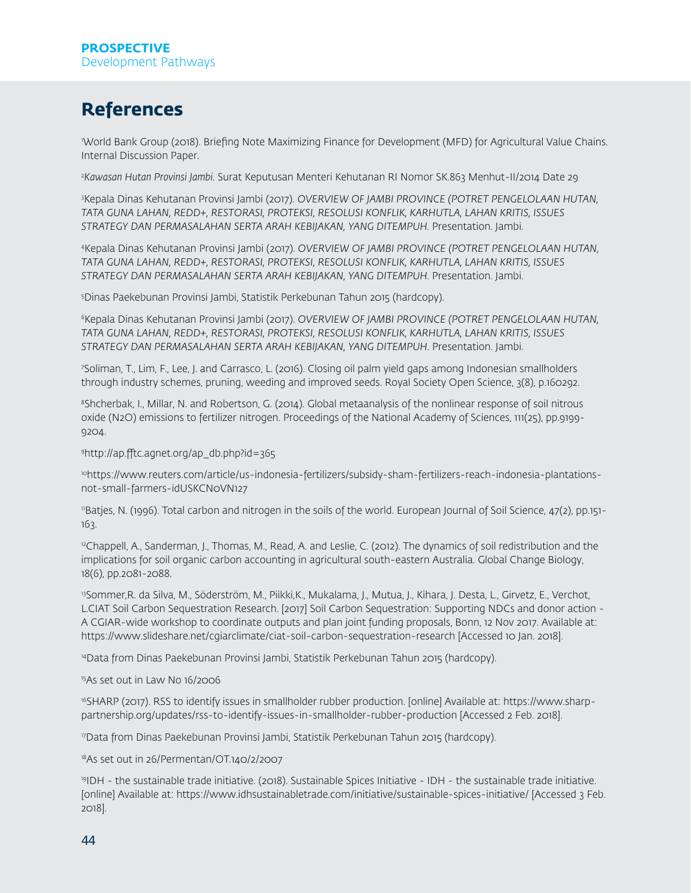### **References**

1 World Bank Group (2018). Briefing Note Maximizing Finance for Development (MFD) for Agricultural Value Chains. Internal Discussion Paper.

2 *Kawasan Hutan Provinsi Jambi.* Surat Keputusan Menteri Kehutanan RI Nomor SK.863 Menhut-II/2014 Date 29

3 Kepala Dinas Kehutanan Provinsi Jambi (2017). *OVERVIEW OF JAMBI PROVINCE (POTRET PENGELOLAAN HUTAN, TATA GUNA LAHAN, REDD+, RESTORASI, PROTEKSI, RESOLUSI KONFLIK, KARHUTLA, LAHAN KRITIS, ISSUES STRATEGY DAN PERMASALAHAN SERTA ARAH KEBIJAKAN, YANG DITEMPUH.* Presentation. Jambi.

4 Kepala Dinas Kehutanan Provinsi Jambi (2017). *OVERVIEW OF JAMBI PROVINCE (POTRET PENGELOLAAN HUTAN, TATA GUNA LAHAN, REDD+, RESTORASI, PROTEKSI, RESOLUSI KONFLIK, KARHUTLA, LAHAN KRITIS, ISSUES STRATEGY DAN PERMASALAHAN SERTA ARAH KEBIJAKAN, YANG DITEMPUH.* Presentation. Jambi.

5 Dinas Paekebunan Provinsi Jambi, Statistik Perkebunan Tahun 2015 (hardcopy).

6 Kepala Dinas Kehutanan Provinsi Jambi (2017). *OVERVIEW OF JAMBI PROVINCE (POTRET PENGELOLAAN HUTAN, TATA GUNA LAHAN, REDD+, RESTORASI, PROTEKSI, RESOLUSI KONFLIK, KARHUTLA, LAHAN KRITIS, ISSUES STRATEGY DAN PERMASALAHAN SERTA ARAH KEBIJAKAN, YANG DITEMPUH*. Presentation. Jambi.

7 Soliman, T., Lim, F., Lee, J. and Carrasco, L. (2016). Closing oil palm yield gaps among Indonesian smallholders through industry schemes, pruning, weeding and improved seeds. Royal Society Open Science, 3(8), p.160292.

8 Shcherbak, I., Millar, N. and Robertson, G. (2014). Global metaanalysis of the nonlinear response of soil nitrous oxide (N2O) emissions to fertilizer nitrogen. Proceedings of the National Academy of Sciences, 111(25), pp.9199- 9204.

9 http://ap.fftc.agnet.org/ap\_db.php?id=365

10https://www.reuters.com/article/us-indonesia-fertilizers/subsidy-sham-fertilizers-reach-indonesia-plantationsnot-small-farmers-idUSKCN0VN127

11Batjes, N. (1996). Total carbon and nitrogen in the soils of the world. European Journal of Soil Science, 47(2), pp.151- 163.

<sup>12</sup>Chappell, A., Sanderman, J., Thomas, M., Read, A. and Leslie, C. (2012). The dynamics of soil redistribution and the implications for soil organic carbon accounting in agricultural south-eastern Australia. Global Change Biology, 18(6), pp.2081-2088.

<sup>13</sup>Sommer,R. da Silva, M., Söderström, M., Piikki,K., Mukalama, J., Mutua, J., Kihara, J. Desta, L., Girvetz, E., Verchot, L.CIAT Soil Carbon Sequestration Research. [2017] Soil Carbon Sequestration: Supporting NDCs and donor action - A CGIAR-wide workshop to coordinate outputs and plan joint funding proposals, Bonn, 12 Nov 2017. Available at: https://www.slideshare.net/cgiarclimate/ciat-soil-carbon-sequestration-research [Accessed 10 Jan. 2018].

14Data from Dinas Paekebunan Provinsi Jambi, Statistik Perkebunan Tahun 2015 (hardcopy).

15As set out in Law No 16/2006

<sup>16</sup>SHARP (2017). RSS to identify issues in smallholder rubber production. [online] Available at: https://www.sharppartnership.org/updates/rss-to-identify-issues-in-smallholder-rubber-production [Accessed 2 Feb. 2018].

17Data from Dinas Paekebunan Provinsi Jambi, Statistik Perkebunan Tahun 2015 (hardcopy).

18As set out in 26/Permentan/OT.140/2/2007

19IDH - the sustainable trade initiative. (2018). Sustainable Spices Initiative - IDH - the sustainable trade initiative. [online] Available at: https://www.idhsustainabletrade.com/initiative/sustainable-spices-initiative/ [Accessed 3 Feb. 2018].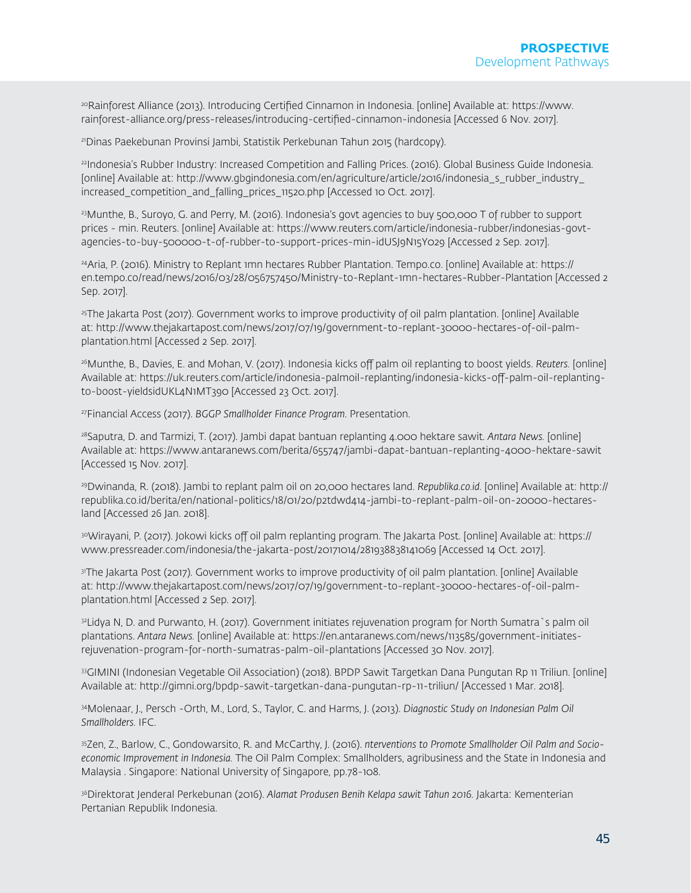20Rainforest Alliance (2013). Introducing Certified Cinnamon in Indonesia. [online] Available at: https://www. rainforest-alliance.org/press-releases/introducing-certified-cinnamon-indonesia [Accessed 6 Nov. 2017].

21Dinas Paekebunan Provinsi Jambi, Statistik Perkebunan Tahun 2015 (hardcopy).

22Indonesia's Rubber Industry: Increased Competition and Falling Prices. (2016). Global Business Guide Indonesia. [online] Available at: http://www.gbgindonesia.com/en/agriculture/article/2016/indonesia\_s\_rubber\_industry\_ increased\_competition\_and\_falling\_prices\_11520.php [Accessed 10 Oct. 2017].

23Munthe, B., Suroyo, G. and Perry, M. (2016). Indonesia's govt agencies to buy 500,000 T of rubber to support prices - min. Reuters. [online] Available at: https://www.reuters.com/article/indonesia-rubber/indonesias-govtagencies-to-buy-500000-t-of-rubber-to-support-prices-min-idUSJ9N15Y029 [Accessed 2 Sep. 2017].

24Aria, P. (2016). Ministry to Replant 1mn hectares Rubber Plantation. Tempo.co. [online] Available at: https:// en.tempo.co/read/news/2016/03/28/056757450/Ministry-to-Replant-1mn-hectares-Rubber-Plantation [Accessed 2 Sep. 2017].

25The Jakarta Post (2017). Government works to improve productivity of oil palm plantation. [online] Available at: http://www.thejakartapost.com/news/2017/07/19/government-to-replant-30000-hectares-of-oil-palmplantation.html [Accessed 2 Sep. 2017].

26Munthe, B., Davies, E. and Mohan, V. (2017). Indonesia kicks off palm oil replanting to boost yields. *Reuters.* [online] Available at: https://uk.reuters.com/article/indonesia-palmoil-replanting/indonesia-kicks-off-palm-oil-replantingto-boost-yieldsidUKL4N1MT390 [Accessed 23 Oct. 2017].

27Financial Access (2017). *BGGP Smallholder Finance Program*. Presentation.

28Saputra, D. and Tarmizi, T. (2017). Jambi dapat bantuan replanting 4.000 hektare sawit. *Antara News.* [online] Available at: https://www.antaranews.com/berita/655747/jambi-dapat-bantuan-replanting-4000-hektare-sawit [Accessed 15 Nov. 2017].

29Dwinanda, R. (2018). Jambi to replant palm oil on 20,000 hectares land. *Republika.co.id.* [online] Available at: http:// republika.co.id/berita/en/national-politics/18/01/20/p2tdwd414-jambi-to-replant-palm-oil-on-20000-hectaresland [Accessed 26 Jan. 2018].

30Wirayani, P. (2017). Jokowi kicks off oil palm replanting program. The Jakarta Post. [online] Available at: https:// www.pressreader.com/indonesia/the-jakarta-post/20171014/281938838141069 [Accessed 14 Oct. 2017].

31The Jakarta Post (2017). Government works to improve productivity of oil palm plantation. [online] Available at: http://www.thejakartapost.com/news/2017/07/19/government-to-replant-30000-hectares-of-oil-palmplantation.html [Accessed 2 Sep. 2017].

32Lidya N, D. and Purwanto, H. (2017). Government initiates rejuvenation program for North Sumatra`s palm oil plantations. *Antara News.* [online] Available at: https://en.antaranews.com/news/113585/government-initiatesrejuvenation-program-for-north-sumatras-palm-oil-plantations [Accessed 30 Nov. 2017].

33GIMINI (Indonesian Vegetable Oil Association) (2018). BPDP Sawit Targetkan Dana Pungutan Rp 11 Triliun. [online] Available at: http://gimni.org/bpdp-sawit-targetkan-dana-pungutan-rp-11-triliun/ [Accessed 1 Mar. 2018].

34Molenaar, J., Persch -Orth, M., Lord, S., Taylor, C. and Harms, J. (2013). *Diagnostic Study on Indonesian Palm Oil Smallholders.* IFC.

35Zen, Z., Barlow, C., Gondowarsito, R. and McCarthy, J. (2016). *nterventions to Promote Smallholder Oil Palm and Socioeconomic Improvement in Indonesia.* The Oil Palm Complex: Smallholders, agribusiness and the State in Indonesia and Malaysia . Singapore: National University of Singapore, pp.78-108.

36Direktorat Jenderal Perkebunan (2016). *Alamat Produsen Benih Kelapa sawit Tahun 2016.* Jakarta: Kementerian Pertanian Republik Indonesia.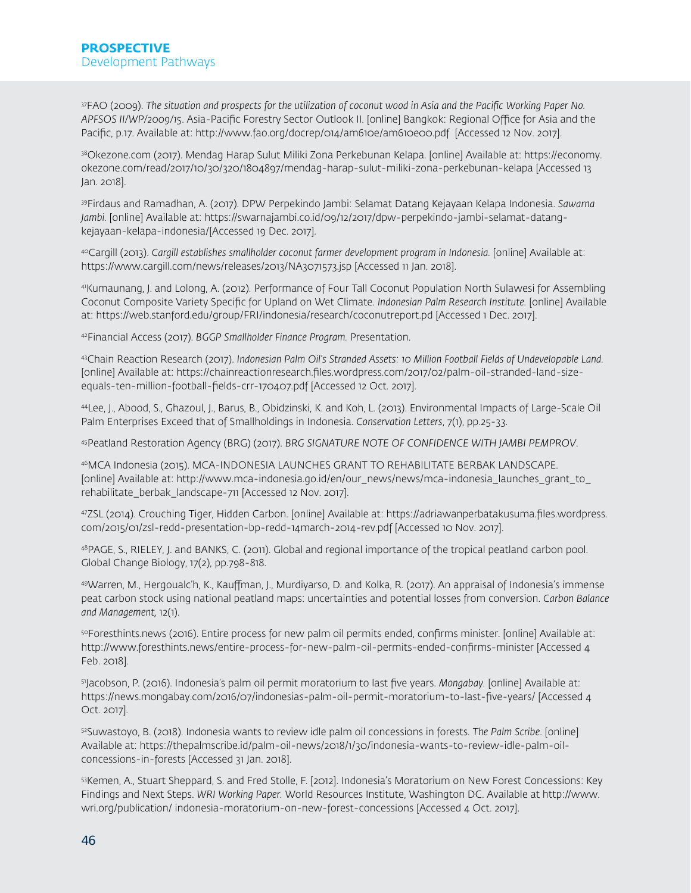37FAO (2009). *The situation and prospects for the utilization of coconut wood in Asia and the Pacific Working Paper No. APFSOS II/WP/2009/15*. Asia-Pacific Forestry Sector Outlook II. [online] Bangkok: Regional Office for Asia and the Pacific, p.17. Available at: http://www.fao.org/docrep/014/am610e/am610e00.pdf [Accessed 12 Nov. 2017].

38Okezone.com (2017). Mendag Harap Sulut Miliki Zona Perkebunan Kelapa. [online] Available at: https://economy. okezone.com/read/2017/10/30/320/1804897/mendag-harap-sulut-miliki-zona-perkebunan-kelapa [Accessed 13 Jan. 2018].

39Firdaus and Ramadhan, A. (2017). DPW Perpekindo Jambi: Selamat Datang Kejayaan Kelapa Indonesia. *Sawarna Jambi.* [online] Available at: https://swarnajambi.co.id/09/12/2017/dpw-perpekindo-jambi-selamat-datangkejayaan-kelapa-indonesia/[Accessed 19 Dec. 2017].

40Cargill (2013). *Cargill establishes smallholder coconut farmer development program in Indonesia.* [online] Available at: https://www.cargill.com/news/releases/2013/NA3071573.jsp [Accessed 11 Jan. 2018].

41Kumaunang, J. and Lolong, A. (2012). Performance of Four Tall Coconut Population North Sulawesi for Assembling Coconut Composite Variety Specific for Upland on Wet Climate. *Indonesian Palm Research Institute.* [online] Available at: https://web.stanford.edu/group/FRI/indonesia/research/coconutreport.pd [Accessed 1 Dec. 2017].

42Financial Access (2017). *BGGP Smallholder Finance Program.* Presentation.

43Chain Reaction Research (2017). *Indonesian Palm Oil's Stranded Assets: 10 Million Football Fields of Undevelopable Land.* [online] Available at: https://chainreactionresearch.files.wordpress.com/2017/02/palm-oil-stranded-land-sizeequals-ten-million-football-fields-crr-170407.pdf [Accessed 12 Oct. 2017].

44Lee, J., Abood, S., Ghazoul, J., Barus, B., Obidzinski, K. and Koh, L. (2013). Environmental Impacts of Large-Scale Oil Palm Enterprises Exceed that of Smallholdings in Indonesia. *Conservation Letters*, 7(1), pp.25-33.

45Peatland Restoration Agency (BRG) (2017). *BRG SIGNATURE NOTE OF CONFIDENCE WITH JAMBI PEMPROV*.

46MCA Indonesia (2015). MCA-INDONESIA LAUNCHES GRANT TO REHABILITATE BERBAK LANDSCAPE. [online] Available at: http://www.mca-indonesia.go.id/en/our\_news/news/mca-indonesia\_launches\_grant\_to\_ rehabilitate\_berbak\_landscape-711 [Accessed 12 Nov. 2017].

47ZSL (2014). Crouching Tiger, Hidden Carbon. [online] Available at: https://adriawanperbatakusuma.files.wordpress. com/2015/01/zsl-redd-presentation-bp-redd-14march-2014-rev.pdf [Accessed 10 Nov. 2017].

48PAGE, S., RIELEY, J. and BANKS, C. (2011). Global and regional importance of the tropical peatland carbon pool. Global Change Biology, 17(2), pp.798-818.

49Warren, M., Hergoualc'h, K., Kauffman, J., Murdiyarso, D. and Kolka, R. (2017). An appraisal of Indonesia's immense peat carbon stock using national peatland maps: uncertainties and potential losses from conversion. *Carbon Balance and Management,* 12(1).

50Foresthints.news (2016). Entire process for new palm oil permits ended, confirms minister. [online] Available at: http://www.foresthints.news/entire-process-for-new-palm-oil-permits-ended-confirms-minister [Accessed 4 Feb. 2018].

51Jacobson, P. (2016). Indonesia's palm oil permit moratorium to last five years. *Mongabay.* [online] Available at: https://news.mongabay.com/2016/07/indonesias-palm-oil-permit-moratorium-to-last-five-years/ [Accessed 4 Oct. 2017].

52Suwastoyo, B. (2018). Indonesia wants to review idle palm oil concessions in forests. *The Palm Scribe*. [online] Available at: https://thepalmscribe.id/palm-oil-news/2018/1/30/indonesia-wants-to-review-idle-palm-oilconcessions-in-forests [Accessed 31 Jan. 2018].

53Kemen, A., Stuart Sheppard, S. and Fred Stolle, F. [2012]. Indonesia's Moratorium on New Forest Concessions: Key Findings and Next Steps. *WRI Working Paper.* World Resources Institute, Washington DC. Available at http://www. wri.org/publication/ indonesia-moratorium-on-new-forest-concessions [Accessed 4 Oct. 2017].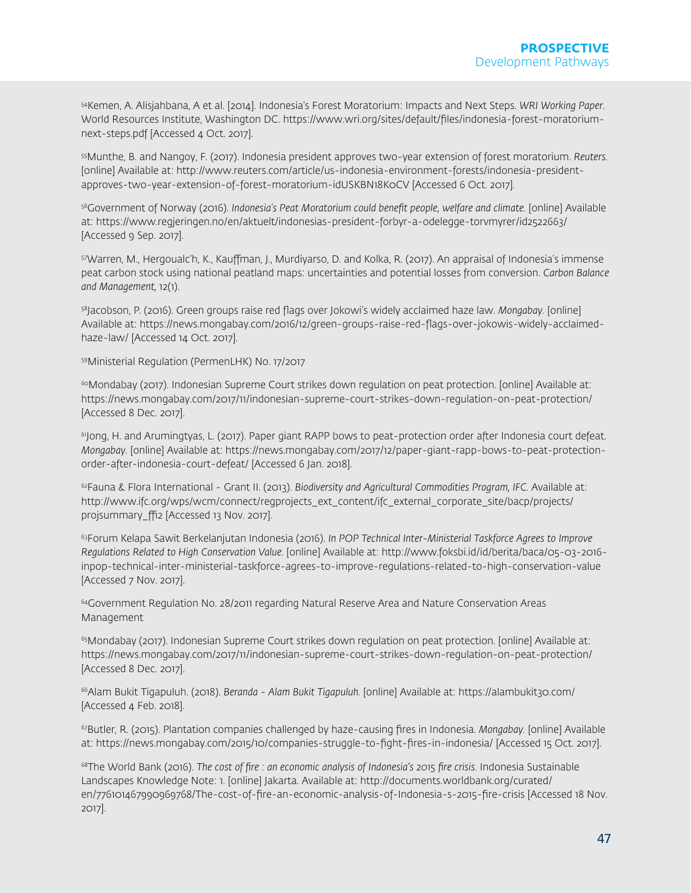54Kemen, A. Alisjahbana, A et al. [2014]. Indonesia's Forest Moratorium: Impacts and Next Steps. *WRI Working Paper*. World Resources Institute, Washington DC. https://www.wri.org/sites/default/files/indonesia-forest-moratoriumnext-steps.pdf [Accessed 4 Oct. 2017].

55Munthe, B. and Nangoy, F. (2017). Indonesia president approves two-year extension of forest moratorium. *Reuters.* [online] Available at: http://www.reuters.com/article/us-indonesia-environment-forests/indonesia-presidentapproves-two-year-extension-of-forest-moratorium-idUSKBN18K0CV [Accessed 6 Oct. 2017].

56Government of Norway (2016). *Indonesia's Peat Moratorium could benefit people, welfare and climate.* [online] Available at: https://www.regjeringen.no/en/aktuelt/indonesias-president-forbyr-a-odelegge-torvmyrer/id2522663/ [Accessed 9 Sep. 2017].

57Warren, M., Hergoualc'h, K., Kauffman, J., Murdiyarso, D. and Kolka, R. (2017). An appraisal of Indonesia's immense peat carbon stock using national peatland maps: uncertainties and potential losses from conversion. *Carbon Balance and Management,* 12(1).

58Jacobson, P. (2016). Green groups raise red flags over Jokowi's widely acclaimed haze law. *Mongabay.* [online] Available at: https://news.mongabay.com/2016/12/green-groups-raise-red-flags-over-jokowis-widely-acclaimedhaze-law/ [Accessed 14 Oct. 2017].

59Ministerial Regulation (PermenLHK) No. 17/2017

<sup>60</sup>Mondabay (2017). Indonesian Supreme Court strikes down regulation on peat protection. [online] Available at: https://news.mongabay.com/2017/11/indonesian-supreme-court-strikes-down-regulation-on-peat-protection/ [Accessed 8 Dec. 2017].

<sup>61</sup>Jong, H. and Arumingtyas, L. (2017). Paper giant RAPP bows to peat-protection order after Indonesia court defeat. *Mongabay.* [online] Available at: https://news.mongabay.com/2017/12/paper-giant-rapp-bows-to-peat-protectionorder-after-indonesia-court-defeat/ [Accessed 6 Jan. 2018].

62Fauna & Flora International - Grant II. (2013). *Biodiversity and Agricultural Commodities Program, IFC.* Available at: http://www.ifc.org/wps/wcm/connect/regprojects\_ext\_content/ifc\_external\_corporate\_site/bacp/projects/ projsummary\_ffi2 [Accessed 13 Nov. 2017].

63Forum Kelapa Sawit Berkelanjutan Indonesia (2016). *In POP Technical Inter-Ministerial Taskforce Agrees to Improve Regulations Related to High Conservation Value.* [online] Available at: http://www.foksbi.id/id/berita/baca/05-03-2016 inpop-technical-inter-ministerial-taskforce-agrees-to-improve-regulations-related-to-high-conservation-value [Accessed 7 Nov. 2017].

64Government Regulation No. 28/2011 regarding Natural Reserve Area and Nature Conservation Areas Management

65Mondabay (2017). Indonesian Supreme Court strikes down regulation on peat protection. [online] Available at: https://news.mongabay.com/2017/11/indonesian-supreme-court-strikes-down-regulation-on-peat-protection/ [Accessed 8 Dec. 2017].

66Alam Bukit Tigapuluh. (2018). *Beranda - Alam Bukit Tigapuluh.* [online] Available at: https://alambukit30.com/ [Accessed 4 Feb. 2018].

67Butler, R. (2015). Plantation companies challenged by haze-causing fires in Indonesia. *Mongabay.* [online] Available at: https://news.mongabay.com/2015/10/companies-struggle-to-fight-fires-in-indonesia/ [Accessed 15 Oct. 2017].

68The World Bank (2016). *The cost of fire : an economic analysis of Indonesia's 2015 fire crisis.* Indonesia Sustainable Landscapes Knowledge Note: 1. [online] Jakarta. Available at: http://documents.worldbank.org/curated/ en/776101467990969768/The-cost-of-fire-an-economic-analysis-of-Indonesia-s-2015-fire-crisis [Accessed 18 Nov. 2017].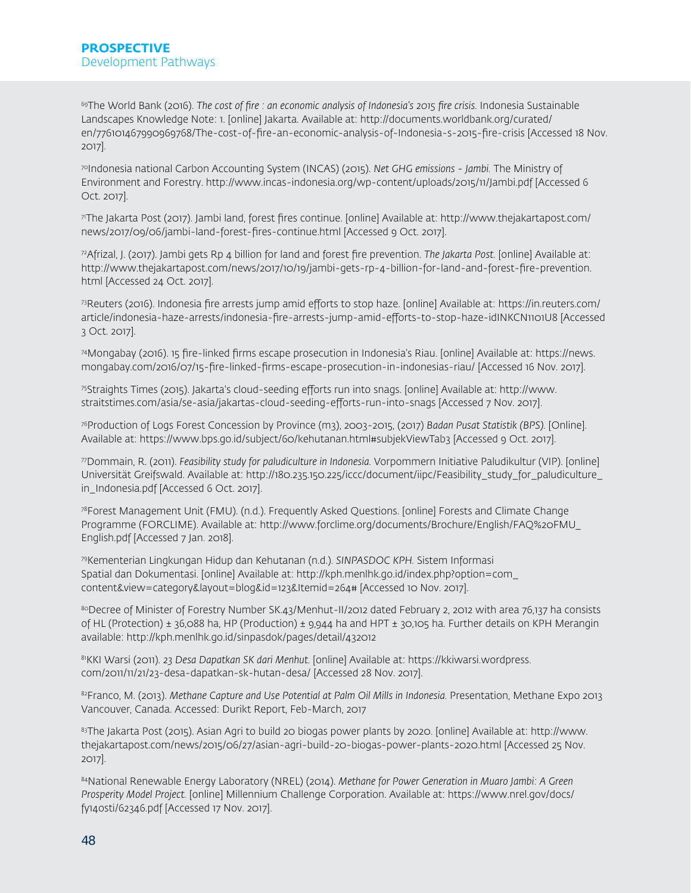69The World Bank (2016). *The cost of fire : an economic analysis of Indonesia's 2015 fire crisis.* Indonesia Sustainable Landscapes Knowledge Note: 1. [online] Jakarta. Available at: http://documents.worldbank.org/curated/ en/776101467990969768/The-cost-of-fire-an-economic-analysis-of-Indonesia-s-2015-fire-crisis [Accessed 18 Nov. 2017].

70Indonesia national Carbon Accounting System (INCAS) (2015). *Net GHG emissions - Jambi.* The Ministry of Environment and Forestry. http://www.incas-indonesia.org/wp-content/uploads/2015/11/Jambi.pdf [Accessed 6 Oct. 2017].

71The Jakarta Post (2017). Jambi land, forest fires continue. [online] Available at: http://www.thejakartapost.com/ news/2017/09/06/jambi-land-forest-fires-continue.html [Accessed 9 Oct. 2017].

72Afrizal, J. (2017). Jambi gets Rp 4 billion for land and forest fire prevention. *The Jakarta Post.* [online] Available at: http://www.thejakartapost.com/news/2017/10/19/jambi-gets-rp-4-billion-for-land-and-forest-fire-prevention. html [Accessed 24 Oct. 2017].

73Reuters (2016). Indonesia fire arrests jump amid efforts to stop haze. [online] Available at: https://in.reuters.com/ article/indonesia-haze-arrests/indonesia-fire-arrests-jump-amid-efforts-to-stop-haze-idINKCN1101U8 [Accessed 3 Oct. 2017].

74Mongabay (2016). 15 fire-linked firms escape prosecution in Indonesia's Riau. [online] Available at: https://news. mongabay.com/2016/07/15-fire-linked-firms-escape-prosecution-in-indonesias-riau/ [Accessed 16 Nov. 2017].

75Straights Times (2015). Jakarta's cloud-seeding efforts run into snags. [online] Available at: http://www. straitstimes.com/asia/se-asia/jakartas-cloud-seeding-efforts-run-into-snags [Accessed 7 Nov. 2017].

76Production of Logs Forest Concession by Province (m3), 2003-2015, (2017) *Badan Pusat Statistik (BPS).* [Online]. Available at: https://www.bps.go.id/subject/60/kehutanan.html#subjekViewTab3 [Accessed 9 Oct. 2017].

77Dommain, R. (2011). *Feasibility study for paludiculture in Indonesia.* Vorpommern Initiative Paludikultur (VIP). [online] Universität Greifswald. Available at: http://180.235.150.225/iccc/document/iipc/Feasibility\_study\_for\_paludiculture\_ in Indonesia.pdf [Accessed 6 Oct. 2017].

78Forest Management Unit (FMU). (n.d.). Frequently Asked Questions. [online] Forests and Climate Change Programme (FORCLIME). Available at: http://www.forclime.org/documents/Brochure/English/FAQ%20FMU\_ English.pdf [Accessed 7 Jan. 2018].

79Kementerian Lingkungan Hidup dan Kehutanan (n.d.). *SINPASDOC KPH.* Sistem Informasi Spatial dan Dokumentasi. [online] Available at: http://kph.menlhk.go.id/index.php?option=com\_ content&view=category&layout=blog&id=123&Itemid=264# [Accessed 10 Nov. 2017].

80Decree of Minister of Forestry Number SK.43/Menhut-II/2012 dated February 2, 2012 with area 76,137 ha consists of HL (Protection) ± 36,088 ha, HP (Production) ± 9,944 ha and HPT ± 30,105 ha. Further details on KPH Merangin available: http://kph.menlhk.go.id/sinpasdok/pages/detail/432012

81KKI Warsi (2011). *23 Desa Dapatkan SK dari Menhut.* [online] Available at: https://kkiwarsi.wordpress. com/2011/11/21/23-desa-dapatkan-sk-hutan-desa/ [Accessed 28 Nov. 2017].

82Franco, M. (2013). *Methane Capture and Use Potential at Palm Oil Mills in Indonesia.* Presentation, Methane Expo 2013 Vancouver, Canada. Accessed: Durikt Report, Feb-March, 2017

83The Jakarta Post (2015). Asian Agri to build 20 biogas power plants by 2020. [online] Available at: http://www. thejakartapost.com/news/2015/06/27/asian-agri-build-20-biogas-power-plants-2020.html [Accessed 25 Nov. 2017].

84National Renewable Energy Laboratory (NREL) (2014). *Methane for Power Generation in Muaro Jambi: A Green Prosperity Model Project.* [online] Millennium Challenge Corporation. Available at: https://www.nrel.gov/docs/ fy14osti/62346.pdf [Accessed 17 Nov. 2017].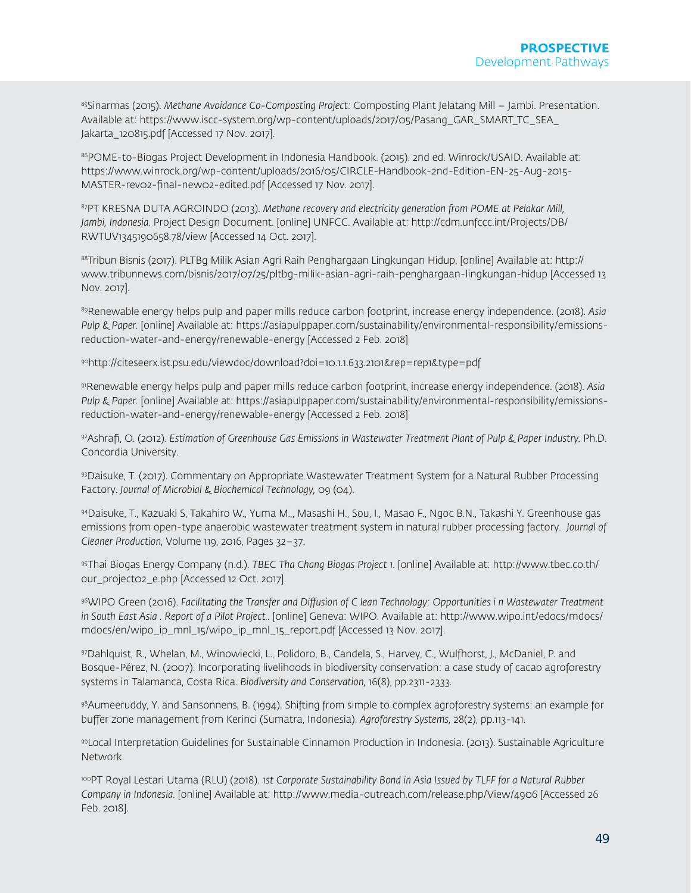85Sinarmas (2015). *Methane Avoidance Co-Composting Project:* Composting Plant Jelatang Mill – Jambi. Presentation. Available at: https://www.iscc-system.org/wp-content/uploads/2017/05/Pasang\_GAR\_SMART\_TC\_SEA\_ Jakarta\_120815.pdf [Accessed 17 Nov. 2017].

86POME-to-Biogas Project Development in Indonesia Handbook. (2015). 2nd ed. Winrock/USAID. Available at: https://www.winrock.org/wp-content/uploads/2016/05/CIRCLE-Handbook-2nd-Edition-EN-25-Aug-2015- MASTER-rev02-final-new02-edited.pdf [Accessed 17 Nov. 2017].

87PT KRESNA DUTA AGROINDO (2013). *Methane recovery and electricity generation from POME at Pelakar Mill, Jambi, Indonesia.* Project Design Document. [online] UNFCC. Available at: http://cdm.unfccc.int/Projects/DB/ RWTUV1345190658.78/view [Accessed 14 Oct. 2017].

88Tribun Bisnis (2017). PLTBg Milik Asian Agri Raih Penghargaan Lingkungan Hidup. [online] Available at: http:// www.tribunnews.com/bisnis/2017/07/25/pltbg-milik-asian-agri-raih-penghargaan-lingkungan-hidup [Accessed 13 Nov. 2017].

89Renewable energy helps pulp and paper mills reduce carbon footprint, increase energy independence. (2018). *Asia Pulp & Paper.* [online] Available at: https://asiapulppaper.com/sustainability/environmental-responsibility/emissionsreduction-water-and-energy/renewable-energy [Accessed 2 Feb. 2018]

90http://citeseerx.ist.psu.edu/viewdoc/download?doi=10.1.1.633.2101&rep=rep1&type=pdf

91Renewable energy helps pulp and paper mills reduce carbon footprint, increase energy independence. (2018). *Asia Pulp & Paper.* [online] Available at: https://asiapulppaper.com/sustainability/environmental-responsibility/emissionsreduction-water-and-energy/renewable-energy [Accessed 2 Feb. 2018]

92Ashrafi, O. (2012). *Estimation of Greenhouse Gas Emissions in Wastewater Treatment Plant of Pulp & Paper Industry.* Ph.D. Concordia University.

93Daisuke, T. (2017). Commentary on Appropriate Wastewater Treatment System for a Natural Rubber Processing Factory. *Journal of Microbial & Biochemical Technology,* 09 (04).

94Daisuke, T., Kazuaki S, Takahiro W., Yuma M.,, Masashi H., Sou, I., Masao F., Ngoc B.N., Takashi Y. Greenhouse gas emissions from open-type anaerobic wastewater treatment system in natural rubber processing factory. *Journal of Cleaner Production,* Volume 119, 2016, Pages 32–37.

95Thai Biogas Energy Company (n.d.). *TBEC Tha Chang Biogas Project 1.* [online] Available at: http://www.tbec.co.th/ our\_project02\_e.php [Accessed 12 Oct. 2017].

96WIPO Green (2016). *Facilitating the Transfer and Diffusion of C lean Technology: Opportunities i n Wastewater Treatment in South East Asia . Report of a Pilot Project..* [online] Geneva: WIPO. Available at: http://www.wipo.int/edocs/mdocs/ mdocs/en/wipo\_ip\_mnl\_15/wipo\_ip\_mnl\_15\_report.pdf [Accessed 13 Nov. 2017].

97Dahlquist, R., Whelan, M., Winowiecki, L., Polidoro, B., Candela, S., Harvey, C., Wulfhorst, J., McDaniel, P. and Bosque-Pérez, N. (2007). Incorporating livelihoods in biodiversity conservation: a case study of cacao agroforestry systems in Talamanca, Costa Rica. *Biodiversity and Conservation,* 16(8), pp.2311-2333.

98Aumeeruddy, Y. and Sansonnens, B. (1994). Shifting from simple to complex agroforestry systems: an example for buffer zone management from Kerinci (Sumatra, Indonesia). *Agroforestry Systems,* 28(2), pp.113-141.

99Local Interpretation Guidelines for Sustainable Cinnamon Production in Indonesia. (2013). Sustainable Agriculture Network.

<sup>100</sup>PT Royal Lestari Utama (RLU) (2018). *1st Corporate Sustainability Bond in Asia Issued by TLFF for a Natural Rubber Company in Indonesia.* [online] Available at: http://www.media-outreach.com/release.php/View/4906 [Accessed 26 Feb. 2018].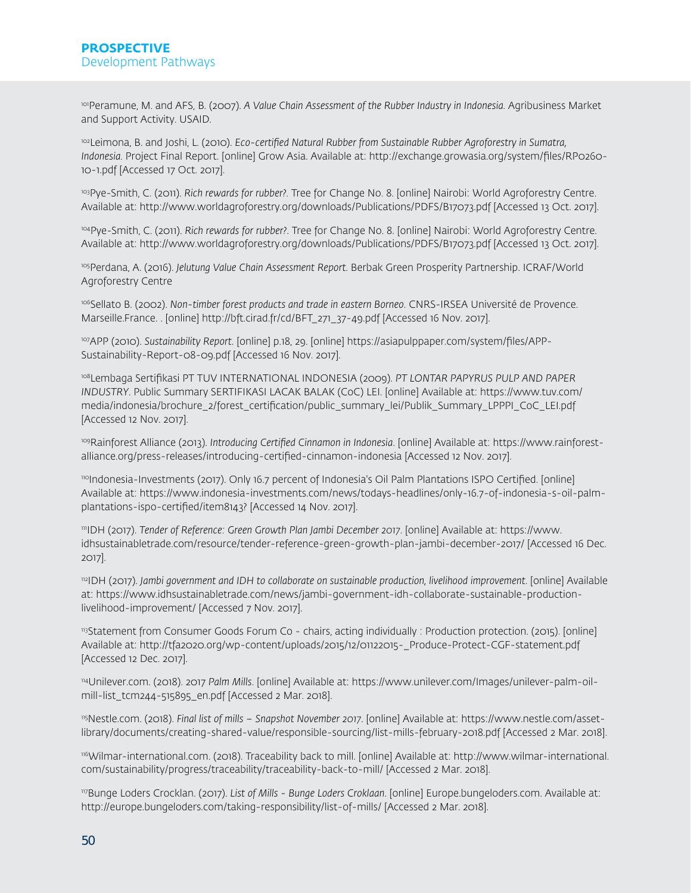101Peramune, M. and AFS, B. (2007). *A Value Chain Assessment of the Rubber Industry in Indonesia.* Agribusiness Market and Support Activity. USAID.

<sup>102</sup>Leimona, B. and Joshi, L. (2010). *Eco-certified Natural Rubber from Sustainable Rubber Agroforestry in Sumatra, Indonesia.* Project Final Report. [online] Grow Asia. Available at: http://exchange.growasia.org/system/files/RP0260- 10-1.pdf [Accessed 17 Oct. 2017].

103Pye-Smith, C. (2011). *Rich rewards for rubber?*. Tree for Change No. 8. [online] Nairobi: World Agroforestry Centre. Available at: http://www.worldagroforestry.org/downloads/Publications/PDFS/B17073.pdf [Accessed 13 Oct. 2017].

104Pye-Smith, C. (2011). *Rich rewards for rubber?*. Tree for Change No. 8. [online] Nairobi: World Agroforestry Centre. Available at: http://www.worldagroforestry.org/downloads/Publications/PDFS/B17073.pdf [Accessed 13 Oct. 2017].

105Perdana, A. (2016). *Jelutung Value Chain Assessment Report*. Berbak Green Prosperity Partnership. ICRAF/World Agroforestry Centre

106Sellato B. (2002). *Non-timber forest products and trade in eastern Borneo*. CNRS-IRSEA Université de Provence. Marseille.France. . [online] http://bft.cirad.fr/cd/BFT\_271\_37-49.pdf [Accessed 16 Nov. 2017].

107APP (2010). *Sustainability Report*. [online] p.18, 29. [online] https://asiapulppaper.com/system/files/APP-Sustainability-Report-08-09.pdf [Accessed 16 Nov. 2017].

108Lembaga Sertifikasi PT TUV INTERNATIONAL INDONESIA (2009). *PT LONTAR PAPYRUS PULP AND PAPER INDUSTRY*. Public Summary SERTIFIKASI LACAK BALAK (CoC) LEI. [online] Available at: https://www.tuv.com/ media/indonesia/brochure\_2/forest\_certification/public\_summary\_lei/Publik\_Summary\_LPPPI\_CoC\_LEI.pdf [Accessed 12 Nov. 2017].

109Rainforest Alliance (2013). *Introducing Certified Cinnamon in Indonesia*. [online] Available at: https://www.rainforestalliance.org/press-releases/introducing-certified-cinnamon-indonesia [Accessed 12 Nov. 2017].

110Indonesia-Investments (2017). Only 16.7 percent of Indonesia's Oil Palm Plantations ISPO Certified. [online] Available at: https://www.indonesia-investments.com/news/todays-headlines/only-16.7-of-indonesia-s-oil-palmplantations-ispo-certified/item8143? [Accessed 14 Nov. 2017].

111IDH (2017). *Tender of Reference: Green Growth Plan Jambi December 2017*. [online] Available at: https://www. idhsustainabletrade.com/resource/tender-reference-green-growth-plan-jambi-december-2017/ [Accessed 16 Dec. 2017].

112IDH (2017). *Jambi government and IDH to collaborate on sustainable production, livelihood improvement*. [online] Available at: https://www.idhsustainabletrade.com/news/jambi-government-idh-collaborate-sustainable-productionlivelihood-improvement/ [Accessed 7 Nov. 2017].

113Statement from Consumer Goods Forum Co - chairs, acting individually : Production protection. (2015). [online] Available at: http://tfa2020.org/wp-content/uploads/2015/12/01122015-\_Produce-Protect-CGF-statement.pdf [Accessed 12 Dec. 2017].

114Unilever.com. (2018). 2017 *Palm Mills*. [online] Available at: https://www.unilever.com/Images/unilever-palm-oilmill-list\_tcm244-515895\_en.pdf [Accessed 2 Mar. 2018].

115Nestle.com. (2018). *Final list of mills – Snapshot November 2017*. [online] Available at: https://www.nestle.com/assetlibrary/documents/creating-shared-value/responsible-sourcing/list-mills-february-2018.pdf [Accessed 2 Mar. 2018].

116Wilmar-international.com. (2018). Traceability back to mill. [online] Available at: http://www.wilmar-international. com/sustainability/progress/traceability/traceability-back-to-mill/ [Accessed 2 Mar. 2018].

117Bunge Loders Crocklan. (2017). *List of Mills - Bunge Loders Croklaan*. [online] Europe.bungeloders.com. Available at: http://europe.bungeloders.com/taking-responsibility/list-of-mills/ [Accessed 2 Mar. 2018].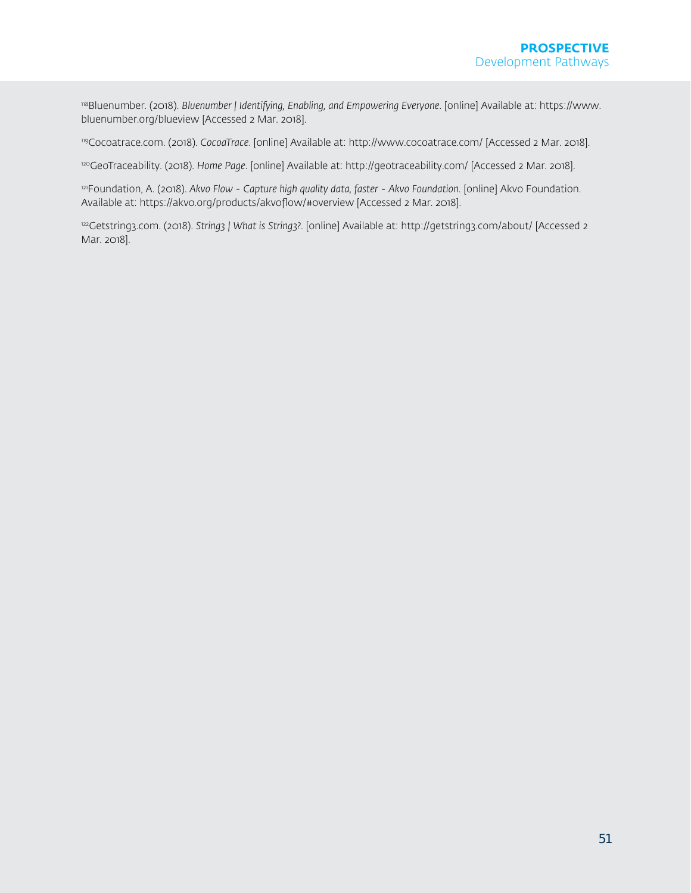118Bluenumber. (2018). *Bluenumber | Identifying, Enabling, and Empowering Everyone*. [online] Available at: https://www. bluenumber.org/blueview [Accessed 2 Mar. 2018].

119Cocoatrace.com. (2018). *CocoaTrace*. [online] Available at: http://www.cocoatrace.com/ [Accessed 2 Mar. 2018].

120GeoTraceability. (2018). *Home Page*. [online] Available at: http://geotraceability.com/ [Accessed 2 Mar. 2018].

121Foundation, A. (2018). *Akvo Flow - Capture high quality data, faster - Akvo Foundation*. [online] Akvo Foundation. Available at: https://akvo.org/products/akvoflow/#overview [Accessed 2 Mar. 2018].

<sup>122</sup>Getstring3.com. (2018). String3 | What is String3?. [online] Available at: http://getstring3.com/about/ [Accessed 2 Mar. 2018].